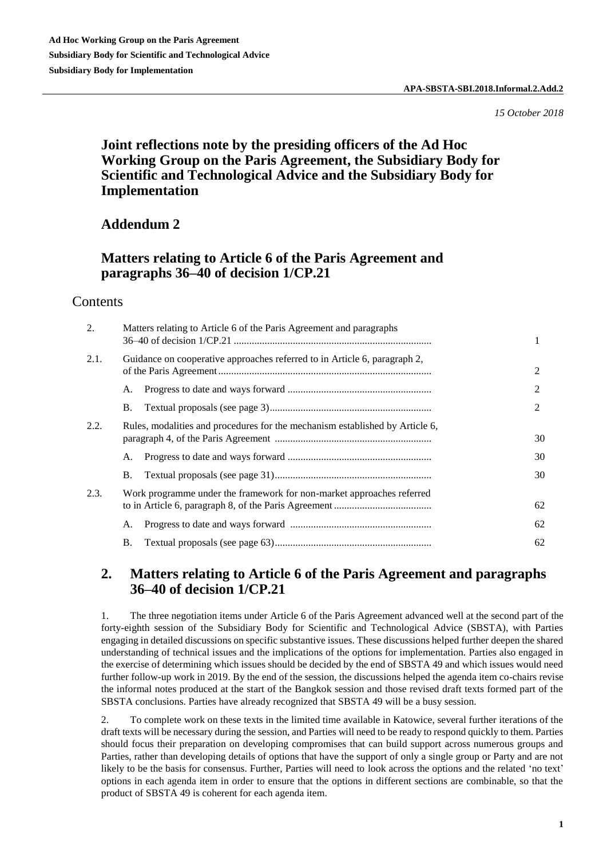*15 October 2018*

# **Joint reflections note by the presiding officers of the Ad Hoc Working Group on the Paris Agreement, the Subsidiary Body for Scientific and Technological Advice and the Subsidiary Body for Implementation**

# **Addendum 2**

# **Matters relating to Article 6 of the Paris Agreement and paragraphs 36–40 of decision 1/CP.21**

## Contents

| 2.   |                                                                              | Matters relating to Article 6 of the Paris Agreement and paragraphs |    |
|------|------------------------------------------------------------------------------|---------------------------------------------------------------------|----|
| 2.1. | Guidance on cooperative approaches referred to in Article 6, paragraph 2,    |                                                                     | 2  |
|      | А.                                                                           |                                                                     | 2  |
|      | В.                                                                           |                                                                     | 2  |
| 2.2. | Rules, modalities and procedures for the mechanism established by Article 6, |                                                                     | 30 |
|      | A.                                                                           |                                                                     | 30 |
|      | В.                                                                           |                                                                     | 30 |
| 2.3. | Work programme under the framework for non-market approaches referred        |                                                                     | 62 |
|      | А.                                                                           |                                                                     | 62 |
|      | <b>B.</b>                                                                    |                                                                     | 62 |

# **2. Matters relating to Article 6 of the Paris Agreement and paragraphs 36–40 of decision 1/CP.21**

1. The three negotiation items under Article 6 of the Paris Agreement advanced well at the second part of the forty-eighth session of the Subsidiary Body for Scientific and Technological Advice (SBSTA), with Parties engaging in detailed discussions on specific substantive issues. These discussions helped further deepen the shared understanding of technical issues and the implications of the options for implementation. Parties also engaged in the exercise of determining which issues should be decided by the end of SBSTA 49 and which issues would need further follow-up work in 2019. By the end of the session, the discussions helped the agenda item co-chairs revise the informal notes produced at the start of the Bangkok session and those revised draft texts formed part of the SBSTA conclusions. Parties have already recognized that SBSTA 49 will be a busy session.

2. To complete work on these texts in the limited time available in Katowice, several further iterations of the draft texts will be necessary during the session, and Parties will need to be ready to respond quickly to them. Parties should focus their preparation on developing compromises that can build support across numerous groups and Parties, rather than developing details of options that have the support of only a single group or Party and are not likely to be the basis for consensus. Further, Parties will need to look across the options and the related 'no text' options in each agenda item in order to ensure that the options in different sections are combinable, so that the product of SBSTA 49 is coherent for each agenda item.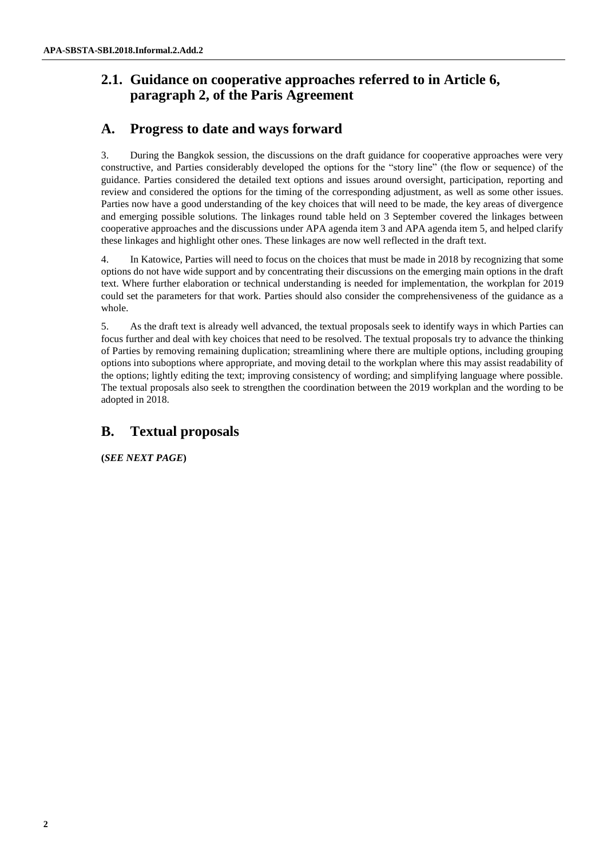# **2.1. Guidance on cooperative approaches referred to in Article 6, paragraph 2, of the Paris Agreement**

# **A. Progress to date and ways forward**

3. During the Bangkok session, the discussions on the draft guidance for cooperative approaches were very constructive, and Parties considerably developed the options for the "story line" (the flow or sequence) of the guidance. Parties considered the detailed text options and issues around oversight, participation, reporting and review and considered the options for the timing of the corresponding adjustment, as well as some other issues. Parties now have a good understanding of the key choices that will need to be made, the key areas of divergence and emerging possible solutions. The linkages round table held on 3 September covered the linkages between cooperative approaches and the discussions under APA agenda item 3 and APA agenda item 5, and helped clarify these linkages and highlight other ones. These linkages are now well reflected in the draft text.

4. In Katowice, Parties will need to focus on the choices that must be made in 2018 by recognizing that some options do not have wide support and by concentrating their discussions on the emerging main options in the draft text. Where further elaboration or technical understanding is needed for implementation, the workplan for 2019 could set the parameters for that work. Parties should also consider the comprehensiveness of the guidance as a whole.

5. As the draft text is already well advanced, the textual proposals seek to identify ways in which Parties can focus further and deal with key choices that need to be resolved. The textual proposals try to advance the thinking of Parties by removing remaining duplication; streamlining where there are multiple options, including grouping options into suboptions where appropriate, and moving detail to the workplan where this may assist readability of the options; lightly editing the text; improving consistency of wording; and simplifying language where possible. The textual proposals also seek to strengthen the coordination between the 2019 workplan and the wording to be adopted in 2018.

# **B. Textual proposals**

**(***SEE NEXT PAGE***)**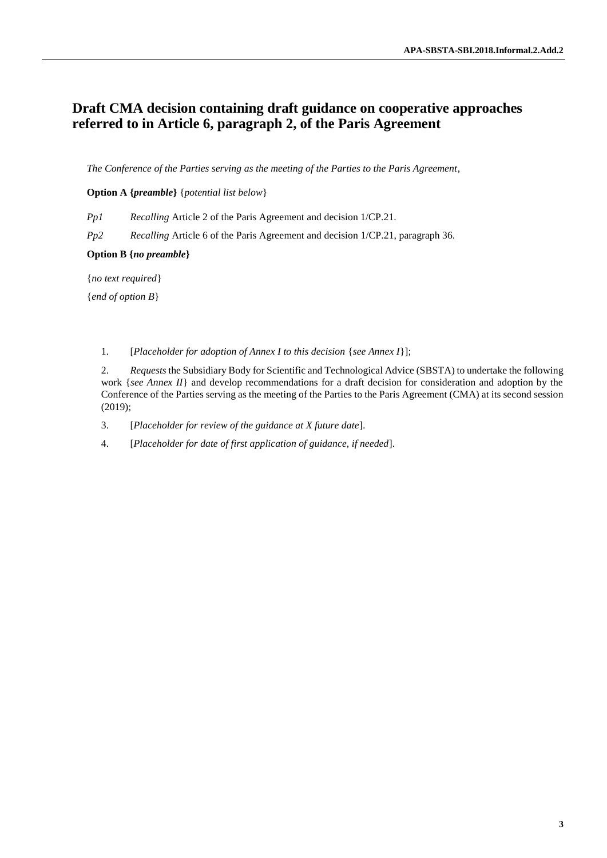# **Draft CMA decision containing draft guidance on cooperative approaches referred to in Article 6, paragraph 2, of the Paris Agreement**

*The Conference of the Parties serving as the meeting of the Parties to the Paris Agreement*,

## **Option A {***preamble***}** {*potential list below*}

*Pp1 Recalling* Article 2 of the Paris Agreement and decision 1/CP.21.

*Pp2 Recalling* Article 6 of the Paris Agreement and decision 1/CP.21, paragraph 36.

## **Option B {***no preamble***}**

{*no text required*}

{*end of option B*}

1. [*Placeholder for adoption of Annex I to this decision* {*see Annex I*}];

2. *Requests* the Subsidiary Body for Scientific and Technological Advice (SBSTA) to undertake the following work {*see Annex II*} and develop recommendations for a draft decision for consideration and adoption by the Conference of the Parties serving as the meeting of the Parties to the Paris Agreement (CMA) at its second session (2019);

3. [*Placeholder for review of the guidance at X future date*].

4. [*Placeholder for date of first application of guidance, if needed*].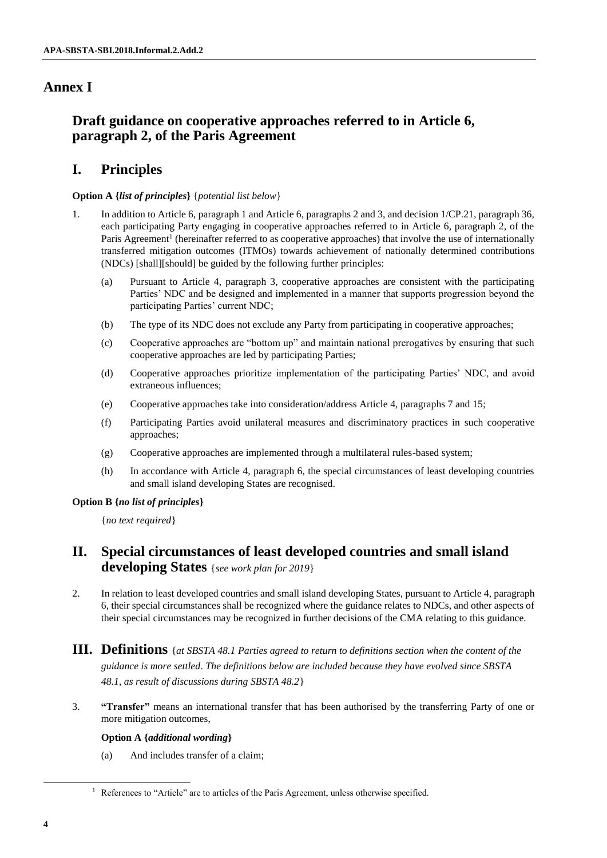# **Annex I**

# **Draft guidance on cooperative approaches referred to in Article 6, paragraph 2, of the Paris Agreement**

# **I. Principles**

## **Option A {***list of principles***}** {*potential list below*}

- 1. In addition to Article 6, paragraph 1 and Article 6, paragraphs 2 and 3, and decision 1/CP.21, paragraph 36, each participating Party engaging in cooperative approaches referred to in Article 6, paragraph 2, of the Paris Agreement<sup>1</sup> (hereinafter referred to as cooperative approaches) that involve the use of internationally transferred mitigation outcomes (ITMOs) towards achievement of nationally determined contributions (NDCs) [shall][should] be guided by the following further principles:
	- (a) Pursuant to Article 4, paragraph 3, cooperative approaches are consistent with the participating Parties' NDC and be designed and implemented in a manner that supports progression beyond the participating Parties' current NDC;
	- (b) The type of its NDC does not exclude any Party from participating in cooperative approaches;
	- (c) Cooperative approaches are "bottom up" and maintain national prerogatives by ensuring that such cooperative approaches are led by participating Parties;
	- (d) Cooperative approaches prioritize implementation of the participating Parties' NDC, and avoid extraneous influences;
	- (e) Cooperative approaches take into consideration/address Article 4, paragraphs 7 and 15;
	- (f) Participating Parties avoid unilateral measures and discriminatory practices in such cooperative approaches;
	- (g) Cooperative approaches are implemented through a multilateral rules-based system;
	- (h) In accordance with Article 4, paragraph 6, the special circumstances of least developing countries and small island developing States are recognised.

## **Option B {***no list of principles***}**

{*no text required*}

# **II. Special circumstances of least developed countries and small island developing States** {*see work plan for 2019*}

- 2. In relation to least developed countries and small island developing States, pursuant to Article 4, paragraph 6, their special circumstances shall be recognized where the guidance relates to NDCs, and other aspects of their special circumstances may be recognized in further decisions of the CMA relating to this guidance.
- **III. Definitions** {*at SBSTA 48.1 Parties agreed to return to definitions section when the content of the guidance is more settled*. *The definitions below are included because they have evolved since SBSTA 48.1, as result of discussions during SBSTA 48.2*}
- 3. **"Transfer"** means an international transfer that has been authorised by the transferring Party of one or more mitigation outcomes,

## **Option A {***additional wording***}**

(a) And includes transfer of a claim;

l

<sup>&</sup>lt;sup>1</sup> References to "Article" are to articles of the Paris Agreement, unless otherwise specified.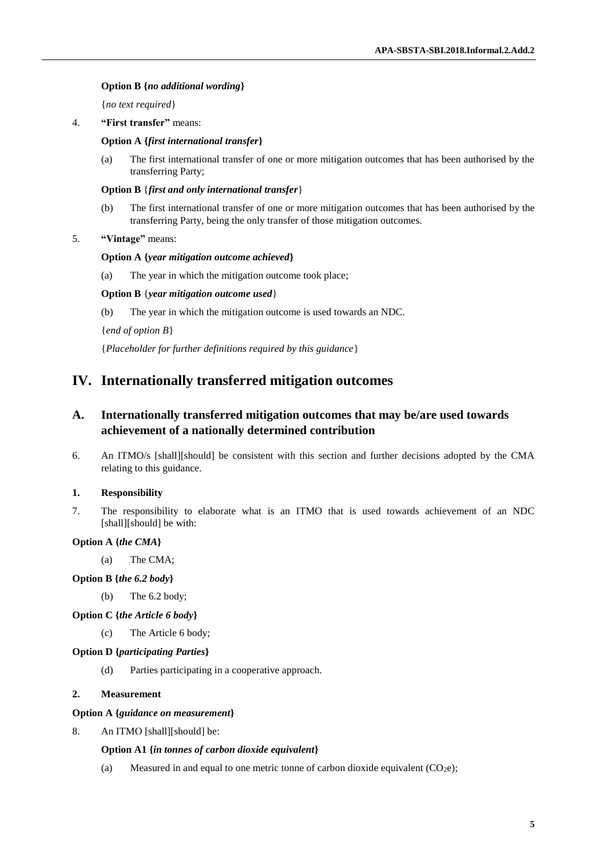## **Option B {***no additional wording***}**

{*no text required*}

4. **"First transfer"** means:

### **Option A {***first international transfer***}**

(a) The first international transfer of one or more mitigation outcomes that has been authorised by the transferring Party;

#### **Option B** {*first and only international transfer*}

(b) The first international transfer of one or more mitigation outcomes that has been authorised by the transferring Party, being the only transfer of those mitigation outcomes.

### 5. **"Vintage"** means:

#### **Option A {***year mitigation outcome achieved***}**

(a) The year in which the mitigation outcome took place;

### **Option B** {*year mitigation outcome used*}

(b) The year in which the mitigation outcome is used towards an NDC.

{*end of option B*}

{*Placeholder for further definitions required by this guidance*}

## **IV. Internationally transferred mitigation outcomes**

## **A. Internationally transferred mitigation outcomes that may be/are used towards achievement of a nationally determined contribution**

6. An ITMO/s [shall][should] be consistent with this section and further decisions adopted by the CMA relating to this guidance.

## **1. Responsibility**

7. The responsibility to elaborate what is an ITMO that is used towards achievement of an NDC [shall][should] be with:

## **Option A {***the CMA***}**

(a) The CMA;

### **Option B {***the 6.2 body***}**

(b) The 6.2 body;

## **Option C {***the Article 6 body***}**

(c) The Article 6 body;

## **Option D {***participating Parties***}**

(d) Parties participating in a cooperative approach.

#### **2. Measurement**

#### **Option A {***guidance on measurement***}**

8. An ITMO [shall][should] be:

#### **Option A1 {***in tonnes of carbon dioxide equivalent***}**

(a) Measured in and equal to one metric tonne of carbon dioxide equivalent  $(CO_2e)$ ;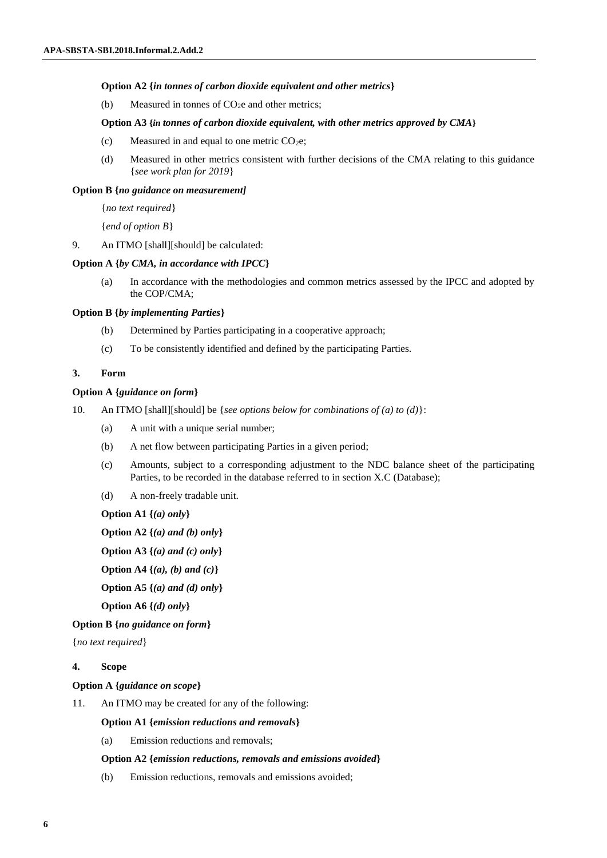## **Option A2 {***in tonnes of carbon dioxide equivalent and other metrics***}**

(b) Measured in tonnes of  $CO<sub>2</sub>e$  and other metrics;

### **Option A3 {***in tonnes of carbon dioxide equivalent, with other metrics approved by CMA***}**

- (c) Measured in and equal to one metric  $CO<sub>2</sub>e$ ;
- (d) Measured in other metrics consistent with further decisions of the CMA relating to this guidance {*see work plan for 2019*}

#### **Option B {***no guidance on measurement]*

{*no text required*}

{*end of option B*}

9. An ITMO [shall][should] be calculated:

## **Option A {***by CMA, in accordance with IPCC***}**

(a) In accordance with the methodologies and common metrics assessed by the IPCC and adopted by the COP/CMA;

#### **Option B {***by implementing Parties***}**

- (b) Determined by Parties participating in a cooperative approach;
- (c) To be consistently identified and defined by the participating Parties.

### **3. Form**

#### **Option A {***guidance on form***}**

- 10. An ITMO [shall][should] be {*see options below for combinations of (a) to (d)*}:
	- (a) A unit with a unique serial number;
	- (b) A net flow between participating Parties in a given period;
	- (c) Amounts, subject to a corresponding adjustment to the NDC balance sheet of the participating Parties, to be recorded in the database referred to in section X.C (Database);
	- (d) A non-freely tradable unit.

**Option A1 {***(a) only***}**

**Option A2 {***(a) and (b) only***}**

**Option A3 {***(a) and (c) only***}**

```
Option A4 {(a), (b) and (c)}
```
**Option A5 {***(a) and (d) only***}**

**Option A6 {***(d) only***}**

**Option B {***no guidance on form***}**

{*no text required*}

## **4. Scope**

## **Option A {***guidance on scope***}**

11. An ITMO may be created for any of the following:

## **Option A1 {***emission reductions and removals***}**

(a) Emission reductions and removals;

## **Option A2 {***emission reductions, removals and emissions avoided***}**

(b) Emission reductions, removals and emissions avoided;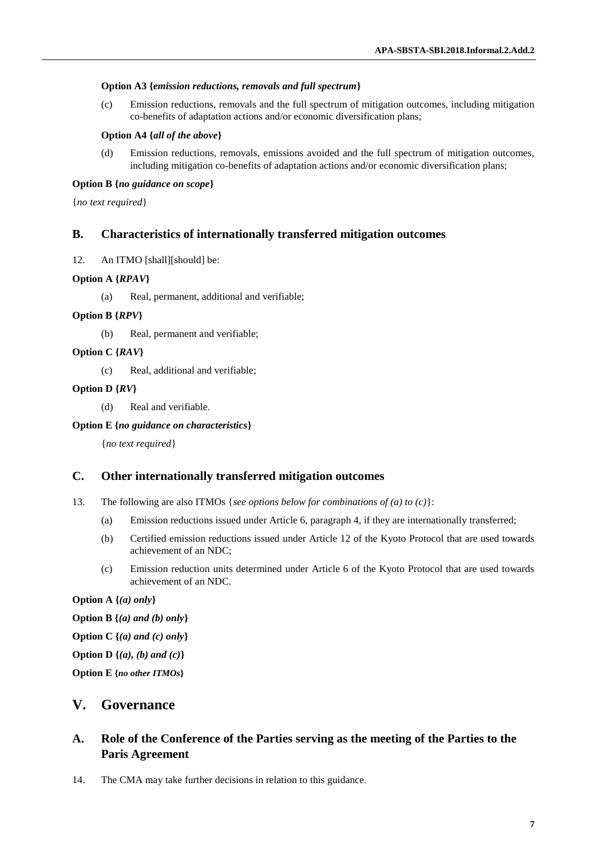### **Option A3 {***emission reductions, removals and full spectrum***}**

(c) Emission reductions, removals and the full spectrum of mitigation outcomes, including mitigation co-benefits of adaptation actions and/or economic diversification plans;

#### **Option A4 {***all of the above***}**

(d) Emission reductions, removals, emissions avoided and the full spectrum of mitigation outcomes, including mitigation co-benefits of adaptation actions and/or economic diversification plans;

### **Option B {***no guidance on scope***}**

{*no text required*}

## **B. Characteristics of internationally transferred mitigation outcomes**

12. An ITMO [shall][should] be:

## **Option A {***RPAV***}**

(a) Real, permanent, additional and verifiable;

## **Option B {***RPV***}**

(b) Real, permanent and verifiable;

## **Option C {***RAV***}**

(c) Real, additional and verifiable;

### **Option D {***RV***}**

(d) Real and verifiable.

### **Option E {***no guidance on characteristics***}**

{*no text required*}

## **C. Other internationally transferred mitigation outcomes**

- 13. The following are also ITMOs {*see options below for combinations of (a) to (c)*}:
	- (a) Emission reductions issued under Article 6, paragraph 4, if they are internationally transferred;
	- (b) Certified emission reductions issued under Article 12 of the Kyoto Protocol that are used towards achievement of an NDC;
	- (c) Emission reduction units determined under Article 6 of the Kyoto Protocol that are used towards achievement of an NDC.

### **Option A {***(a) only***}**

- **Option B {***(a) and (b) only***}**
- **Option C {***(a) and (c) only***}**
- **Option D {***(a), (b) and (c)***}**

**Option E {***no other ITMOs***}**

## **V. Governance**

## **A. Role of the Conference of the Parties serving as the meeting of the Parties to the Paris Agreement**

14. The CMA may take further decisions in relation to this guidance.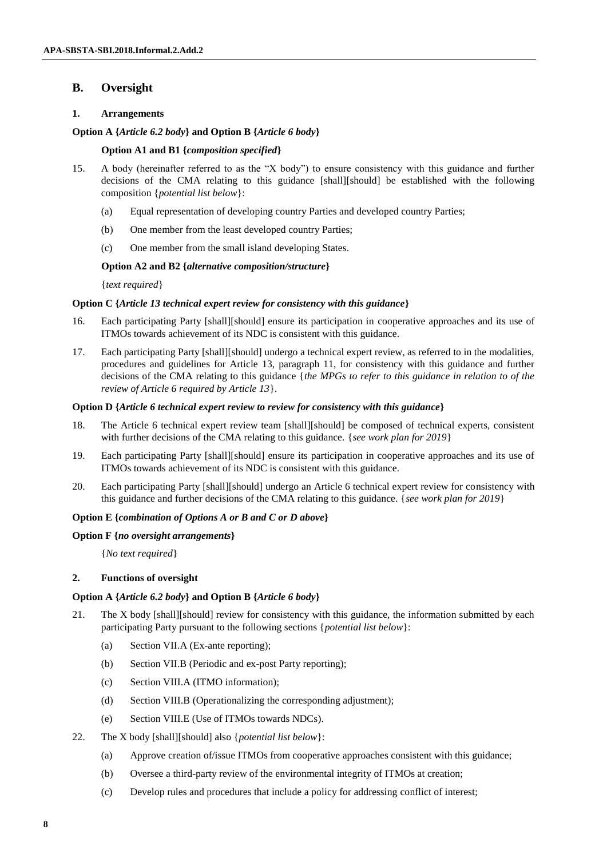## **B. Oversight**

## **1. Arrangements**

## **Option A {***Article 6.2 body***} and Option B {***Article 6 body***}**

## **Option A1 and B1 {***composition specified***}**

- 15. A body (hereinafter referred to as the "X body") to ensure consistency with this guidance and further decisions of the CMA relating to this guidance [shall][should] be established with the following composition {*potential list below*}:
	- (a) Equal representation of developing country Parties and developed country Parties;
	- (b) One member from the least developed country Parties;
	- (c) One member from the small island developing States.

## **Option A2 and B2 {***alternative composition/structure***}**

{*text required*}

## **Option C {***Article 13 technical expert review for consistency with this guidance***}**

- 16. Each participating Party [shall][should] ensure its participation in cooperative approaches and its use of ITMOs towards achievement of its NDC is consistent with this guidance.
- 17. Each participating Party [shall][should] undergo a technical expert review, as referred to in the modalities, procedures and guidelines for Article 13, paragraph 11, for consistency with this guidance and further decisions of the CMA relating to this guidance {*the MPGs to refer to this guidance in relation to of the review of Article 6 required by Article 13*}.

## **Option D {***Article 6 technical expert review to review for consistency with this guidance***}**

- 18. The Article 6 technical expert review team [shall][should] be composed of technical experts, consistent with further decisions of the CMA relating to this guidance. {*see work plan for 2019*}
- 19. Each participating Party [shall][should] ensure its participation in cooperative approaches and its use of ITMOs towards achievement of its NDC is consistent with this guidance.
- 20. Each participating Party [shall][should] undergo an Article 6 technical expert review for consistency with this guidance and further decisions of the CMA relating to this guidance. {*see work plan for 2019*}

## **Option E {***combination of Options A or B and C or D above***}**

## **Option F {***no oversight arrangements***}**

{*No text required*}

## **2. Functions of oversight**

## **Option A {***Article 6.2 body***} and Option B {***Article 6 body***}**

- 21. The X body [shall][should] review for consistency with this guidance, the information submitted by each participating Party pursuant to the following sections {*potential list below*}:
	- (a) Section VII.A (Ex-ante reporting);
	- (b) Section VII.B (Periodic and ex-post Party reporting);
	- (c) Section VIII.A (ITMO information);
	- (d) Section VIII.B (Operationalizing the corresponding adjustment);
	- (e) Section VIII.E (Use of ITMOs towards NDCs).
- 22. The X body [shall][should] also {*potential list below*}:
	- (a) Approve creation of/issue ITMOs from cooperative approaches consistent with this guidance;
	- (b) Oversee a third-party review of the environmental integrity of ITMOs at creation;
	- (c) Develop rules and procedures that include a policy for addressing conflict of interest;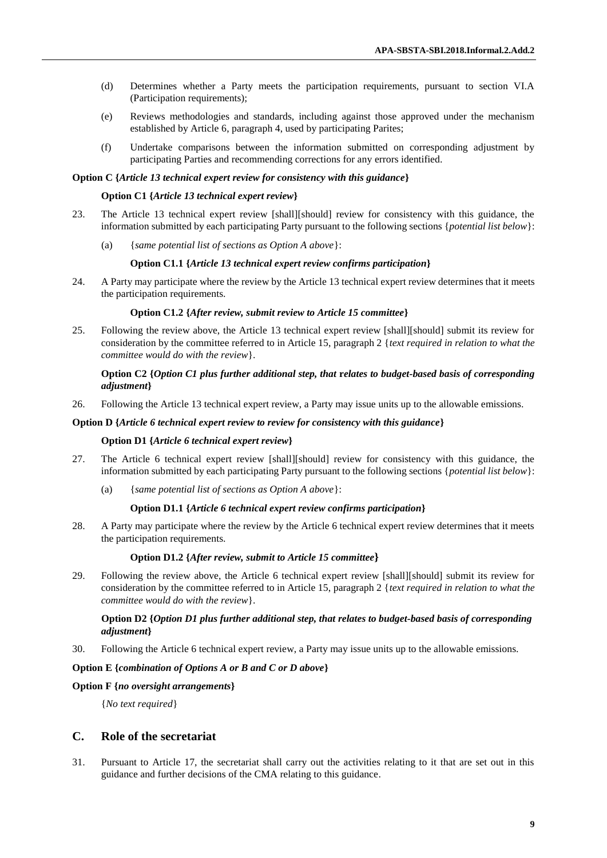- (d) Determines whether a Party meets the participation requirements, pursuant to section VI.A (Participation requirements);
- (e) Reviews methodologies and standards, including against those approved under the mechanism established by Article 6, paragraph 4, used by participating Parites;
- (f) Undertake comparisons between the information submitted on corresponding adjustment by participating Parties and recommending corrections for any errors identified.

#### **Option C {***Article 13 technical expert review for consistency with this guidance***}**

#### **Option C1 {***Article 13 technical expert review***}**

- 23. The Article 13 technical expert review [shall][should] review for consistency with this guidance, the information submitted by each participating Party pursuant to the following sections {*potential list below*}:
	- (a) {*same potential list of sections as Option A above*}:

#### **Option C1.1 {***Article 13 technical expert review confirms participation***}**

24. A Party may participate where the review by the Article 13 technical expert review determines that it meets the participation requirements.

#### **Option C1.2 {***After review, submit review to Article 15 committee***}**

25. Following the review above, the Article 13 technical expert review [shall][should] submit its review for consideration by the committee referred to in Article 15, paragraph 2 {*text required in relation to what the committee would do with the review*}.

## **Option C2 {***Option C1 plus further additional step, that* **r***elates to budget-based basis of corresponding adjustment***}**

26. Following the Article 13 technical expert review, a Party may issue units up to the allowable emissions.

#### **Option D {***Article 6 technical expert review to review for consistency with this guidance***}**

#### **Option D1 {***Article 6 technical expert review***}**

- 27. The Article 6 technical expert review [shall][should] review for consistency with this guidance, the information submitted by each participating Party pursuant to the following sections {*potential list below*}:
	- (a) {*same potential list of sections as Option A above*}:

#### **Option D1.1 {***Article 6 technical expert review confirms participation***}**

28. A Party may participate where the review by the Article 6 technical expert review determines that it meets the participation requirements.

#### **Option D1.2 {***After review, submit to Article 15 committee***}**

29. Following the review above, the Article 6 technical expert review [shall][should] submit its review for consideration by the committee referred to in Article 15, paragraph 2 {*text required in relation to what the committee would do with the review*}.

## **Option D2 {***Option D1 plus further additional step, that relates to budget-based basis of corresponding adjustment***}**

30. Following the Article 6 technical expert review, a Party may issue units up to the allowable emissions.

## **Option E {***combination of Options A or B and C or D above***}**

#### **Option F {***no oversight arrangements***}**

{*No text required*}

## **C. Role of the secretariat**

31. Pursuant to Article 17, the secretariat shall carry out the activities relating to it that are set out in this guidance and further decisions of the CMA relating to this guidance.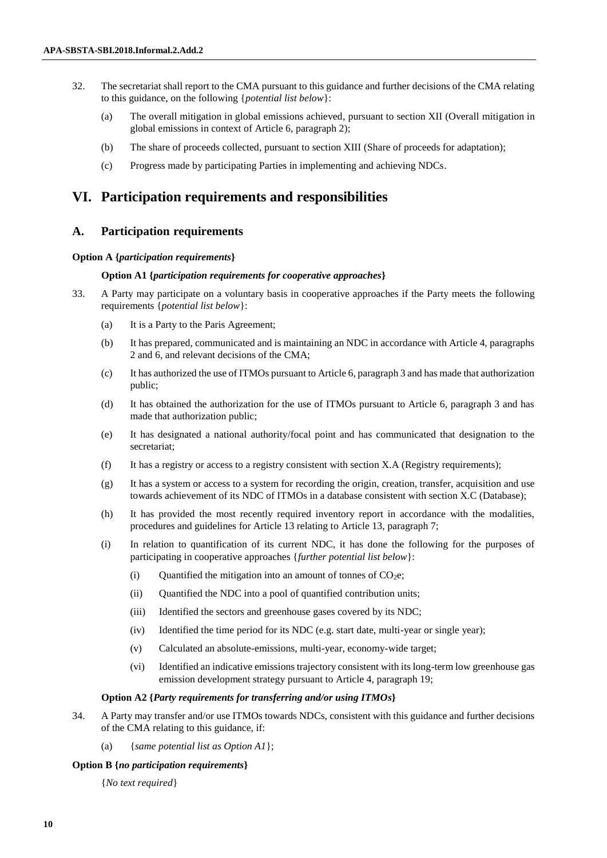- 32. The secretariat shall report to the CMA pursuant to this guidance and further decisions of the CMA relating to this guidance, on the following {*potential list below*}:
	- (a) The overall mitigation in global emissions achieved, pursuant to section XII (Overall mitigation in global emissions in context of Article 6, paragraph 2);
	- (b) The share of proceeds collected, pursuant to section XIII (Share of proceeds for adaptation);
	- (c) Progress made by participating Parties in implementing and achieving NDCs.

## **VI. Participation requirements and responsibilities**

## **A. Participation requirements**

### **Option A {***participation requirements***}**

## **Option A1 {***participation requirements for cooperative approaches***}**

- 33. A Party may participate on a voluntary basis in cooperative approaches if the Party meets the following requirements {*potential list below*}:
	- (a) It is a Party to the Paris Agreement;
	- (b) It has prepared, communicated and is maintaining an NDC in accordance with Article 4, paragraphs 2 and 6, and relevant decisions of the CMA;
	- (c) It has authorized the use of ITMOs pursuant to Article 6, paragraph 3 and has made that authorization public;
	- (d) It has obtained the authorization for the use of ITMOs pursuant to Article 6, paragraph 3 and has made that authorization public;
	- (e) It has designated a national authority/focal point and has communicated that designation to the secretariat;
	- (f) It has a registry or access to a registry consistent with section X.A (Registry requirements);
	- (g) It has a system or access to a system for recording the origin, creation, transfer, acquisition and use towards achievement of its NDC of ITMOs in a database consistent with section X.C (Database);
	- (h) It has provided the most recently required inventory report in accordance with the modalities, procedures and guidelines for Article 13 relating to Article 13, paragraph 7;
	- (i) In relation to quantification of its current NDC, it has done the following for the purposes of participating in cooperative approaches {*further potential list below*}:
		- (i) Quantified the mitigation into an amount of tonnes of  $CO<sub>2</sub>e$ ;
		- (ii) Quantified the NDC into a pool of quantified contribution units;
		- (iii) Identified the sectors and greenhouse gases covered by its NDC;
		- (iv) Identified the time period for its NDC (e.g. start date, multi-year or single year);
		- (v) Calculated an absolute-emissions, multi-year, economy-wide target;
		- (vi) Identified an indicative emissions trajectory consistent with its long-term low greenhouse gas emission development strategy pursuant to Article 4, paragraph 19;

#### **Option A2 {***Party requirements for transferring and/or using ITMOs***}**

- 34. A Party may transfer and/or use ITMOs towards NDCs, consistent with this guidance and further decisions of the CMA relating to this guidance, if:
	- (a) {*same potential list as Option A1*};

#### **Option B {***no participation requirements***}**

{*No text required*}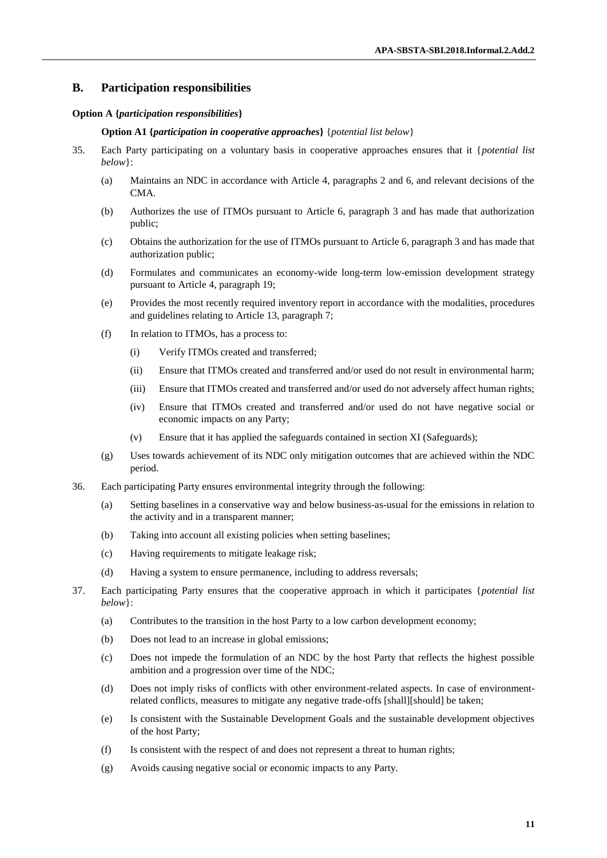## **B. Participation responsibilities**

#### **Option A {***participation responsibilities***}**

#### **Option A1 {***participation in cooperative approaches***}** {*potential list below*}

- 35. Each Party participating on a voluntary basis in cooperative approaches ensures that it {*potential list below*}:
	- (a) Maintains an NDC in accordance with Article 4, paragraphs 2 and 6, and relevant decisions of the CMA.
	- (b) Authorizes the use of ITMOs pursuant to Article 6, paragraph 3 and has made that authorization public;
	- (c) Obtains the authorization for the use of ITMOs pursuant to Article 6, paragraph 3 and has made that authorization public;
	- (d) Formulates and communicates an economy-wide long-term low-emission development strategy pursuant to Article 4, paragraph 19;
	- (e) Provides the most recently required inventory report in accordance with the modalities, procedures and guidelines relating to Article 13, paragraph 7;
	- (f) In relation to ITMOs, has a process to:
		- (i) Verify ITMOs created and transferred;
		- (ii) Ensure that ITMOs created and transferred and/or used do not result in environmental harm;
		- (iii) Ensure that ITMOs created and transferred and/or used do not adversely affect human rights;
		- (iv) Ensure that ITMOs created and transferred and/or used do not have negative social or economic impacts on any Party;
		- (v) Ensure that it has applied the safeguards contained in section XI (Safeguards);
	- (g) Uses towards achievement of its NDC only mitigation outcomes that are achieved within the NDC period.
- 36. Each participating Party ensures environmental integrity through the following:
	- (a) Setting baselines in a conservative way and below business-as-usual for the emissions in relation to the activity and in a transparent manner;
	- (b) Taking into account all existing policies when setting baselines;
	- (c) Having requirements to mitigate leakage risk;
	- (d) Having a system to ensure permanence, including to address reversals;
- 37. Each participating Party ensures that the cooperative approach in which it participates {*potential list below*}:
	- (a) Contributes to the transition in the host Party to a low carbon development economy;
	- (b) Does not lead to an increase in global emissions;
	- (c) Does not impede the formulation of an NDC by the host Party that reflects the highest possible ambition and a progression over time of the NDC;
	- (d) Does not imply risks of conflicts with other environment-related aspects. In case of environmentrelated conflicts, measures to mitigate any negative trade-offs [shall][should] be taken;
	- (e) Is consistent with the Sustainable Development Goals and the sustainable development objectives of the host Party;
	- (f) Is consistent with the respect of and does not represent a threat to human rights;
	- (g) Avoids causing negative social or economic impacts to any Party.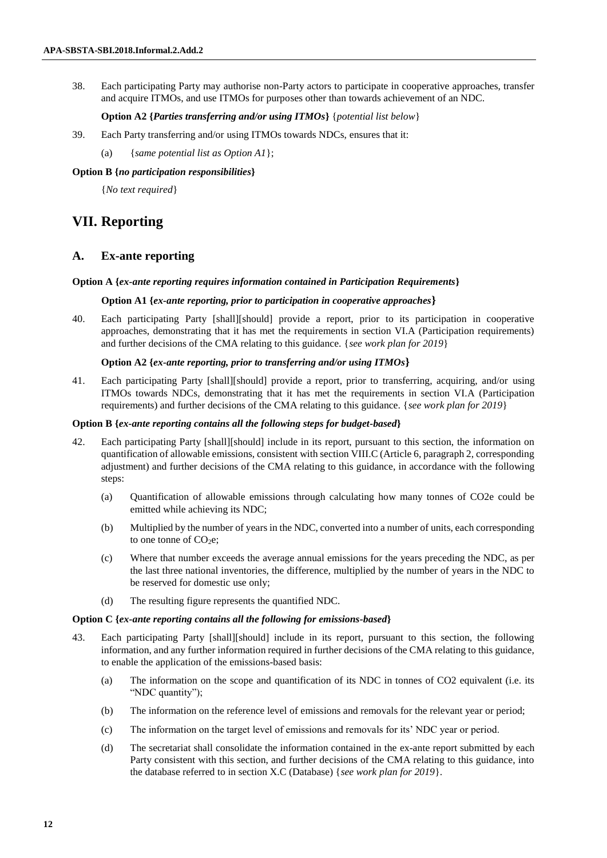38. Each participating Party may authorise non-Party actors to participate in cooperative approaches, transfer and acquire ITMOs, and use ITMOs for purposes other than towards achievement of an NDC.

**Option A2 {***Parties transferring and/or using ITMOs***}** {*potential list below*}

- 39. Each Party transferring and/or using ITMOs towards NDCs, ensures that it:
	- (a) {*same potential list as Option A1*};

## **Option B {***no participation responsibilities***}**

{*No text required*}

## **VII. Reporting**

## **A. Ex-ante reporting**

### **Option A {***ex-ante reporting requires information contained in Participation Requirements***}**

### **Option A1 {***ex-ante reporting, prior to participation in cooperative approaches***}**

40. Each participating Party [shall][should] provide a report, prior to its participation in cooperative approaches, demonstrating that it has met the requirements in section VI.A (Participation requirements) and further decisions of the CMA relating to this guidance. {*see work plan for 2019*}

## **Option A2 {***ex-ante reporting, prior to transferring and/or using ITMOs***}**

41. Each participating Party [shall][should] provide a report, prior to transferring, acquiring, and/or using ITMOs towards NDCs, demonstrating that it has met the requirements in section VI.A (Participation requirements) and further decisions of the CMA relating to this guidance. {*see work plan for 2019*}

## **Option B {***ex-ante reporting contains all the following steps for budget-based***}**

- 42. Each participating Party [shall][should] include in its report, pursuant to this section, the information on quantification of allowable emissions, consistent with section VIII.C (Article 6, paragraph 2, corresponding adjustment) and further decisions of the CMA relating to this guidance, in accordance with the following steps:
	- (a) Quantification of allowable emissions through calculating how many tonnes of CO2e could be emitted while achieving its NDC;
	- (b) Multiplied by the number of years in the NDC, converted into a number of units, each corresponding to one tonne of  $CO<sub>2</sub>e$ ;
	- (c) Where that number exceeds the average annual emissions for the years preceding the NDC, as per the last three national inventories, the difference, multiplied by the number of years in the NDC to be reserved for domestic use only;
	- (d) The resulting figure represents the quantified NDC.

#### **Option C {***ex-ante reporting contains all the following for emissions-based***}**

- 43. Each participating Party [shall][should] include in its report, pursuant to this section, the following information, and any further information required in further decisions of the CMA relating to this guidance, to enable the application of the emissions-based basis:
	- (a) The information on the scope and quantification of its NDC in tonnes of CO2 equivalent (i.e. its "NDC quantity");
	- (b) The information on the reference level of emissions and removals for the relevant year or period;
	- (c) The information on the target level of emissions and removals for its' NDC year or period.
	- (d) The secretariat shall consolidate the information contained in the ex-ante report submitted by each Party consistent with this section, and further decisions of the CMA relating to this guidance, into the database referred to in section X.C (Database) {*see work plan for 2019*}.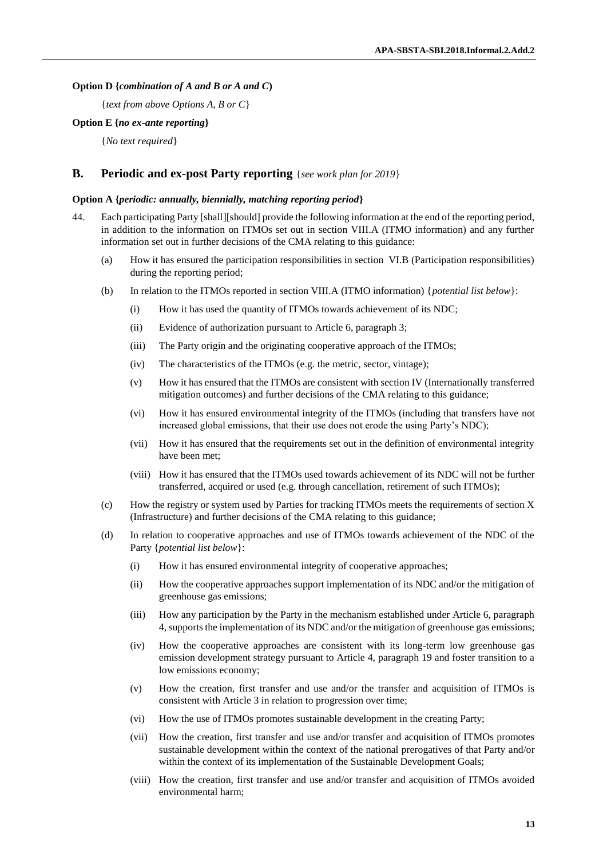### **Option D {***combination of A and B or A and C***)**

{*text from above Options A, B or C*}

#### **Option E {***no ex-ante reporting***}**

{*No text required*}

## **B. Periodic and ex-post Party reporting** {*see work plan for 2019*}

#### **Option A {***periodic: annually, biennially, matching reporting period***}**

- 44. Each participating Party [shall][should] provide the following information at the end of the reporting period, in addition to the information on ITMOs set out in section VIII.A (ITMO information) and any further information set out in further decisions of the CMA relating to this guidance:
	- (a) How it has ensured the participation responsibilities in section VI.B (Participation responsibilities) during the reporting period;
	- (b) In relation to the ITMOs reported in section VIII.A (ITMO information) {*potential list below*}:
		- (i) How it has used the quantity of ITMOs towards achievement of its NDC;
		- (ii) Evidence of authorization pursuant to Article 6, paragraph 3;
		- (iii) The Party origin and the originating cooperative approach of the ITMOs;
		- (iv) The characteristics of the ITMOs (e.g. the metric, sector, vintage);
		- (v) How it has ensured that the ITMOs are consistent with section IV (Internationally transferred mitigation outcomes) and further decisions of the CMA relating to this guidance;
		- (vi) How it has ensured environmental integrity of the ITMOs (including that transfers have not increased global emissions, that their use does not erode the using Party's NDC);
		- (vii) How it has ensured that the requirements set out in the definition of environmental integrity have been met;
		- (viii) How it has ensured that the ITMOs used towards achievement of its NDC will not be further transferred, acquired or used (e.g. through cancellation, retirement of such ITMOs);
	- (c) How the registry or system used by Parties for tracking ITMOs meets the requirements of section X (Infrastructure) and further decisions of the CMA relating to this guidance;
	- (d) In relation to cooperative approaches and use of ITMOs towards achievement of the NDC of the Party {*potential list below*}:
		- (i) How it has ensured environmental integrity of cooperative approaches;
		- (ii) How the cooperative approaches support implementation of its NDC and/or the mitigation of greenhouse gas emissions;
		- (iii) How any participation by the Party in the mechanism established under Article 6, paragraph 4, supports the implementation of its NDC and/or the mitigation of greenhouse gas emissions;
		- (iv) How the cooperative approaches are consistent with its long-term low greenhouse gas emission development strategy pursuant to Article 4, paragraph 19 and foster transition to a low emissions economy;
		- (v) How the creation, first transfer and use and/or the transfer and acquisition of ITMOs is consistent with Article 3 in relation to progression over time;
		- (vi) How the use of ITMOs promotes sustainable development in the creating Party;
		- (vii) How the creation, first transfer and use and/or transfer and acquisition of ITMOs promotes sustainable development within the context of the national prerogatives of that Party and/or within the context of its implementation of the Sustainable Development Goals;
		- (viii) How the creation, first transfer and use and/or transfer and acquisition of ITMOs avoided environmental harm;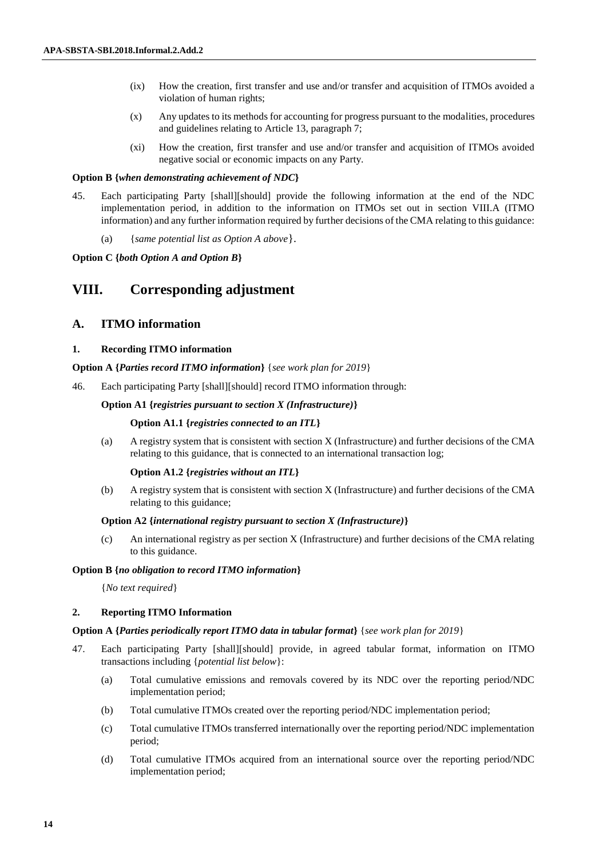- (ix) How the creation, first transfer and use and/or transfer and acquisition of ITMOs avoided a violation of human rights;
- (x) Any updates to its methods for accounting for progress pursuant to the modalities, procedures and guidelines relating to Article 13, paragraph 7;
- (xi) How the creation, first transfer and use and/or transfer and acquisition of ITMOs avoided negative social or economic impacts on any Party.

#### **Option B {***when demonstrating achievement of NDC***}**

- 45. Each participating Party [shall][should] provide the following information at the end of the NDC implementation period, in addition to the information on ITMOs set out in section VIII.A (ITMO information) and any further information required by further decisions of the CMA relating to this guidance:
	- (a) {*same potential list as Option A above*}.

**Option C {***both Option A and Option B***}**

## **VIII. Corresponding adjustment**

## **A. ITMO information**

### **1. Recording ITMO information**

#### **Option A {***Parties record ITMO information***}** {*see work plan for 2019*}

46. Each participating Party [shall][should] record ITMO information through:

#### **Option A1 {***registries pursuant to section X (Infrastructure)***}**

### **Option A1.1 {***registries connected to an ITL***}**

(a) A registry system that is consistent with section X (Infrastructure) and further decisions of the CMA relating to this guidance, that is connected to an international transaction log;

#### **Option A1.2 {***registries without an ITL***}**

(b) A registry system that is consistent with section X (Infrastructure) and further decisions of the CMA relating to this guidance;

## **Option A2 {***international registry pursuant to section X (Infrastructure)***}**

(c) An international registry as per section X (Infrastructure) and further decisions of the CMA relating to this guidance.

#### **Option B {***no obligation to record ITMO information***}**

{*No text required*}

#### **2. Reporting ITMO Information**

### **Option A {***Parties periodically report ITMO data in tabular format***}** {*see work plan for 2019*}

- 47. Each participating Party [shall][should] provide, in agreed tabular format, information on ITMO transactions including {*potential list below*}:
	- (a) Total cumulative emissions and removals covered by its NDC over the reporting period/NDC implementation period;
	- (b) Total cumulative ITMOs created over the reporting period/NDC implementation period;
	- (c) Total cumulative ITMOs transferred internationally over the reporting period/NDC implementation period;
	- (d) Total cumulative ITMOs acquired from an international source over the reporting period/NDC implementation period;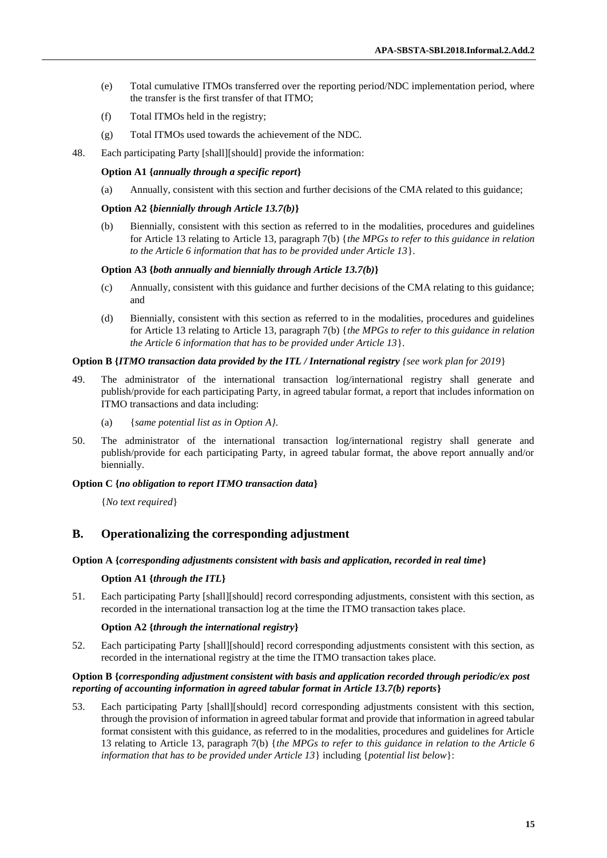- (e) Total cumulative ITMOs transferred over the reporting period/NDC implementation period, where the transfer is the first transfer of that ITMO;
- (f) Total ITMOs held in the registry;
- (g) Total ITMOs used towards the achievement of the NDC.
- 48. Each participating Party [shall][should] provide the information:

### **Option A1 {***annually through a specific report***}**

(a) Annually, consistent with this section and further decisions of the CMA related to this guidance;

### **Option A2 {***biennially through Article 13.7(b)***}**

(b) Biennially, consistent with this section as referred to in the modalities, procedures and guidelines for Article 13 relating to Article 13, paragraph 7(b) {*the MPGs to refer to this guidance in relation to the Article 6 information that has to be provided under Article 13*}.

### **Option A3 {***both annually and biennially through Article 13.7(b)***}**

- (c) Annually, consistent with this guidance and further decisions of the CMA relating to this guidance; and
- (d) Biennially, consistent with this section as referred to in the modalities, procedures and guidelines for Article 13 relating to Article 13, paragraph 7(b) {*the MPGs to refer to this guidance in relation the Article 6 information that has to be provided under Article 13*}.

## **Option B {***ITMO transaction data provided by the ITL / International registry {see work plan for 2019*}

- 49. The administrator of the international transaction log/international registry shall generate and publish/provide for each participating Party, in agreed tabular format, a report that includes information on ITMO transactions and data including:
	- (a) {*same potential list as in Option A}*.
- 50. The administrator of the international transaction log/international registry shall generate and publish/provide for each participating Party, in agreed tabular format, the above report annually and/or biennially.

## **Option C {***no obligation to report ITMO transaction data***}**

{*No text required*}

## **B. Operationalizing the corresponding adjustment**

#### **Option A {***corresponding adjustments consistent with basis and application, recorded in real time***}**

#### **Option A1 {***through the ITL***}**

51. Each participating Party [shall][should] record corresponding adjustments, consistent with this section, as recorded in the international transaction log at the time the ITMO transaction takes place.

#### **Option A2 {***through the international registry***}**

52. Each participating Party [shall][should] record corresponding adjustments consistent with this section, as recorded in the international registry at the time the ITMO transaction takes place.

### **Option B {***corresponding adjustment consistent with basis and application recorded through periodic/ex post reporting of accounting information in agreed tabular format in Article 13.7(b) reports***}**

53. Each participating Party [shall][should] record corresponding adjustments consistent with this section, through the provision of information in agreed tabular format and provide that information in agreed tabular format consistent with this guidance, as referred to in the modalities, procedures and guidelines for Article 13 relating to Article 13, paragraph 7(b) {*the MPGs to refer to this guidance in relation to the Article 6 information that has to be provided under Article 13*} including {*potential list below*}: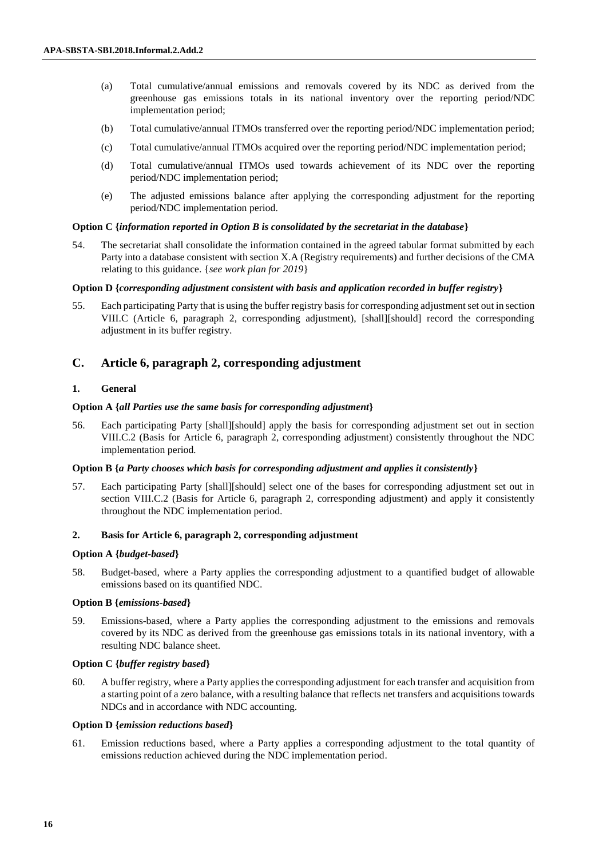- (a) Total cumulative/annual emissions and removals covered by its NDC as derived from the greenhouse gas emissions totals in its national inventory over the reporting period/NDC implementation period;
- (b) Total cumulative/annual ITMOs transferred over the reporting period/NDC implementation period;
- (c) Total cumulative/annual ITMOs acquired over the reporting period/NDC implementation period;
- (d) Total cumulative/annual ITMOs used towards achievement of its NDC over the reporting period/NDC implementation period;
- (e) The adjusted emissions balance after applying the corresponding adjustment for the reporting period/NDC implementation period.

### **Option C {***information reported in Option B is consolidated by the secretariat in the database***}**

54. The secretariat shall consolidate the information contained in the agreed tabular format submitted by each Party into a database consistent with section X.A (Registry requirements) and further decisions of the CMA relating to this guidance. {*see work plan for 2019*}

#### **Option D {***corresponding adjustment consistent with basis and application recorded in buffer registry***}**

55. Each participating Party that is using the buffer registry basis for corresponding adjustment set out in section VIII.C (Article 6, paragraph 2, corresponding adjustment), [shall][should] record the corresponding adjustment in its buffer registry.

## **C. Article 6, paragraph 2, corresponding adjustment**

### **1. General**

## **Option A {***all Parties use the same basis for corresponding adjustment***}**

56. Each participating Party [shall][should] apply the basis for corresponding adjustment set out in section VIII.C.2 (Basis for Article 6, paragraph 2, corresponding adjustment) consistently throughout the NDC implementation period*.*

#### **Option B {***a Party chooses which basis for corresponding adjustment and applies it consistently***}**

57. Each participating Party [shall][should] select one of the bases for corresponding adjustment set out in section VIII.C.2 (Basis for Article 6, paragraph 2, corresponding adjustment) and apply it consistently throughout the NDC implementation period*.*

## **2. Basis for Article 6, paragraph 2, corresponding adjustment**

#### **Option A {***budget-based***}**

58. Budget-based, where a Party applies the corresponding adjustment to a quantified budget of allowable emissions based on its quantified NDC.

#### **Option B {***emissions-based***}**

59. Emissions-based, where a Party applies the corresponding adjustment to the emissions and removals covered by its NDC as derived from the greenhouse gas emissions totals in its national inventory, with a resulting NDC balance sheet.

## **Option C {***buffer registry based***}**

60. A buffer registry, where a Party applies the corresponding adjustment for each transfer and acquisition from a starting point of a zero balance, with a resulting balance that reflects net transfers and acquisitions towards NDCs and in accordance with NDC accounting.

#### **Option D {***emission reductions based***}**

61. Emission reductions based, where a Party applies a corresponding adjustment to the total quantity of emissions reduction achieved during the NDC implementation period.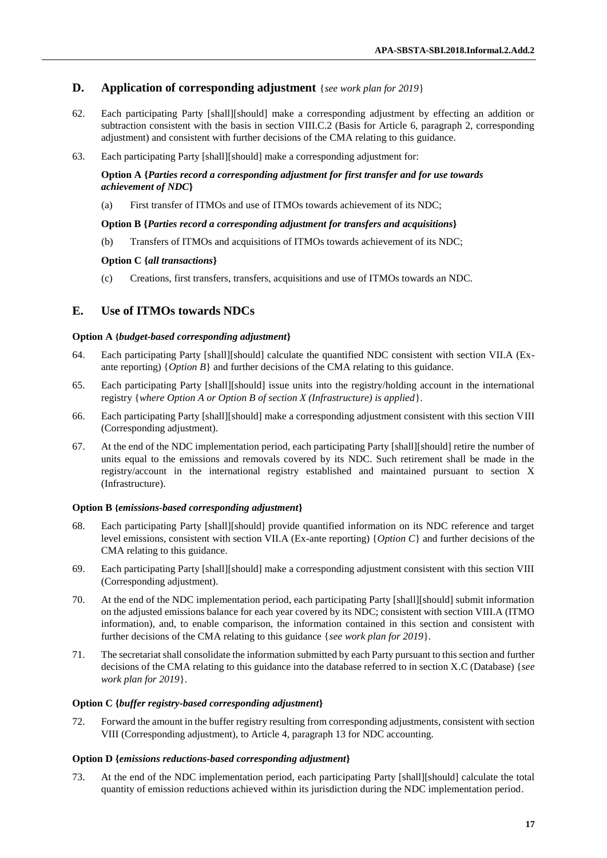## **D. Application of corresponding adjustment** {*see work plan for 2019*}

- 62. Each participating Party [shall][should] make a corresponding adjustment by effecting an addition or subtraction consistent with the basis in section VIII.C.2 (Basis for Article 6, paragraph 2, corresponding adjustment) and consistent with further decisions of the CMA relating to this guidance.
- 63. Each participating Party [shall][should] make a corresponding adjustment for:

## **Option A {***Parties record a corresponding adjustment for first transfer and for use towards achievement of NDC***}**

(a) First transfer of ITMOs and use of ITMOs towards achievement of its NDC;

### **Option B {***Parties record a corresponding adjustment for transfers and acquisitions***}**

(b) Transfers of ITMOs and acquisitions of ITMOs towards achievement of its NDC;

### **Option C {***all transactions***}**

(c) Creations, first transfers, transfers, acquisitions and use of ITMOs towards an NDC.

## **E. Use of ITMOs towards NDCs**

#### **Option A {***budget-based corresponding adjustment***}**

- 64. Each participating Party [shall][should] calculate the quantified NDC consistent with section VII.A (Exante reporting) {*Option B*} and further decisions of the CMA relating to this guidance.
- 65. Each participating Party [shall][should] issue units into the registry/holding account in the international registry {*where Option A or Option B of section X (Infrastructure) is applied*}.
- 66. Each participating Party [shall][should] make a corresponding adjustment consistent with this section VIII (Corresponding adjustment).
- 67. At the end of the NDC implementation period, each participating Party [shall][should] retire the number of units equal to the emissions and removals covered by its NDC. Such retirement shall be made in the registry/account in the international registry established and maintained pursuant to section X (Infrastructure).

#### **Option B {***emissions-based corresponding adjustment***}**

- 68. Each participating Party [shall][should] provide quantified information on its NDC reference and target level emissions, consistent with section VII.A (Ex-ante reporting) {*Option C*} and further decisions of the CMA relating to this guidance.
- 69. Each participating Party [shall][should] make a corresponding adjustment consistent with this section VIII (Corresponding adjustment).
- 70. At the end of the NDC implementation period, each participating Party [shall][should] submit information on the adjusted emissions balance for each year covered by its NDC; consistent with section VIII.A (ITMO information), and, to enable comparison, the information contained in this section and consistent with further decisions of the CMA relating to this guidance {*see work plan for 2019*}.
- 71. The secretariat shall consolidate the information submitted by each Party pursuant to this section and further decisions of the CMA relating to this guidance into the database referred to in section X.C (Database) {*see work plan for 2019*}.

#### **Option C {***buffer registry-based corresponding adjustment***}**

72. Forward the amount in the buffer registry resulting from corresponding adjustments, consistent with section VIII (Corresponding adjustment), to Article 4, paragraph 13 for NDC accounting.

#### **Option D {***emissions reductions-based corresponding adjustment***}**

73. At the end of the NDC implementation period, each participating Party [shall][should] calculate the total quantity of emission reductions achieved within its jurisdiction during the NDC implementation period.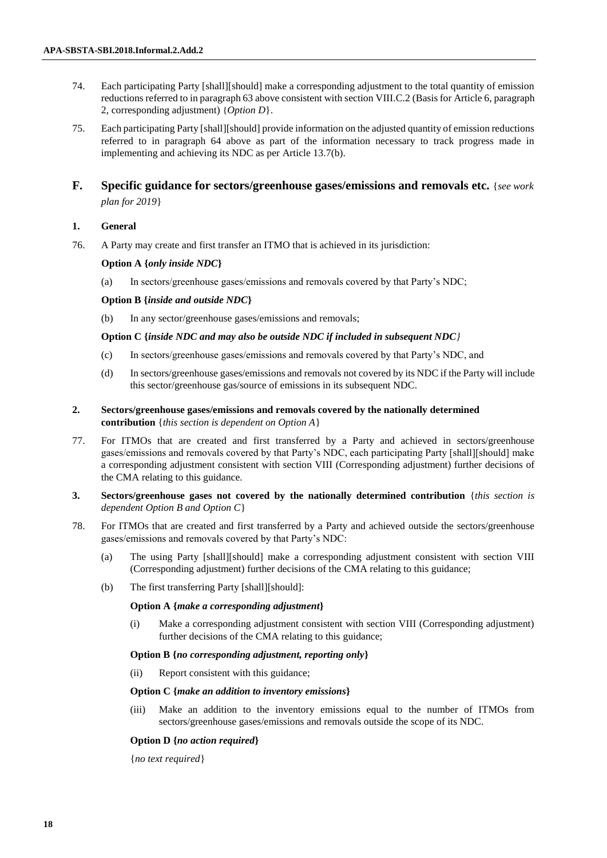- 74. Each participating Party [shall][should] make a corresponding adjustment to the total quantity of emission reductions referred to in paragraph 63 above consistent with section VIII.C.2 (Basis for Article 6, paragraph 2, corresponding adjustment) {*Option D*}.
- 75. Each participating Party [shall][should] provide information on the adjusted quantity of emission reductions referred to in paragraph 64 above as part of the information necessary to track progress made in implementing and achieving its NDC as per Article 13.7(b).
- **F. Specific guidance for sectors/greenhouse gases/emissions and removals etc.** {*see work plan for 2019*}

## **1. General**

76. A Party may create and first transfer an ITMO that is achieved in its jurisdiction:

## **Option A {***only inside NDC***}**

(a) In sectors/greenhouse gases/emissions and removals covered by that Party's NDC;

## **Option B {***inside and outside NDC***}**

(b) In any sector/greenhouse gases/emissions and removals;

### **Option C {***inside NDC and may also be outside NDC if included in subsequent NDC}*

- (c) In sectors/greenhouse gases/emissions and removals covered by that Party's NDC, and
- (d) In sectors/greenhouse gases/emissions and removals not covered by its NDC if the Party will include this sector/greenhouse gas/source of emissions in its subsequent NDC.
- **2. Sectors/greenhouse gases/emissions and removals covered by the nationally determined contribution** {*this section is dependent on Option A*}
- 77. For ITMOs that are created and first transferred by a Party and achieved in sectors/greenhouse gases/emissions and removals covered by that Party's NDC, each participating Party [shall][should] make a corresponding adjustment consistent with section VIII (Corresponding adjustment) further decisions of the CMA relating to this guidance.
- **3. Sectors/greenhouse gases not covered by the nationally determined contribution** {*this section is dependent Option B and Option C*}
- 78. For ITMOs that are created and first transferred by a Party and achieved outside the sectors/greenhouse gases/emissions and removals covered by that Party's NDC:
	- (a) The using Party [shall][should] make a corresponding adjustment consistent with section VIII (Corresponding adjustment) further decisions of the CMA relating to this guidance;
	- (b) The first transferring Party [shall][should]:

#### **Option A {***make a corresponding adjustment***}**

(i) Make a corresponding adjustment consistent with section VIII (Corresponding adjustment) further decisions of the CMA relating to this guidance;

## **Option B {***no corresponding adjustment, reporting only***}**

(ii) Report consistent with this guidance;

## **Option C {***make an addition to inventory emissions***}**

(iii) Make an addition to the inventory emissions equal to the number of ITMOs from sectors/greenhouse gases/emissions and removals outside the scope of its NDC.

### **Option D {***no action required***}**

{*no text required*}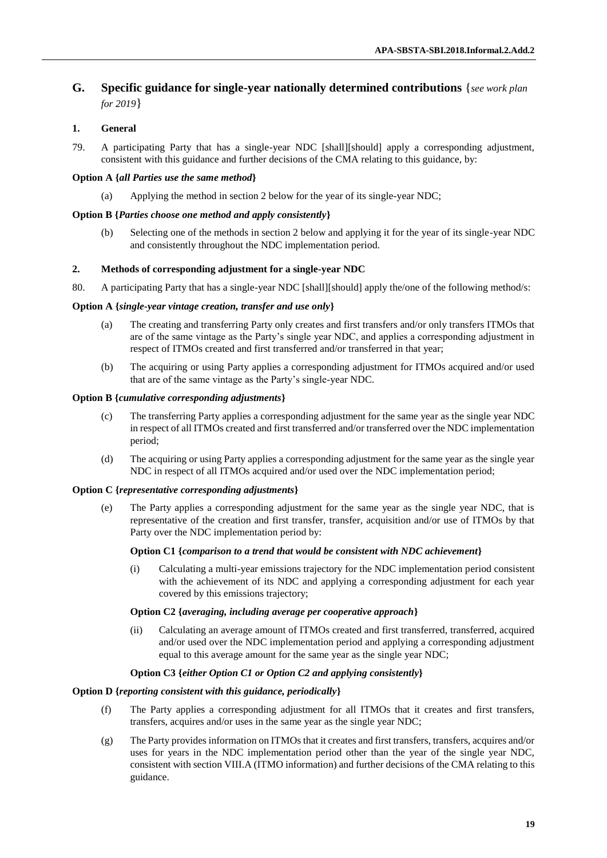## **G. Specific guidance for single-year nationally determined contributions** {*see work plan for 2019*}

## **1. General**

79. A participating Party that has a single-year NDC [shall][should] apply a corresponding adjustment, consistent with this guidance and further decisions of the CMA relating to this guidance, by:

#### **Option A {***all Parties use the same method***}**

(a) Applying the method in section 2 below for the year of its single-year NDC;

#### **Option B {***Parties choose one method and apply consistently***}**

(b) Selecting one of the methods in section 2 below and applying it for the year of its single-year NDC and consistently throughout the NDC implementation period.

#### **2. Methods of corresponding adjustment for a single-year NDC**

80. A participating Party that has a single-year NDC [shall][should] apply the/one of the following method/s:

#### **Option A {***single-year vintage creation, transfer and use only***}**

- (a) The creating and transferring Party only creates and first transfers and/or only transfers ITMOs that are of the same vintage as the Party's single year NDC, and applies a corresponding adjustment in respect of ITMOs created and first transferred and/or transferred in that year;
- (b) The acquiring or using Party applies a corresponding adjustment for ITMOs acquired and/or used that are of the same vintage as the Party's single-year NDC.

### **Option B {***cumulative corresponding adjustments***}**

- (c) The transferring Party applies a corresponding adjustment for the same year as the single year NDC in respect of all ITMOs created and first transferred and/or transferred over the NDC implementation period;
- (d) The acquiring or using Party applies a corresponding adjustment for the same year as the single year NDC in respect of all ITMOs acquired and/or used over the NDC implementation period;

### **Option C {***representative corresponding adjustments***}**

(e) The Party applies a corresponding adjustment for the same year as the single year NDC, that is representative of the creation and first transfer, transfer, acquisition and/or use of ITMOs by that Party over the NDC implementation period by:

## **Option C1 {***comparison to a trend that would be consistent with NDC achievement***}**

(i) Calculating a multi-year emissions trajectory for the NDC implementation period consistent with the achievement of its NDC and applying a corresponding adjustment for each year covered by this emissions trajectory;

#### **Option C2 {***averaging, including average per cooperative approach***}**

(ii) Calculating an average amount of ITMOs created and first transferred, transferred, acquired and/or used over the NDC implementation period and applying a corresponding adjustment equal to this average amount for the same year as the single year NDC;

## **Option C3 {***either Option C1 or Option C2 and applying consistently***}**

#### **Option D {***reporting consistent with this guidance, periodically***}**

- (f) The Party applies a corresponding adjustment for all ITMOs that it creates and first transfers, transfers, acquires and/or uses in the same year as the single year NDC;
- (g) The Party provides information on ITMOs that it creates and first transfers, transfers, acquires and/or uses for years in the NDC implementation period other than the year of the single year NDC, consistent with section VIII.A (ITMO information) and further decisions of the CMA relating to this guidance.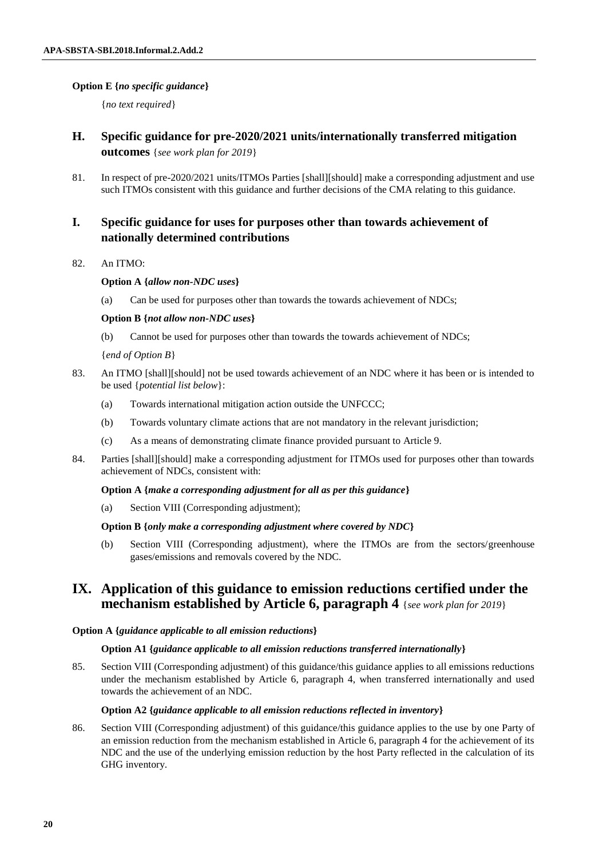## **Option E {***no specific guidance***}**

{*no text required*}

- **H. Specific guidance for pre-2020/2021 units/internationally transferred mitigation outcomes** {*see work plan for 2019*}
- 81. In respect of pre-2020/2021 units/ITMOs Parties [shall][should] make a corresponding adjustment and use such ITMOs consistent with this guidance and further decisions of the CMA relating to this guidance.

## **I. Specific guidance for uses for purposes other than towards achievement of nationally determined contributions**

82. An ITMO:

## **Option A {***allow non-NDC uses***}**

(a) Can be used for purposes other than towards the towards achievement of NDCs;

## **Option B {***not allow non-NDC uses***}**

(b) Cannot be used for purposes other than towards the towards achievement of NDCs;

{*end of Option B*}

- 83. An ITMO [shall][should] not be used towards achievement of an NDC where it has been or is intended to be used {*potential list below*}:
	- (a) Towards international mitigation action outside the UNFCCC;
	- (b) Towards voluntary climate actions that are not mandatory in the relevant jurisdiction;
	- (c) As a means of demonstrating climate finance provided pursuant to Article 9.
- 84. Parties [shall][should] make a corresponding adjustment for ITMOs used for purposes other than towards achievement of NDCs, consistent with:

### **Option A {***make a corresponding adjustment for all as per this guidance***}**

(a) Section VIII (Corresponding adjustment);

## **Option B {***only make a corresponding adjustment where covered by NDC***}**

(b) Section VIII (Corresponding adjustment), where the ITMOs are from the sectors/greenhouse gases/emissions and removals covered by the NDC.

## **IX. Application of this guidance to emission reductions certified under the mechanism established by Article 6, paragraph 4** {*see work plan for 2019*}

#### **Option A {***guidance applicable to all emission reductions***}**

#### **Option A1 {***guidance applicable to all emission reductions transferred internationally***}**

85. Section VIII (Corresponding adjustment) of this guidance/this guidance applies to all emissions reductions under the mechanism established by Article 6, paragraph 4, when transferred internationally and used towards the achievement of an NDC.

### **Option A2 {***guidance applicable to all emission reductions reflected in inventory***}**

86. Section VIII (Corresponding adjustment) of this guidance/this guidance applies to the use by one Party of an emission reduction from the mechanism established in Article 6, paragraph 4 for the achievement of its NDC and the use of the underlying emission reduction by the host Party reflected in the calculation of its GHG inventory.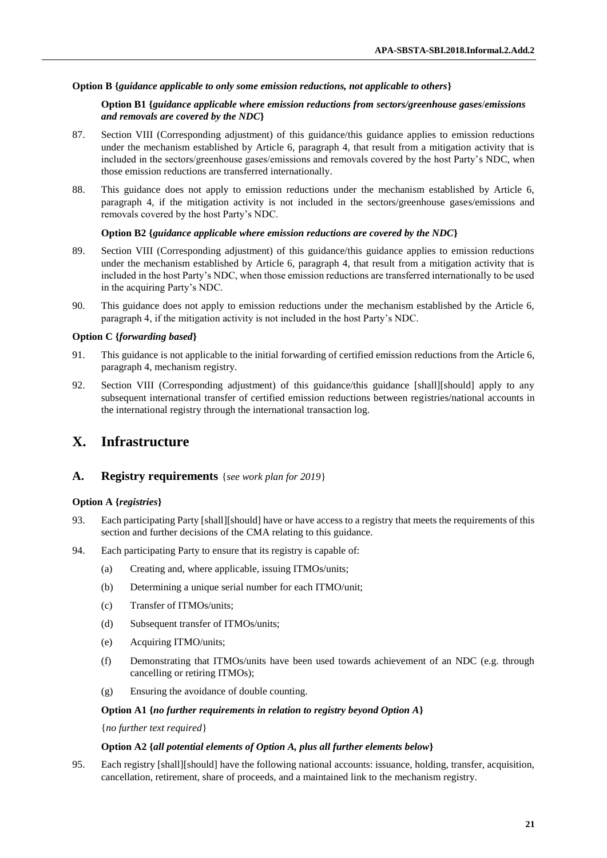## **Option B {***guidance applicable to only some emission reductions, not applicable to others***}**

#### **Option B1 {***guidance applicable where emission reductions from sectors/greenhouse gases*/*emissions and removals are covered by the NDC***}**

- 87. Section VIII (Corresponding adjustment) of this guidance/this guidance applies to emission reductions under the mechanism established by Article 6, paragraph 4, that result from a mitigation activity that is included in the sectors/greenhouse gases/emissions and removals covered by the host Party's NDC, when those emission reductions are transferred internationally.
- 88. This guidance does not apply to emission reductions under the mechanism established by Article 6, paragraph 4, if the mitigation activity is not included in the sectors/greenhouse gases/emissions and removals covered by the host Party's NDC.

#### **Option B2 {***guidance applicable where emission reductions are covered by the NDC***}**

- 89. Section VIII (Corresponding adjustment) of this guidance/this guidance applies to emission reductions under the mechanism established by Article 6, paragraph 4, that result from a mitigation activity that is included in the host Party's NDC, when those emission reductions are transferred internationally to be used in the acquiring Party's NDC.
- 90. This guidance does not apply to emission reductions under the mechanism established by the Article 6, paragraph 4, if the mitigation activity is not included in the host Party's NDC.

#### **Option C {***forwarding based***}**

- 91. This guidance is not applicable to the initial forwarding of certified emission reductions from the Article 6, paragraph 4, mechanism registry.
- 92. Section VIII (Corresponding adjustment) of this guidance/this guidance [shall][should] apply to any subsequent international transfer of certified emission reductions between registries/national accounts in the international registry through the international transaction log.

# **X. Infrastructure**

## **A. Registry requirements** {*see work plan for 2019*}

#### **Option A {***registries***}**

- 93. Each participating Party [shall][should] have or have access to a registry that meets the requirements of this section and further decisions of the CMA relating to this guidance.
- 94. Each participating Party to ensure that its registry is capable of:
	- (a) Creating and, where applicable, issuing ITMOs/units;
	- (b) Determining a unique serial number for each ITMO/unit;
	- (c) Transfer of ITMOs/units;
	- (d) Subsequent transfer of ITMOs/units;
	- (e) Acquiring ITMO/units;
	- (f) Demonstrating that ITMOs/units have been used towards achievement of an NDC (e.g. through cancelling or retiring ITMOs);
	- (g) Ensuring the avoidance of double counting.

#### **Option A1 {***no further requirements in relation to registry beyond Option A***}**

{*no further text required*}

### **Option A2 {***all potential elements of Option A, plus all further elements below***}**

95. Each registry [shall][should] have the following national accounts: issuance, holding, transfer, acquisition, cancellation, retirement, share of proceeds, and a maintained link to the mechanism registry.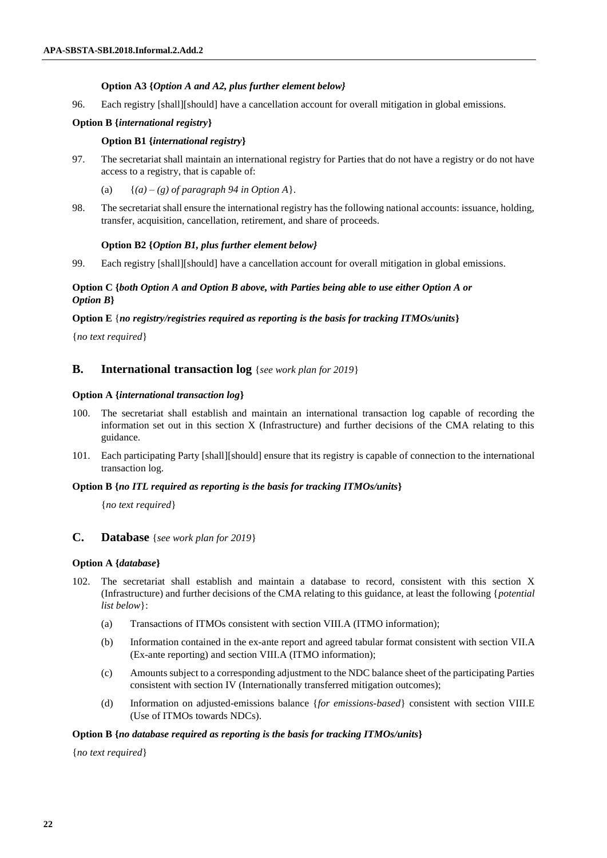## **Option A3 {***Option A and A2, plus further element below}*

96. Each registry [shall][should] have a cancellation account for overall mitigation in global emissions.

## **Option B {***international registry***}**

## **Option B1 {***international registry***}**

97. The secretariat shall maintain an international registry for Parties that do not have a registry or do not have access to a registry, that is capable of:

(a)  $\{(a)-(g) \text{ of paragraph } 94 \text{ in Option A}\}.$ 

98. The secretariat shall ensure the international registry has the following national accounts: issuance, holding, transfer, acquisition, cancellation, retirement, and share of proceeds.

### **Option B2 {***Option B1, plus further element below}*

99. Each registry [shall][should] have a cancellation account for overall mitigation in global emissions.

## **Option C {***both Option A and Option B above, with Parties being able to use either Option A or Option B***}**

## **Option E** {*no registry/registries required as reporting is the basis for tracking ITMOs/units***}**

{*no text required*}

## **B. International transaction log** {*see work plan for 2019*}

## **Option A {***international transaction log***}**

- 100. The secretariat shall establish and maintain an international transaction log capable of recording the information set out in this section X (Infrastructure) and further decisions of the CMA relating to this guidance.
- 101. Each participating Party [shall][should] ensure that its registry is capable of connection to the international transaction log.

#### **Option B {***no ITL required as reporting is the basis for tracking ITMOs/units***}**

{*no text required*}

## **C. Database** {*see work plan for 2019*}

## **Option A {***database***}**

- 102. The secretariat shall establish and maintain a database to record, consistent with this section X (Infrastructure) and further decisions of the CMA relating to this guidance, at least the following {*potential list below*}:
	- (a) Transactions of ITMOs consistent with section VIII.A (ITMO information);
	- (b) Information contained in the ex-ante report and agreed tabular format consistent with section VII.A (Ex-ante reporting) and section VIII.A (ITMO information);
	- (c) Amounts subject to a corresponding adjustment to the NDC balance sheet of the participating Parties consistent with section IV (Internationally transferred mitigation outcomes);
	- (d) Information on adjusted-emissions balance {*for emissions-based*} consistent with section VIII.E (Use of ITMOs towards NDCs).

## **Option B {***no database required as reporting is the basis for tracking ITMOs/units***}**

{*no text required*}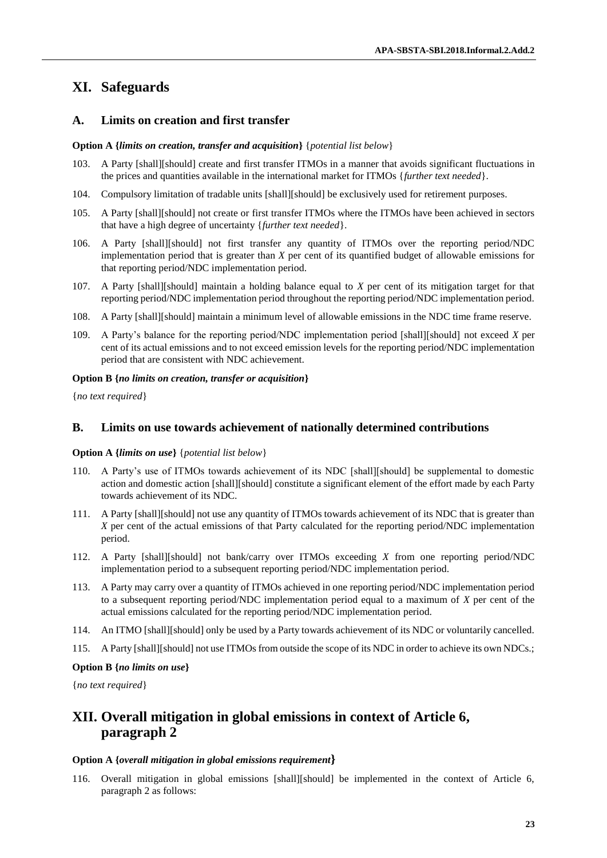# **XI. Safeguards**

## **A. Limits on creation and first transfer**

### **Option A {***limits on creation, transfer and acquisition***}** {*potential list below*}

- 103. A Party [shall][should] create and first transfer ITMOs in a manner that avoids significant fluctuations in the prices and quantities available in the international market for ITMOs {*further text needed*}.
- 104. Compulsory limitation of tradable units [shall][should] be exclusively used for retirement purposes.
- 105. A Party [shall][should] not create or first transfer ITMOs where the ITMOs have been achieved in sectors that have a high degree of uncertainty {*further text needed*}.
- 106. A Party [shall][should] not first transfer any quantity of ITMOs over the reporting period/NDC implementation period that is greater than *X* per cent of its quantified budget of allowable emissions for that reporting period/NDC implementation period.
- 107. A Party [shall][should] maintain a holding balance equal to *X* per cent of its mitigation target for that reporting period/NDC implementation period throughout the reporting period/NDC implementation period.
- 108. A Party [shall][should] maintain a minimum level of allowable emissions in the NDC time frame reserve.
- 109. A Party's balance for the reporting period/NDC implementation period [shall][should] not exceed *X* per cent of its actual emissions and to not exceed emission levels for the reporting period/NDC implementation period that are consistent with NDC achievement.

### **Option B {***no limits on creation, transfer or acquisition***}**

{*no text required*}

## **B. Limits on use towards achievement of nationally determined contributions**

#### **Option A {***limits on use***}** {*potential list below*}

- 110. A Party's use of ITMOs towards achievement of its NDC [shall][should] be supplemental to domestic action and domestic action [shall][should] constitute a significant element of the effort made by each Party towards achievement of its NDC.
- 111. A Party [shall][should] not use any quantity of ITMOs towards achievement of its NDC that is greater than *X* per cent of the actual emissions of that Party calculated for the reporting period/NDC implementation period.
- 112. A Party [shall][should] not bank/carry over ITMOs exceeding *X* from one reporting period/NDC implementation period to a subsequent reporting period/NDC implementation period.
- 113. A Party may carry over a quantity of ITMOs achieved in one reporting period/NDC implementation period to a subsequent reporting period/NDC implementation period equal to a maximum of *X* per cent of the actual emissions calculated for the reporting period/NDC implementation period.
- 114. An ITMO [shall][should] only be used by a Party towards achievement of its NDC or voluntarily cancelled.
- 115. A Party [shall][should] not use ITMOs from outside the scope of its NDC in order to achieve its own NDCs.;

## **Option B {***no limits on use***}**

{*no text required*}

## **XII. Overall mitigation in global emissions in context of Article 6, paragraph 2**

#### **Option A {***overall mitigation in global emissions requirement***}**

116. Overall mitigation in global emissions [shall][should] be implemented in the context of Article 6, paragraph 2 as follows: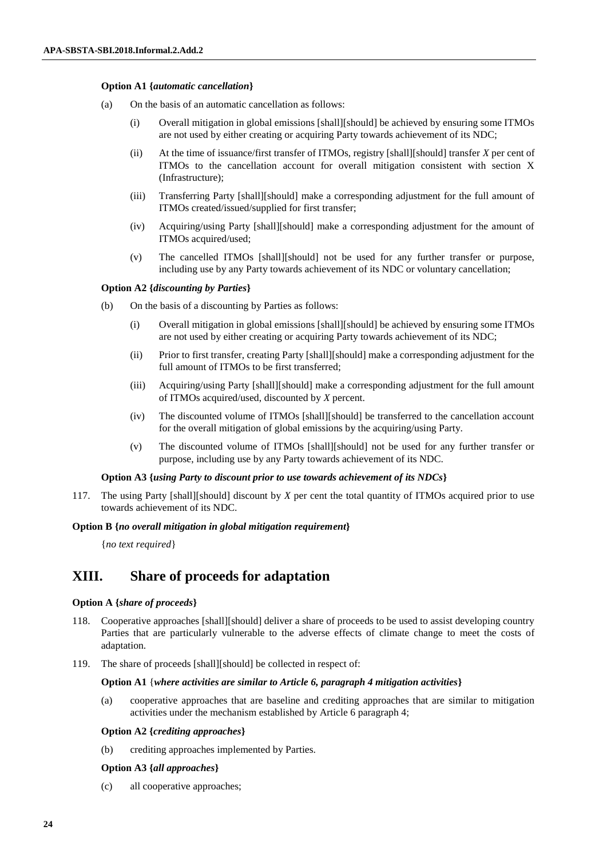### **Option A1 {***automatic cancellation***}**

- (a) On the basis of an automatic cancellation as follows:
	- (i) Overall mitigation in global emissions [shall][should] be achieved by ensuring some ITMOs are not used by either creating or acquiring Party towards achievement of its NDC;
	- (ii) At the time of issuance/first transfer of ITMOs, registry [shall][should] transfer *X* per cent of ITMOs to the cancellation account for overall mitigation consistent with section X (Infrastructure);
	- (iii) Transferring Party [shall][should] make a corresponding adjustment for the full amount of ITMOs created/issued/supplied for first transfer;
	- (iv) Acquiring/using Party [shall][should] make a corresponding adjustment for the amount of ITMOs acquired/used;
	- (v) The cancelled ITMOs [shall][should] not be used for any further transfer or purpose, including use by any Party towards achievement of its NDC or voluntary cancellation;

### **Option A2 {***discounting by Parties***}**

- (b) On the basis of a discounting by Parties as follows:
	- (i) Overall mitigation in global emissions [shall][should] be achieved by ensuring some ITMOs are not used by either creating or acquiring Party towards achievement of its NDC;
	- (ii) Prior to first transfer, creating Party [shall][should] make a corresponding adjustment for the full amount of ITMOs to be first transferred;
	- (iii) Acquiring/using Party [shall][should] make a corresponding adjustment for the full amount of ITMOs acquired/used, discounted by *X* percent.
	- (iv) The discounted volume of ITMOs [shall][should] be transferred to the cancellation account for the overall mitigation of global emissions by the acquiring/using Party.
	- (v) The discounted volume of ITMOs [shall][should] not be used for any further transfer or purpose, including use by any Party towards achievement of its NDC.

#### **Option A3 {***using Party to discount prior to use towards achievement of its NDCs***}**

117. The using Party [shall][should] discount by *X* per cent the total quantity of ITMOs acquired prior to use towards achievement of its NDC.

#### **Option B {***no overall mitigation in global mitigation requirement***}**

{*no text required*}

## **XIII. Share of proceeds for adaptation**

#### **Option A {***share of proceeds***}**

- 118. Cooperative approaches [shall][should] deliver a share of proceeds to be used to assist developing country Parties that are particularly vulnerable to the adverse effects of climate change to meet the costs of adaptation.
- 119. The share of proceeds [shall][should] be collected in respect of:

#### **Option A1** {*where activities are similar to Article 6, paragraph 4 mitigation activities***}**

(a) cooperative approaches that are baseline and crediting approaches that are similar to mitigation activities under the mechanism established by Article 6 paragraph 4;

#### **Option A2 {***crediting approaches***}**

(b) crediting approaches implemented by Parties.

#### **Option A3 {***all approaches***}**

(c) all cooperative approaches;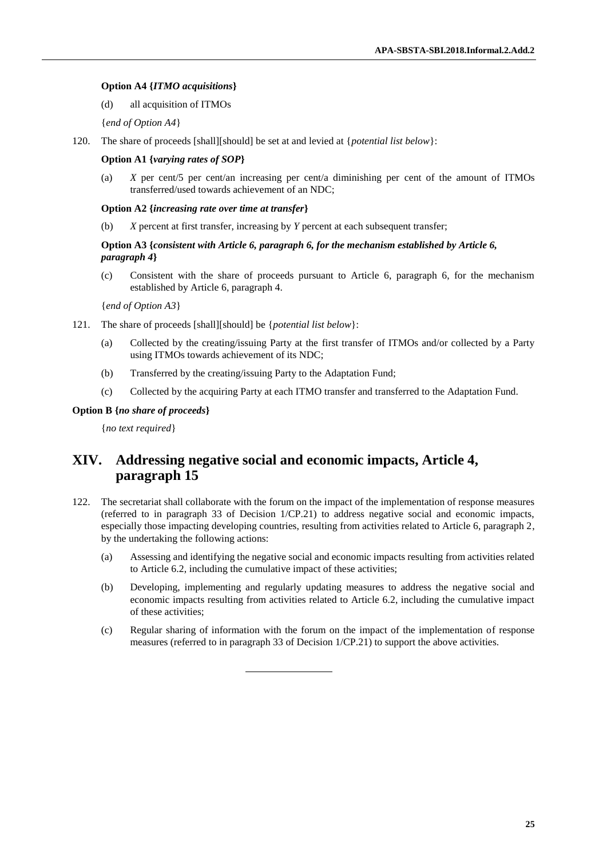#### **Option A4 {***ITMO acquisitions***}**

- (d) all acquisition of ITMOs
- {*end of Option A4*}
- 120. The share of proceeds [shall][should] be set at and levied at {*potential list below*}:

#### **Option A1 {***varying rates of SOP***}**

(a) *X* per cent/5 per cent/an increasing per cent/a diminishing per cent of the amount of ITMOs transferred/used towards achievement of an NDC;

#### **Option A2 {***increasing rate over time at transfer***}**

(b) *X* percent at first transfer, increasing by *Y* percent at each subsequent transfer;

## **Option A3 {***consistent with Article 6, paragraph 6, for the mechanism established by Article 6, paragraph 4***}**

(c) Consistent with the share of proceeds pursuant to Article 6, paragraph 6, for the mechanism established by Article 6, paragraph 4.

{*end of Option A3*}

- 121. The share of proceeds [shall][should] be {*potential list below*}:
	- (a) Collected by the creating/issuing Party at the first transfer of ITMOs and/or collected by a Party using ITMOs towards achievement of its NDC;
	- (b) Transferred by the creating/issuing Party to the Adaptation Fund;
	- (c) Collected by the acquiring Party at each ITMO transfer and transferred to the Adaptation Fund.

## **Option B {***no share of proceeds***}**

{*no text required*}

## **XIV. Addressing negative social and economic impacts, Article 4, paragraph 15**

- 122. The secretariat shall collaborate with the forum on the impact of the implementation of response measures (referred to in paragraph 33 of Decision 1/CP.21) to address negative social and economic impacts, especially those impacting developing countries, resulting from activities related to Article 6, paragraph 2, by the undertaking the following actions:
	- (a) Assessing and identifying the negative social and economic impacts resulting from activities related to Article 6.2, including the cumulative impact of these activities;
	- (b) Developing, implementing and regularly updating measures to address the negative social and economic impacts resulting from activities related to Article 6.2, including the cumulative impact of these activities;
	- (c) Regular sharing of information with the forum on the impact of the implementation of response measures (referred to in paragraph 33 of Decision 1/CP.21) to support the above activities.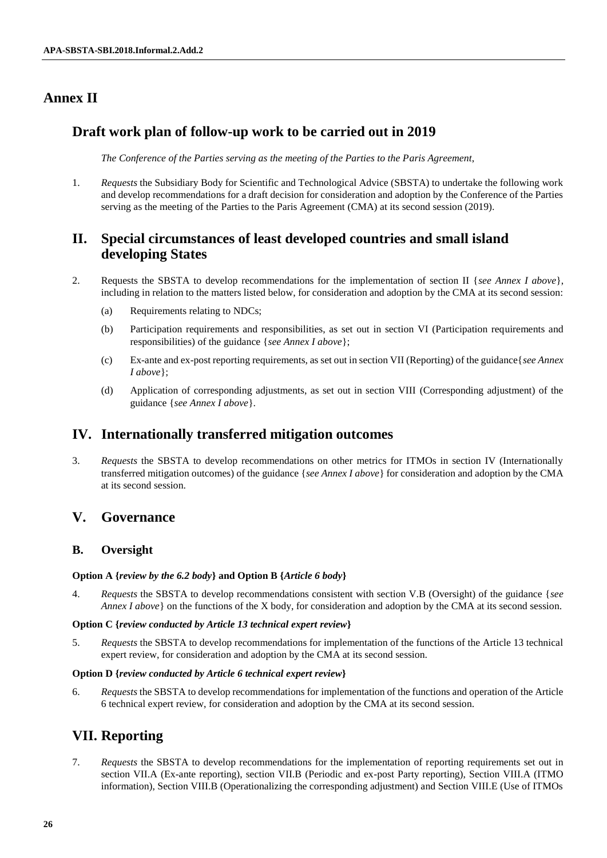# **Annex II**

# **Draft work plan of follow-up work to be carried out in 2019**

*The Conference of the Parties serving as the meeting of the Parties to the Paris Agreement*,

1. *Requests* the Subsidiary Body for Scientific and Technological Advice (SBSTA) to undertake the following work and develop recommendations for a draft decision for consideration and adoption by the Conference of the Parties serving as the meeting of the Parties to the Paris Agreement (CMA) at its second session (2019).

# **II. Special circumstances of least developed countries and small island developing States**

- 2. Requests the SBSTA to develop recommendations for the implementation of section II {*see Annex I above*}, including in relation to the matters listed below, for consideration and adoption by the CMA at its second session:
	- (a) Requirements relating to NDCs;
	- (b) Participation requirements and responsibilities, as set out in section VI (Participation requirements and responsibilities) of the guidance {*see Annex I above*};
	- (c) Ex-ante and ex-post reporting requirements, as set out in section VII (Reporting) of the guidance{*see Annex I above*};
	- (d) Application of corresponding adjustments, as set out in section VIII (Corresponding adjustment) of the guidance {*see Annex I above*}.

# **IV. Internationally transferred mitigation outcomes**

3. *Requests* the SBSTA to develop recommendations on other metrics for ITMOs in section IV (Internationally transferred mitigation outcomes) of the guidance {*see Annex I above*} for consideration and adoption by the CMA at its second session.

# **V. Governance**

## **B. Oversight**

## **Option A {***review by the 6.2 body***} and Option B {***Article 6 body***}**

4. *Requests* the SBSTA to develop recommendations consistent with section V.B (Oversight) of the guidance {*see Annex I above* on the functions of the X body, for consideration and adoption by the CMA at its second session.

## **Option C {***review conducted by Article 13 technical expert review***}**

5. *Requests* the SBSTA to develop recommendations for implementation of the functions of the Article 13 technical expert review, for consideration and adoption by the CMA at its second session.

## **Option D {***review conducted by Article 6 technical expert review***}**

6. *Requests* the SBSTA to develop recommendations for implementation of the functions and operation of the Article 6 technical expert review, for consideration and adoption by the CMA at its second session.

# **VII. Reporting**

7. *Requests* the SBSTA to develop recommendations for the implementation of reporting requirements set out in section VII.A (Ex-ante reporting), section VII.B (Periodic and ex-post Party reporting), Section VIII.A (ITMO information), Section VIII.B (Operationalizing the corresponding adjustment) and Section VIII.E (Use of ITMOs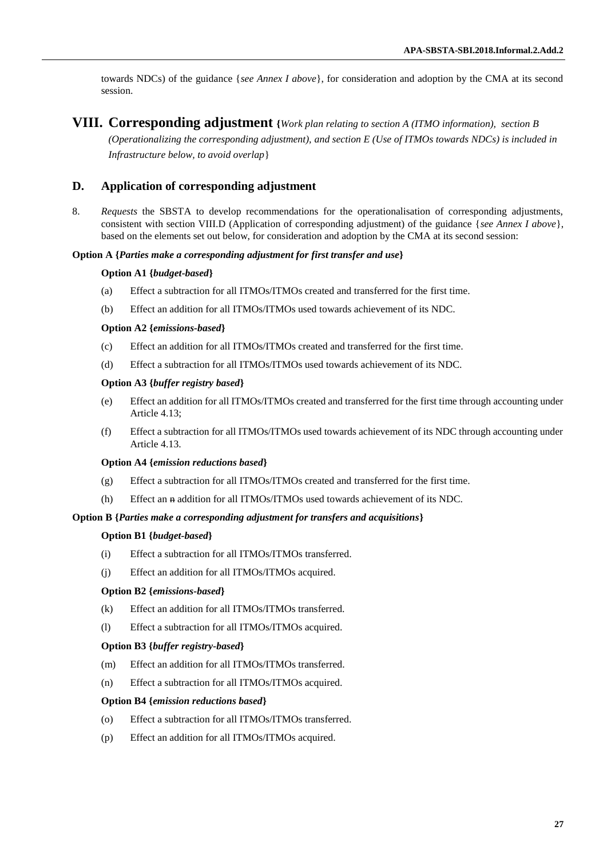towards NDCs) of the guidance {*see Annex I above*}, for consideration and adoption by the CMA at its second session.

## **VIII. Corresponding adjustment {***Work plan relating to section A (ITMO information), section B*

*(Operationalizing the corresponding adjustment), and section E (Use of ITMOs towards NDCs) is included in Infrastructure below, to avoid overlap*}

## **D. Application of corresponding adjustment**

8. *Requests* the SBSTA to develop recommendations for the operationalisation of corresponding adjustments, consistent with section VIII.D (Application of corresponding adjustment) of the guidance {*see Annex I above*}, based on the elements set out below, for consideration and adoption by the CMA at its second session:

#### **Option A {***Parties make a corresponding adjustment for first transfer and use***}**

#### **Option A1 {***budget-based***}**

- (a) Effect a subtraction for all ITMOs/ITMOs created and transferred for the first time.
- (b) Effect an addition for all ITMOs/ITMOs used towards achievement of its NDC.

#### **Option A2 {***emissions-based***}**

- (c) Effect an addition for all ITMOs/ITMOs created and transferred for the first time.
- (d) Effect a subtraction for all ITMOs/ITMOs used towards achievement of its NDC.

### **Option A3 {***buffer registry based***}**

- (e) Effect an addition for all ITMOs/ITMOs created and transferred for the first time through accounting under Article 4.13;
- (f) Effect a subtraction for all ITMOs/ITMOs used towards achievement of its NDC through accounting under Article 4.13.

#### **Option A4 {***emission reductions based***}**

- (g) Effect a subtraction for all ITMOs/ITMOs created and transferred for the first time.
- (h) Effect an n addition for all ITMOs/ITMOs used towards achievement of its NDC.

#### **Option B {***Parties make a corresponding adjustment for transfers and acquisitions***}**

#### **Option B1 {***budget-based***}**

- (i) Effect a subtraction for all ITMOs/ITMOs transferred.
- (j) Effect an addition for all ITMOs/ITMOs acquired.

#### **Option B2 {***emissions-based***}**

- (k) Effect an addition for all ITMOs/ITMOs transferred.
- (l) Effect a subtraction for all ITMOs/ITMOs acquired.

#### **Option B3 {***buffer registry-based***}**

- (m) Effect an addition for all ITMOs/ITMOs transferred.
- (n) Effect a subtraction for all ITMOs/ITMOs acquired.

#### **Option B4 {***emission reductions based***}**

- (o) Effect a subtraction for all ITMOs/ITMOs transferred.
- (p) Effect an addition for all ITMOs/ITMOs acquired.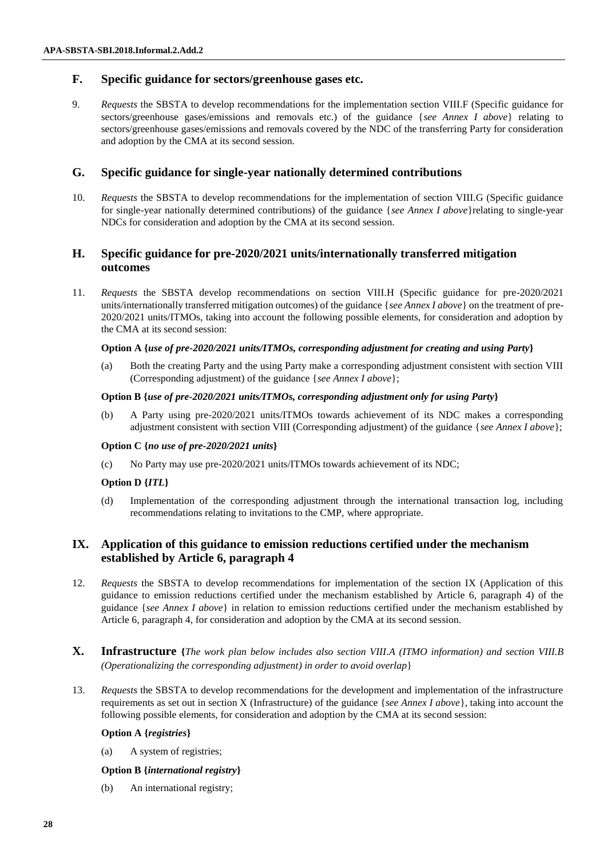## **F. Specific guidance for sectors/greenhouse gases etc.**

9. *Requests* the SBSTA to develop recommendations for the implementation section VIII.F (Specific guidance for sectors/greenhouse gases/emissions and removals etc.) of the guidance {*see Annex I above*} relating to sectors/greenhouse gases/emissions and removals covered by the NDC of the transferring Party for consideration and adoption by the CMA at its second session.

## **G. Specific guidance for single-year nationally determined contributions**

10. *Requests* the SBSTA to develop recommendations for the implementation of section VIII.G (Specific guidance for single-year nationally determined contributions) of the guidance {*see Annex I above*}relating to single-year NDCs for consideration and adoption by the CMA at its second session.

## **H. Specific guidance for pre-2020/2021 units/internationally transferred mitigation outcomes**

11. *Requests* the SBSTA develop recommendations on section VIII.H (Specific guidance for pre-2020/2021 units/internationally transferred mitigation outcomes) of the guidance {*see Annex I above*} on the treatment of pre-2020/2021 units/ITMOs, taking into account the following possible elements, for consideration and adoption by the CMA at its second session:

## **Option A {***use of pre-2020/2021 units/ITMOs, corresponding adjustment for creating and using Party***}**

(a) Both the creating Party and the using Party make a corresponding adjustment consistent with section VIII (Corresponding adjustment) of the guidance {*see Annex I above*};

## **Option B {***use of pre-2020/2021 units/ITMOs, corresponding adjustment only for using Party***}**

(b) A Party using pre-2020/2021 units/ITMOs towards achievement of its NDC makes a corresponding adjustment consistent with section VIII (Corresponding adjustment) of the guidance {*see Annex I above*};

## **Option C {***no use of pre-2020/2021 units***}**

(c) No Party may use pre-2020/2021 units/ITMOs towards achievement of its NDC;

## **Option D {***ITL***}**

(d) Implementation of the corresponding adjustment through the international transaction log, including recommendations relating to invitations to the CMP, where appropriate.

## **IX. Application of this guidance to emission reductions certified under the mechanism established by Article 6, paragraph 4**

- 12. *Requests* the SBSTA to develop recommendations for implementation of the section IX (Application of this guidance to emission reductions certified under the mechanism established by Article 6, paragraph 4) of the guidance {*see Annex I above*} in relation to emission reductions certified under the mechanism established by Article 6, paragraph 4, for consideration and adoption by the CMA at its second session.
- **X. Infrastructure {***The work plan below includes also section VIII.A (ITMO information) and section VIII.B (Operationalizing the corresponding adjustment) in order to avoid overlap*}
- 13. *Requests* the SBSTA to develop recommendations for the development and implementation of the infrastructure requirements as set out in section X (Infrastructure) of the guidance {*see Annex I above*}, taking into account the following possible elements, for consideration and adoption by the CMA at its second session:

## **Option A {***registries***}**

(a) A system of registries;

## **Option B {***international registry***}**

(b) An international registry;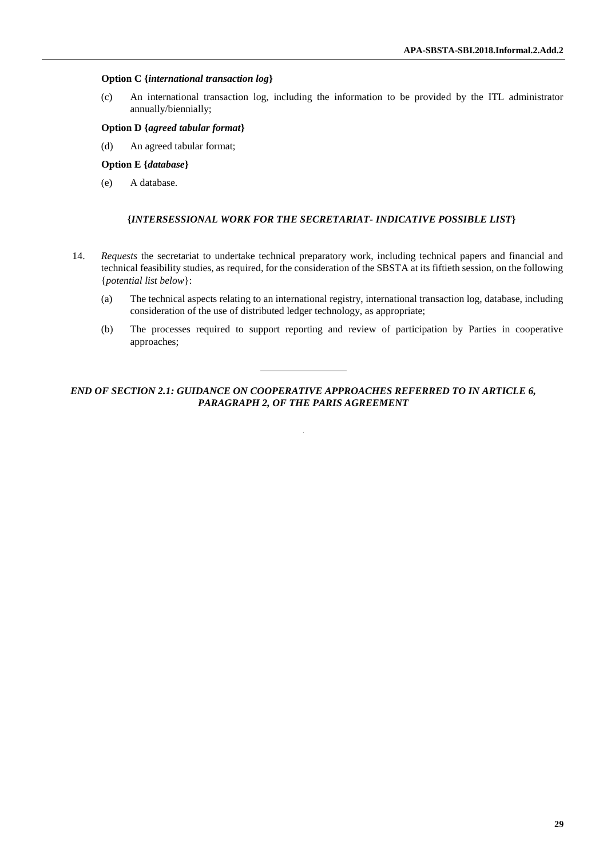#### **Option C {***international transaction log***}**

(c) An international transaction log, including the information to be provided by the ITL administrator annually/biennially;

### **Option D {***agreed tabular format***}**

(d) An agreed tabular format;

### **Option E {***database***}**

(e) A database.

## **{***INTERSESSIONAL WORK FOR THE SECRETARIAT- INDICATIVE POSSIBLE LIST***}**

- 14. *Requests* the secretariat to undertake technical preparatory work, including technical papers and financial and technical feasibility studies, as required, for the consideration of the SBSTA at its fiftieth session, on the following {*potential list below*}:
	- (a) The technical aspects relating to an international registry, international transaction log, database, including consideration of the use of distributed ledger technology, as appropriate;
	- (b) The processes required to support reporting and review of participation by Parties in cooperative approaches;

*END OF SECTION 2.1: GUIDANCE ON COOPERATIVE APPROACHES REFERRED TO IN ARTICLE 6, PARAGRAPH 2, OF THE PARIS AGREEMENT*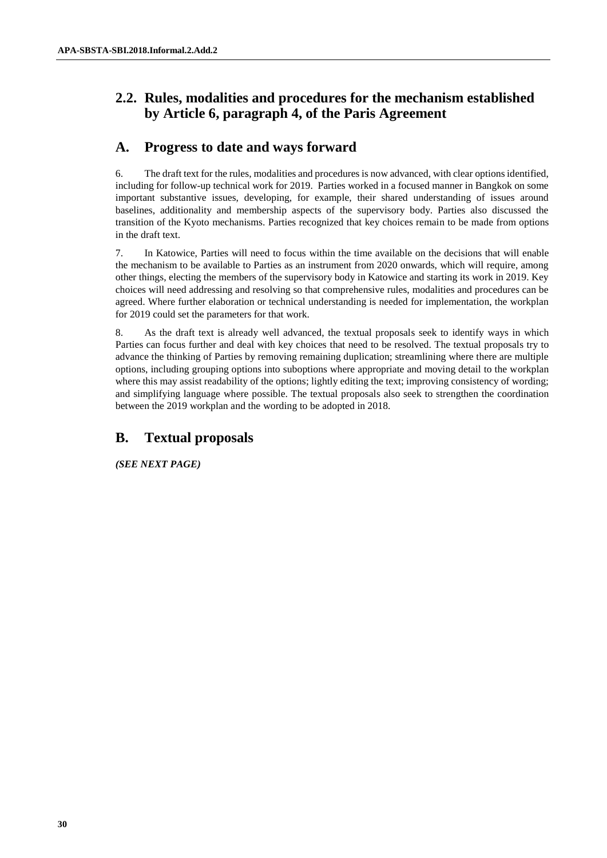# **2.2. Rules, modalities and procedures for the mechanism established by Article 6, paragraph 4, of the Paris Agreement**

# **A. Progress to date and ways forward**

6. The draft text for the rules, modalities and procedures is now advanced, with clear options identified, including for follow-up technical work for 2019. Parties worked in a focused manner in Bangkok on some important substantive issues, developing, for example, their shared understanding of issues around baselines, additionality and membership aspects of the supervisory body. Parties also discussed the transition of the Kyoto mechanisms. Parties recognized that key choices remain to be made from options in the draft text.

7. In Katowice, Parties will need to focus within the time available on the decisions that will enable the mechanism to be available to Parties as an instrument from 2020 onwards, which will require, among other things, electing the members of the supervisory body in Katowice and starting its work in 2019. Key choices will need addressing and resolving so that comprehensive rules, modalities and procedures can be agreed. Where further elaboration or technical understanding is needed for implementation, the workplan for 2019 could set the parameters for that work.

8. As the draft text is already well advanced, the textual proposals seek to identify ways in which Parties can focus further and deal with key choices that need to be resolved. The textual proposals try to advance the thinking of Parties by removing remaining duplication; streamlining where there are multiple options, including grouping options into suboptions where appropriate and moving detail to the workplan where this may assist readability of the options; lightly editing the text; improving consistency of wording; and simplifying language where possible. The textual proposals also seek to strengthen the coordination between the 2019 workplan and the wording to be adopted in 2018.

# **B. Textual proposals**

*(SEE NEXT PAGE)*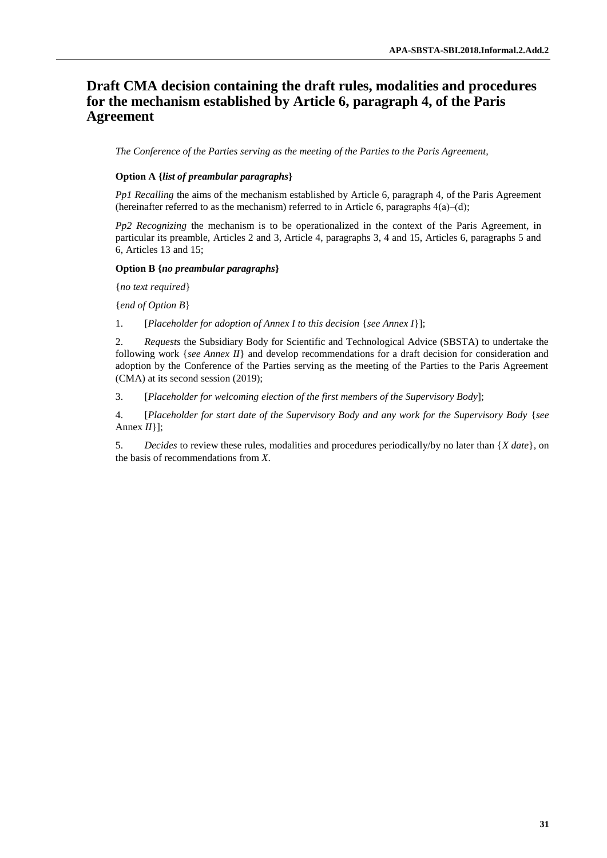# **Draft CMA decision containing the draft rules, modalities and procedures for the mechanism established by Article 6, paragraph 4, of the Paris Agreement**

*The Conference of the Parties serving as the meeting of the Parties to the Paris Agreement,*

### **Option A {***list of preambular paragraphs***}**

*Pp1 Recalling* the aims of the mechanism established by Article 6, paragraph 4, of the Paris Agreement (hereinafter referred to as the mechanism) referred to in Article 6, paragraphs  $4(a)$ –(d);

*Pp2 Recognizing* the mechanism is to be operationalized in the context of the Paris Agreement, in particular its preamble, Articles 2 and 3, Article 4, paragraphs 3, 4 and 15, Articles 6, paragraphs 5 and 6, Articles 13 and 15;

#### **Option B {***no preambular paragraphs***}**

{*no text required*}

{*end of Option B*}

1. [*Placeholder for adoption of Annex I to this decision* {*see Annex I*}];

2. *Requests* the Subsidiary Body for Scientific and Technological Advice (SBSTA) to undertake the following work {*see Annex II*} and develop recommendations for a draft decision for consideration and adoption by the Conference of the Parties serving as the meeting of the Parties to the Paris Agreement (CMA) at its second session (2019);

3. [*Placeholder for welcoming election of the first members of the Supervisory Body*];

4. [*Placeholder for start date of the Supervisory Body and any work for the Supervisory Body* {*see*  Annex *II*}];

5. *Decides* to review these rules, modalities and procedures periodically/by no later than {*X date*}, on the basis of recommendations from *X*.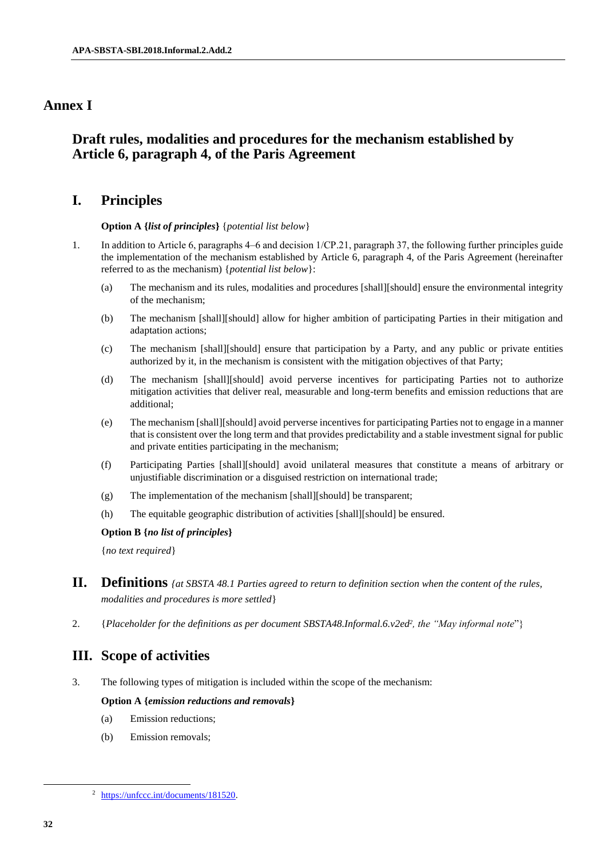# **Annex I**

# **Draft rules, modalities and procedures for the mechanism established by Article 6, paragraph 4, of the Paris Agreement**

# **I. Principles**

## **Option A {***list of principles***}** {*potential list below*}

- 1. In addition to Article 6, paragraphs 4–6 and decision 1/CP.21, paragraph 37, the following further principles guide the implementation of the mechanism established by Article 6, paragraph 4, of the Paris Agreement (hereinafter referred to as the mechanism) {*potential list below*}:
	- (a) The mechanism and its rules, modalities and procedures [shall][should] ensure the environmental integrity of the mechanism;
	- (b) The mechanism [shall][should] allow for higher ambition of participating Parties in their mitigation and adaptation actions;
	- (c) The mechanism [shall][should] ensure that participation by a Party, and any public or private entities authorized by it, in the mechanism is consistent with the mitigation objectives of that Party;
	- (d) The mechanism [shall][should] avoid perverse incentives for participating Parties not to authorize mitigation activities that deliver real, measurable and long-term benefits and emission reductions that are additional;
	- (e) The mechanism [shall][should] avoid perverse incentives for participating Parties not to engage in a manner that is consistent over the long term and that provides predictability and a stable investment signal for public and private entities participating in the mechanism;
	- (f) Participating Parties [shall][should] avoid unilateral measures that constitute a means of arbitrary or unjustifiable discrimination or a disguised restriction on international trade;
	- (g) The implementation of the mechanism [shall][should] be transparent;
	- (h) The equitable geographic distribution of activities [shall][should] be ensured.

## **Option B {***no list of principles***}**

{*no text required*}

- **II. Definitions** *{at SBSTA 48.1 Parties agreed to return to definition section when the content of the rules, modalities and procedures is more settled*}
- 2. {*Placeholder for the definitions as per document SBSTA48.Informal.6.v2ed<sup>2</sup> , the "May informal note*"}

## **III. Scope of activities**

3. The following types of mitigation is included within the scope of the mechanism:

## **Option A {***emission reductions and removals***}**

- (a) Emission reductions;
- (b) Emission removals;

l

<sup>2</sup> [https://unfccc.int/documents/181520.](https://unfccc.int/documents/181520)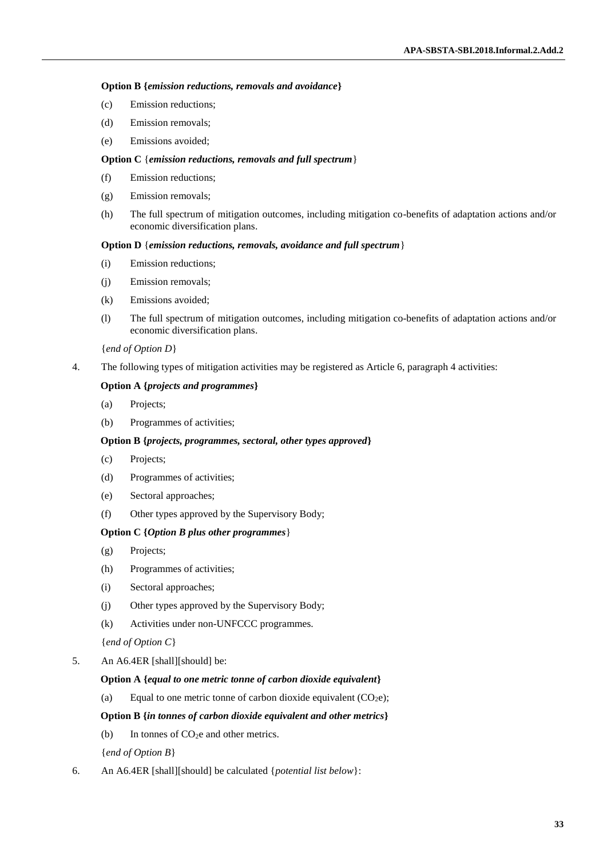## **Option B {***emission reductions, removals and avoidance***}**

- (c) Emission reductions;
- (d) Emission removals;
- (e) Emissions avoided;

## **Option C** {*emission reductions, removals and full spectrum*}

- (f) Emission reductions;
- (g) Emission removals;
- (h) The full spectrum of mitigation outcomes, including mitigation co-benefits of adaptation actions and/or economic diversification plans.

## **Option D** {*emission reductions, removals, avoidance and full spectrum*}

- (i) Emission reductions;
- (j) Emission removals;
- (k) Emissions avoided;
- (l) The full spectrum of mitigation outcomes, including mitigation co-benefits of adaptation actions and/or economic diversification plans.

## {*end of Option D*}

4. The following types of mitigation activities may be registered as Article 6, paragraph 4 activities:

## **Option A {***projects and programmes***}**

- (a) Projects;
- (b) Programmes of activities;

## **Option B {***projects, programmes, sectoral, other types approved***}**

- (c) Projects;
- (d) Programmes of activities;
- (e) Sectoral approaches;
- (f) Other types approved by the Supervisory Body;

## **Option C {***Option B plus other programmes*}

- (g) Projects;
- (h) Programmes of activities;
- (i) Sectoral approaches;
- (j) Other types approved by the Supervisory Body;
- (k) Activities under non-UNFCCC programmes.
- {*end of Option C*}
- 5. An A6.4ER [shall][should] be:

## **Option A {***equal to one metric tonne of carbon dioxide equivalent***}**

(a) Equal to one metric tonne of carbon dioxide equivalent  $(CO<sub>2</sub>e)$ ;

## **Option B {***in tonnes of carbon dioxide equivalent and other metrics***}**

(b) In tonnes of  $CO<sub>2</sub>e$  and other metrics.

{*end of Option B*}

6. An A6.4ER [shall][should] be calculated {*potential list below*}: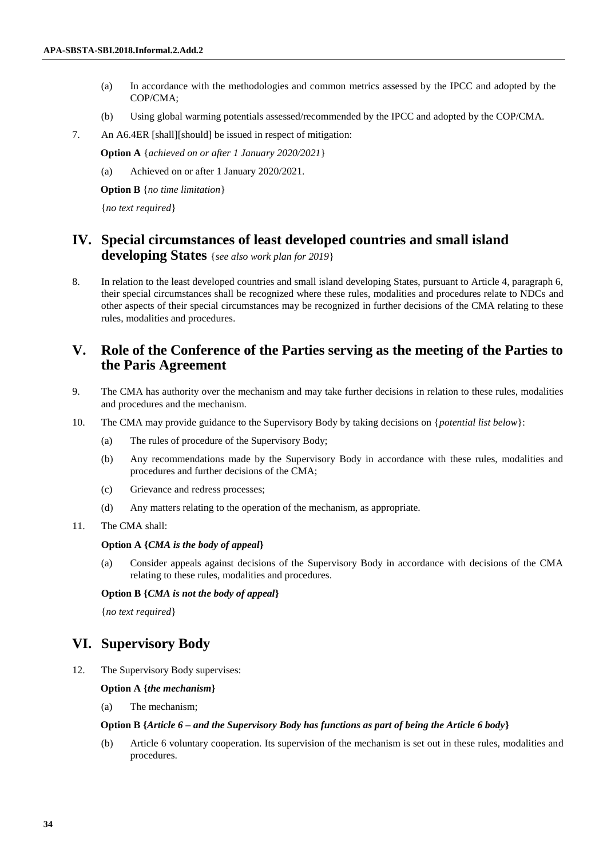- (a) In accordance with the methodologies and common metrics assessed by the IPCC and adopted by the COP/CMA;
- (b) Using global warming potentials assessed/recommended by the IPCC and adopted by the COP/CMA.
- 7. An A6.4ER [shall][should] be issued in respect of mitigation:

**Option A** {*achieved on or after 1 January 2020/2021*}

(a) Achieved on or after 1 January 2020/2021.

**Option B** {*no time limitation*}

{*no text required*}

# **IV. Special circumstances of least developed countries and small island developing States** {*see also work plan for 2019*}

8. In relation to the least developed countries and small island developing States, pursuant to Article 4, paragraph 6, their special circumstances shall be recognized where these rules, modalities and procedures relate to NDCs and other aspects of their special circumstances may be recognized in further decisions of the CMA relating to these rules, modalities and procedures.

## **V. Role of the Conference of the Parties serving as the meeting of the Parties to the Paris Agreement**

- 9. The CMA has authority over the mechanism and may take further decisions in relation to these rules, modalities and procedures and the mechanism.
- 10. The CMA may provide guidance to the Supervisory Body by taking decisions on {*potential list below*}:
	- (a) The rules of procedure of the Supervisory Body;
	- (b) Any recommendations made by the Supervisory Body in accordance with these rules, modalities and procedures and further decisions of the CMA;
	- (c) Grievance and redress processes;
	- (d) Any matters relating to the operation of the mechanism, as appropriate.
- 11. The CMA shall:

#### **Option A {***CMA is the body of appeal***}**

(a) Consider appeals against decisions of the Supervisory Body in accordance with decisions of the CMA relating to these rules, modalities and procedures.

#### **Option B {***CMA is not the body of appeal***}**

{*no text required*}

## **VI. Supervisory Body**

12. The Supervisory Body supervises:

#### **Option A {***the mechanism***}**

(a) The mechanism;

#### **Option B {***Article 6 – and the Supervisory Body has functions as part of being the Article 6 body***}**

(b) Article 6 voluntary cooperation. Its supervision of the mechanism is set out in these rules, modalities and procedures.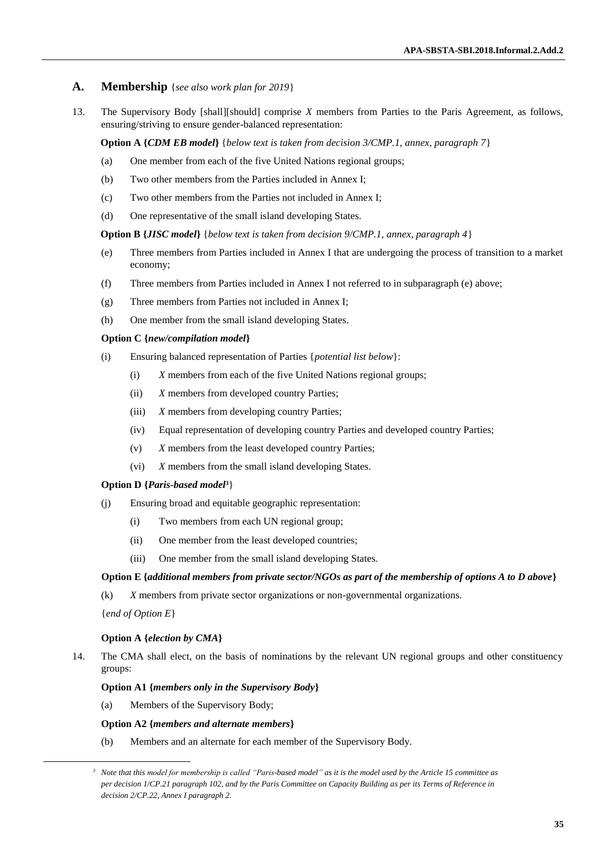## **A. Membership** {*see also work plan for 2019*}

13. The Supervisory Body [shall][should] comprise *X* members from Parties to the Paris Agreement, as follows, ensuring/striving to ensure gender-balanced representation:

**Option A {***CDM EB model***}** {*below text is taken from decision 3/CMP.1, annex, paragraph 7*}

- (a) One member from each of the five United Nations regional groups;
- (b) Two other members from the Parties included in Annex I;
- (c) Two other members from the Parties not included in Annex I;
- (d) One representative of the small island developing States.

**Option B {***JISC model***}** {*below text is taken from decision 9/CMP.1, annex, paragraph 4*}

- (e) Three members from Parties included in Annex I that are undergoing the process of transition to a market economy;
- (f) Three members from Parties included in Annex I not referred to in subparagraph (e) above;
- (g) Three members from Parties not included in Annex I;
- (h) One member from the small island developing States.

#### **Option C {***new/compilation model***}**

- (i) Ensuring balanced representation of Parties {*potential list below*}:
	- (i) *X* members from each of the five United Nations regional groups;
	- (ii) *X* members from developed country Parties;
	- (iii) *X* members from developing country Parties;
	- (iv) Equal representation of developing country Parties and developed country Parties;
	- (v) *X* members from the least developed country Parties;
	- (vi) *X* members from the small island developing States*.*

## **Option D {***Paris-based model***3**}

- (j) Ensuring broad and equitable geographic representation:
	- (i) Two members from each UN regional group;
	- (ii) One member from the least developed countries;
	- (iii) One member from the small island developing States.

#### **Option E {***additional members from private sector/NGOs as part of the membership of options A to D above***}**

(k) *X* members from private sector organizations or non-governmental organizations.

{*end of Option E*}

l

#### **Option A {***election by CMA***}**

14. The CMA shall elect, on the basis of nominations by the relevant UN regional groups and other constituency groups:

## **Option A1 {***members only in the Supervisory Body***}**

(a) Members of the Supervisory Body;

#### **Option A2 {***members and alternate members***}**

(b) Members and an alternate for each member of the Supervisory Body.

*<sup>3</sup> Note that this model for membership is called "Paris-based model" as it is the model used by the Article 15 committee as per decision 1/CP.21 paragraph 102, and by the Paris Committee on Capacity Building as per its Terms of Reference in decision 2/CP.22, Annex I paragraph 2.*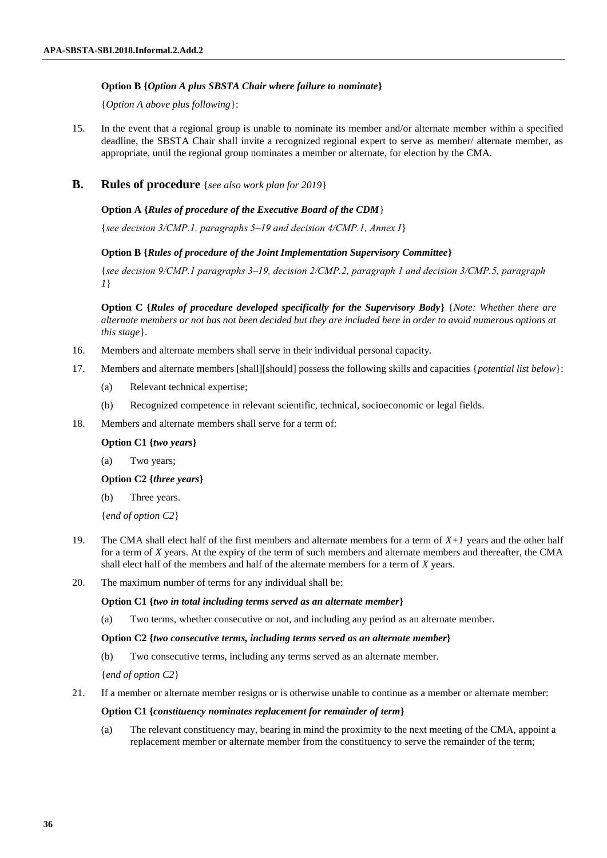## **Option B {***Option A plus SBSTA Chair where failure to nominate***}**

{*Option A above plus following*}:

15. In the event that a regional group is unable to nominate its member and/or alternate member within a specified deadline, the SBSTA Chair shall invite a recognized regional expert to serve as member/ alternate member, as appropriate, until the regional group nominates a member or alternate, for election by the CMA.

## **B. Rules of procedure** {*see also work plan for 2019*}

## **Option A {***Rules of procedure of the Executive Board of the CDM*}

{*see decision 3/CMP.1, paragraphs 5‒19 and decision 4/CMP.1, Annex I*}

## **Option B {***Rules of procedure of the Joint Implementation Supervisory Committee***}**

{*see decision 9/CMP.1 paragraphs 3‒19, decision 2/CMP.2, paragraph 1 and decision 3/CMP.5, paragraph 1*}

**Option C {***Rules of procedure developed specifically for the Supervisory Body***}** {*Note: Whether there are alternate members or not has not been decided but they are included here in order to avoid numerous options at this stage*}.

- 16. Members and alternate members shall serve in their individual personal capacity.
- 17. Members and alternate members [shall][should] possess the following skills and capacities {*potential list below*}:
	- (a) Relevant technical expertise;
	- (b) Recognized competence in relevant scientific, technical, socioeconomic or legal fields.
- 18. Members and alternate members shall serve for a term of:

#### **Option C1 {***two years***}**

(a) Two years;

#### **Option C2 {***three years***}**

(b) Three years.

{*end of option C2*}

- 19. The CMA shall elect half of the first members and alternate members for a term of *X+1* years and the other half for a term of *X* years. At the expiry of the term of such members and alternate members and thereafter, the CMA shall elect half of the members and half of the alternate members for a term of *X* years.
- 20. The maximum number of terms for any individual shall be:

#### **Option C1 {***two in total including terms served as an alternate member***}**

(a) Two terms, whether consecutive or not, and including any period as an alternate member.

#### **Option C2 {***two consecutive terms, including terms served as an alternate member***}**

(b) Two consecutive terms, including any terms served as an alternate member.

{*end of option C2*}

21. If a member or alternate member resigns or is otherwise unable to continue as a member or alternate member:

#### **Option C1 {***constituency nominates replacement for remainder of term***}**

(a) The relevant constituency may, bearing in mind the proximity to the next meeting of the CMA, appoint a replacement member or alternate member from the constituency to serve the remainder of the term;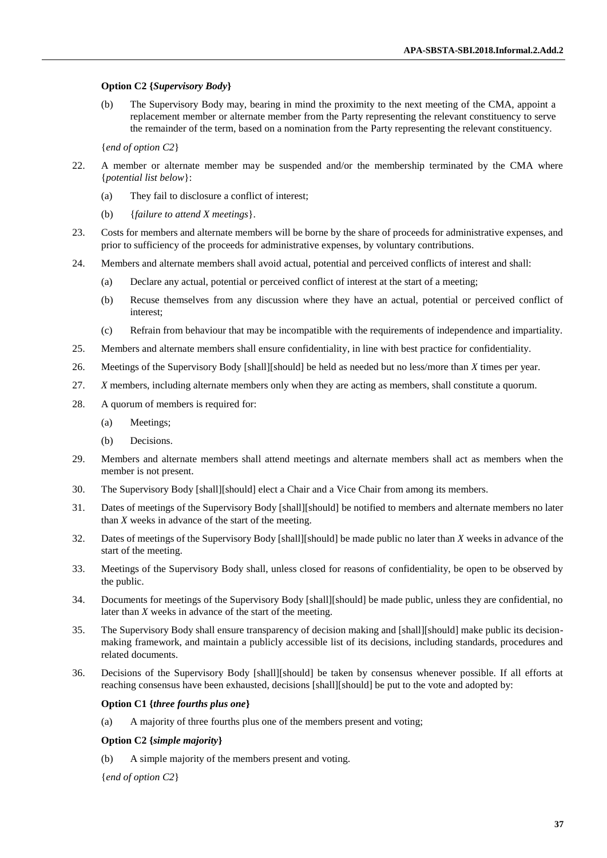#### **Option C2 {***Supervisory Body***}**

(b) The Supervisory Body may, bearing in mind the proximity to the next meeting of the CMA, appoint a replacement member or alternate member from the Party representing the relevant constituency to serve the remainder of the term, based on a nomination from the Party representing the relevant constituency.

{*end of option C2*}

- 22. A member or alternate member may be suspended and/or the membership terminated by the CMA where {*potential list below*}:
	- (a) They fail to disclosure a conflict of interest;
	- (b) {*failure to attend X meetings*}.
- 23. Costs for members and alternate members will be borne by the share of proceeds for administrative expenses, and prior to sufficiency of the proceeds for administrative expenses, by voluntary contributions.
- 24. Members and alternate members shall avoid actual, potential and perceived conflicts of interest and shall:
	- (a) Declare any actual, potential or perceived conflict of interest at the start of a meeting;
	- (b) Recuse themselves from any discussion where they have an actual, potential or perceived conflict of interest;
	- (c) Refrain from behaviour that may be incompatible with the requirements of independence and impartiality.
- 25. Members and alternate members shall ensure confidentiality, in line with best practice for confidentiality.
- 26. Meetings of the Supervisory Body [shall][should] be held as needed but no less/more than *X* times per year.
- 27. *X* members, including alternate members only when they are acting as members, shall constitute a quorum.
- 28. A quorum of members is required for:
	- (a) Meetings;
	- (b) Decisions.
- 29. Members and alternate members shall attend meetings and alternate members shall act as members when the member is not present.
- 30. The Supervisory Body [shall][should] elect a Chair and a Vice Chair from among its members.
- 31. Dates of meetings of the Supervisory Body [shall][should] be notified to members and alternate members no later than *X* weeks in advance of the start of the meeting.
- 32. Dates of meetings of the Supervisory Body [shall][should] be made public no later than *X* weeks in advance of the start of the meeting.
- 33. Meetings of the Supervisory Body shall, unless closed for reasons of confidentiality, be open to be observed by the public.
- 34. Documents for meetings of the Supervisory Body [shall][should] be made public, unless they are confidential, no later than *X* weeks in advance of the start of the meeting.
- 35. The Supervisory Body shall ensure transparency of decision making and [shall][should] make public its decisionmaking framework, and maintain a publicly accessible list of its decisions, including standards, procedures and related documents.
- 36. Decisions of the Supervisory Body [shall][should] be taken by consensus whenever possible. If all efforts at reaching consensus have been exhausted, decisions [shall][should] be put to the vote and adopted by:

#### **Option C1 {***three fourths plus one***}**

(a) A majority of three fourths plus one of the members present and voting;

#### **Option C2 {***simple majority***}**

(b) A simple majority of the members present and voting.

{*end of option C2*}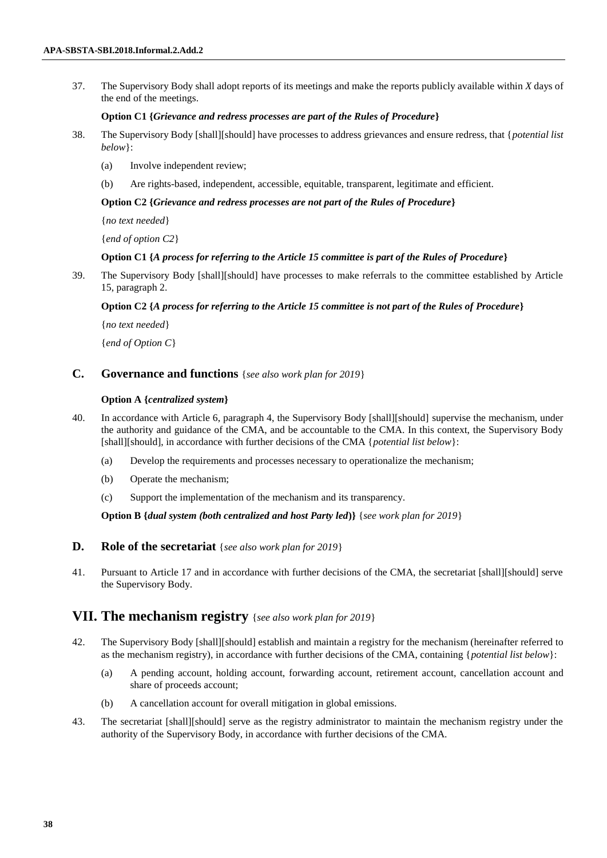37. The Supervisory Body shall adopt reports of its meetings and make the reports publicly available within *X* days of the end of the meetings.

#### **Option C1 {***Grievance and redress processes are part of the Rules of Procedure***}**

- 38. The Supervisory Body [shall][should] have processes to address grievances and ensure redress, that {*potential list below*}:
	- (a) Involve independent review;
	- (b) Are rights-based, independent, accessible, equitable, transparent, legitimate and efficient.

#### **Option C2 {***Grievance and redress processes are not part of the Rules of Procedure***}**

{*no text needed*}

{*end of option C2*}

#### **Option C1 {***A process for referring to the Article 15 committee is part of the Rules of Procedure***}**

39. The Supervisory Body [shall][should] have processes to make referrals to the committee established by Article 15, paragraph 2.

### **Option C2 {***A process for referring to the Article 15 committee is not part of the Rules of Procedure***}**

{*no text needed*}

{*end of Option C*}

## **C. Governance and functions** {*see also work plan for 2019*}

#### **Option A {***centralized system***}**

- 40. In accordance with Article 6, paragraph 4, the Supervisory Body [shall][should] supervise the mechanism, under the authority and guidance of the CMA, and be accountable to the CMA. In this context, the Supervisory Body [shall][should], in accordance with further decisions of the CMA {*potential list below*}:
	- (a) Develop the requirements and processes necessary to operationalize the mechanism;
	- (b) Operate the mechanism;
	- (c) Support the implementation of the mechanism and its transparency.

**Option B {***dual system (both centralized and host Party led***)}** {*see work plan for 2019*}

## **D. Role of the secretariat** {*see also work plan for 2019*}

41. Pursuant to Article 17 and in accordance with further decisions of the CMA, the secretariat [shall][should] serve the Supervisory Body.

## **VII. The mechanism registry** {*see also work plan for 2019*}

- 42. The Supervisory Body [shall][should] establish and maintain a registry for the mechanism (hereinafter referred to as the mechanism registry), in accordance with further decisions of the CMA, containing {*potential list below*}:
	- (a) A pending account, holding account, forwarding account, retirement account, cancellation account and share of proceeds account;
	- (b) A cancellation account for overall mitigation in global emissions.
- 43. The secretariat [shall][should] serve as the registry administrator to maintain the mechanism registry under the authority of the Supervisory Body, in accordance with further decisions of the CMA.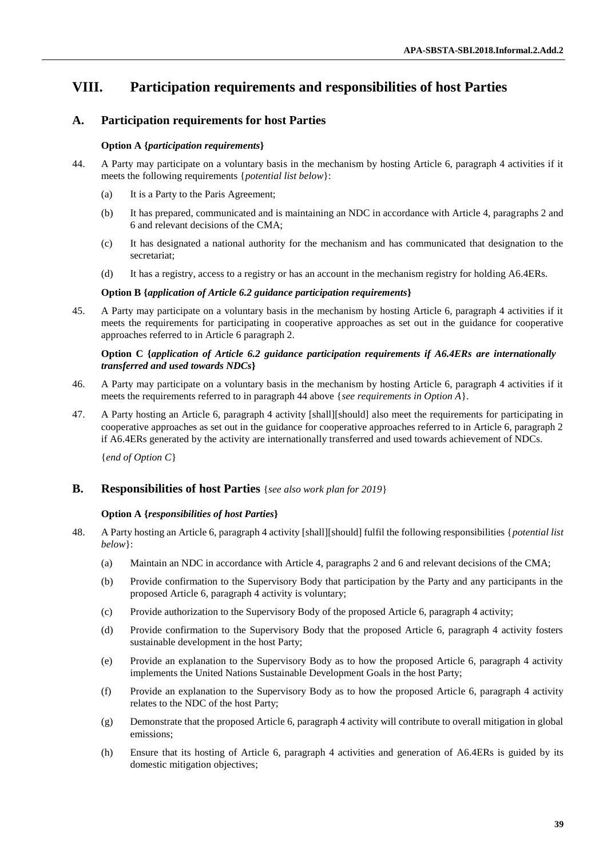# **VIII. Participation requirements and responsibilities of host Parties**

## **A. Participation requirements for host Parties**

## **Option A {***participation requirements***}**

- 44. A Party may participate on a voluntary basis in the mechanism by hosting Article 6, paragraph 4 activities if it meets the following requirements {*potential list below*}:
	- (a) It is a Party to the Paris Agreement;
	- (b) It has prepared, communicated and is maintaining an NDC in accordance with Article 4, paragraphs 2 and 6 and relevant decisions of the CMA;
	- (c) It has designated a national authority for the mechanism and has communicated that designation to the secretariat;
	- (d) It has a registry, access to a registry or has an account in the mechanism registry for holding A6.4ERs.

### **Option B {***application of Article 6.2 guidance participation requirements***}**

45. A Party may participate on a voluntary basis in the mechanism by hosting Article 6, paragraph 4 activities if it meets the requirements for participating in cooperative approaches as set out in the guidance for cooperative approaches referred to in Article 6 paragraph 2.

## **Option C {***application of Article 6.2 guidance participation requirements if A6.4ERs are internationally transferred and used towards NDCs***}**

- 46. A Party may participate on a voluntary basis in the mechanism by hosting Article 6, paragraph 4 activities if it meets the requirements referred to in paragraph 44 above {*see requirements in Option A*}.
- 47. A Party hosting an Article 6, paragraph 4 activity [shall][should] also meet the requirements for participating in cooperative approaches as set out in the guidance for cooperative approaches referred to in Article 6, paragraph 2 if A6.4ERs generated by the activity are internationally transferred and used towards achievement of NDCs.

{*end of Option C*}

## **B. Responsibilities of host Parties** {*see also work plan for 2019*}

### **Option A {***responsibilities of host Parties***}**

- 48. A Party hosting an Article 6, paragraph 4 activity [shall][should] fulfil the following responsibilities {*potential list below*}:
	- (a) Maintain an NDC in accordance with Article 4, paragraphs 2 and 6 and relevant decisions of the CMA;
	- (b) Provide confirmation to the Supervisory Body that participation by the Party and any participants in the proposed Article 6, paragraph 4 activity is voluntary;
	- (c) Provide authorization to the Supervisory Body of the proposed Article 6, paragraph 4 activity;
	- (d) Provide confirmation to the Supervisory Body that the proposed Article 6, paragraph 4 activity fosters sustainable development in the host Party;
	- (e) Provide an explanation to the Supervisory Body as to how the proposed Article 6, paragraph 4 activity implements the United Nations Sustainable Development Goals in the host Party;
	- (f) Provide an explanation to the Supervisory Body as to how the proposed Article 6, paragraph 4 activity relates to the NDC of the host Party;
	- (g) Demonstrate that the proposed Article 6, paragraph 4 activity will contribute to overall mitigation in global emissions;
	- (h) Ensure that its hosting of Article 6, paragraph 4 activities and generation of A6.4ERs is guided by its domestic mitigation objectives: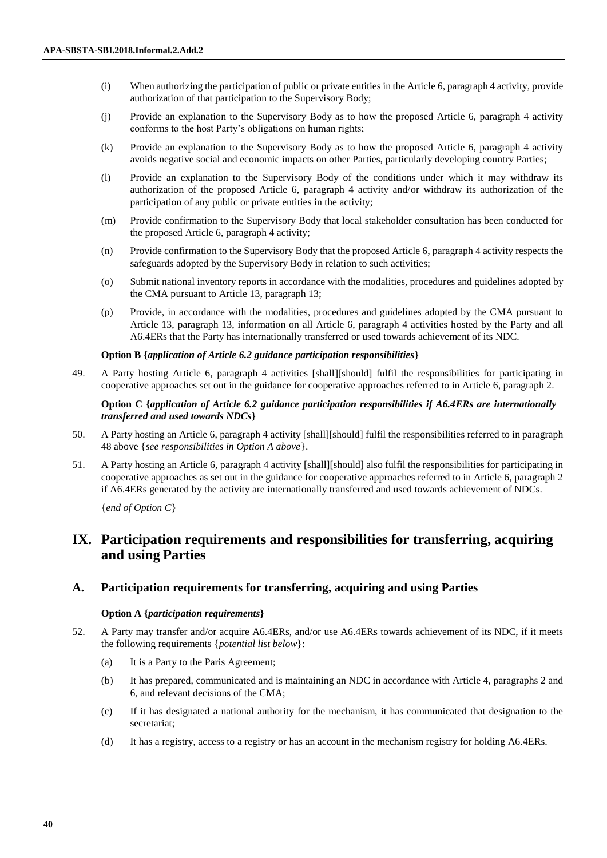- (i) When authorizing the participation of public or private entities in the Article 6, paragraph 4 activity, provide authorization of that participation to the Supervisory Body;
- (j) Provide an explanation to the Supervisory Body as to how the proposed Article 6, paragraph 4 activity conforms to the host Party's obligations on human rights;
- (k) Provide an explanation to the Supervisory Body as to how the proposed Article 6, paragraph 4 activity avoids negative social and economic impacts on other Parties, particularly developing country Parties;
- (l) Provide an explanation to the Supervisory Body of the conditions under which it may withdraw its authorization of the proposed Article 6, paragraph 4 activity and/or withdraw its authorization of the participation of any public or private entities in the activity;
- (m) Provide confirmation to the Supervisory Body that local stakeholder consultation has been conducted for the proposed Article 6, paragraph 4 activity;
- (n) Provide confirmation to the Supervisory Body that the proposed Article 6, paragraph 4 activity respects the safeguards adopted by the Supervisory Body in relation to such activities;
- (o) Submit national inventory reports in accordance with the modalities, procedures and guidelines adopted by the CMA pursuant to Article 13, paragraph 13;
- (p) Provide, in accordance with the modalities, procedures and guidelines adopted by the CMA pursuant to Article 13, paragraph 13, information on all Article 6, paragraph 4 activities hosted by the Party and all A6.4ERs that the Party has internationally transferred or used towards achievement of its NDC.

#### **Option B {***application of Article 6.2 guidance participation responsibilities***}**

49. A Party hosting Article 6, paragraph 4 activities [shall][should] fulfil the responsibilities for participating in cooperative approaches set out in the guidance for cooperative approaches referred to in Article 6, paragraph 2.

## **Option C {***application of Article 6.2 guidance participation responsibilities if A6.4ERs are internationally transferred and used towards NDCs***}**

- 50. A Party hosting an Article 6, paragraph 4 activity [shall][should] fulfil the responsibilities referred to in paragraph 48 above {*see responsibilities in Option A above*}.
- 51. A Party hosting an Article 6, paragraph 4 activity [shall][should] also fulfil the responsibilities for participating in cooperative approaches as set out in the guidance for cooperative approaches referred to in Article 6, paragraph 2 if A6.4ERs generated by the activity are internationally transferred and used towards achievement of NDCs.

{*end of Option C*}

# **IX. Participation requirements and responsibilities for transferring, acquiring and using Parties**

## **A. Participation requirements for transferring, acquiring and using Parties**

#### **Option A {***participation requirements***}**

- 52. A Party may transfer and/or acquire A6.4ERs, and/or use A6.4ERs towards achievement of its NDC, if it meets the following requirements {*potential list below*}:
	- (a) It is a Party to the Paris Agreement;
	- (b) It has prepared, communicated and is maintaining an NDC in accordance with Article 4, paragraphs 2 and 6, and relevant decisions of the CMA;
	- (c) If it has designated a national authority for the mechanism, it has communicated that designation to the secretariat;
	- (d) It has a registry, access to a registry or has an account in the mechanism registry for holding A6.4ERs.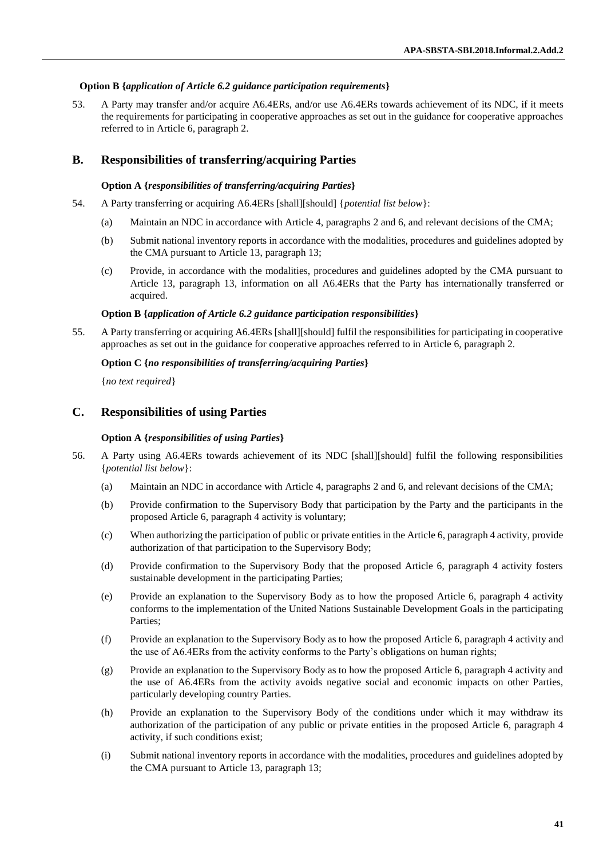#### **Option B {***application of Article 6.2 guidance participation requirements***}**

53. A Party may transfer and/or acquire A6.4ERs, and/or use A6.4ERs towards achievement of its NDC, if it meets the requirements for participating in cooperative approaches as set out in the guidance for cooperative approaches referred to in Article 6, paragraph 2.

## **B. Responsibilities of transferring/acquiring Parties**

#### **Option A {***responsibilities of transferring/acquiring Parties***}**

- 54. A Party transferring or acquiring A6.4ERs [shall][should] {*potential list below*}:
	- (a) Maintain an NDC in accordance with Article 4, paragraphs 2 and 6, and relevant decisions of the CMA;
	- (b) Submit national inventory reports in accordance with the modalities, procedures and guidelines adopted by the CMA pursuant to Article 13, paragraph 13;
	- (c) Provide, in accordance with the modalities, procedures and guidelines adopted by the CMA pursuant to Article 13, paragraph 13, information on all A6.4ERs that the Party has internationally transferred or acquired.

#### **Option B {***application of Article 6.2 guidance participation responsibilities***}**

55. A Party transferring or acquiring A6.4ERs [shall][should] fulfil the responsibilities for participating in cooperative approaches as set out in the guidance for cooperative approaches referred to in Article 6, paragraph 2.

#### **Option C {***no responsibilities of transferring/acquiring Parties***}**

{*no text required*}

## **C. Responsibilities of using Parties**

#### **Option A {***responsibilities of using Parties***}**

- 56. A Party using A6.4ERs towards achievement of its NDC [shall][should] fulfil the following responsibilities {*potential list below*}:
	- (a) Maintain an NDC in accordance with Article 4, paragraphs 2 and 6, and relevant decisions of the CMA;
	- (b) Provide confirmation to the Supervisory Body that participation by the Party and the participants in the proposed Article 6, paragraph 4 activity is voluntary;
	- (c) When authorizing the participation of public or private entities in the Article 6, paragraph 4 activity, provide authorization of that participation to the Supervisory Body;
	- (d) Provide confirmation to the Supervisory Body that the proposed Article 6, paragraph 4 activity fosters sustainable development in the participating Parties;
	- (e) Provide an explanation to the Supervisory Body as to how the proposed Article 6, paragraph 4 activity conforms to the implementation of the United Nations Sustainable Development Goals in the participating Parties;
	- (f) Provide an explanation to the Supervisory Body as to how the proposed Article 6, paragraph 4 activity and the use of A6.4ERs from the activity conforms to the Party's obligations on human rights;
	- (g) Provide an explanation to the Supervisory Body as to how the proposed Article 6, paragraph 4 activity and the use of A6.4ERs from the activity avoids negative social and economic impacts on other Parties, particularly developing country Parties.
	- (h) Provide an explanation to the Supervisory Body of the conditions under which it may withdraw its authorization of the participation of any public or private entities in the proposed Article 6, paragraph 4 activity, if such conditions exist;
	- (i) Submit national inventory reports in accordance with the modalities, procedures and guidelines adopted by the CMA pursuant to Article 13, paragraph 13;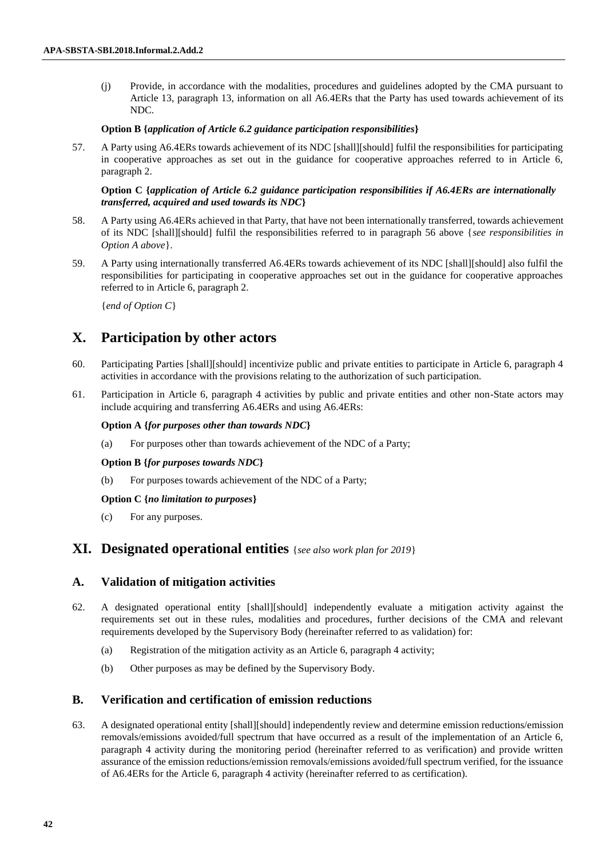(j) Provide, in accordance with the modalities, procedures and guidelines adopted by the CMA pursuant to Article 13, paragraph 13, information on all A6.4ERs that the Party has used towards achievement of its NDC.

#### **Option B {***application of Article 6.2 guidance participation responsibilities***}**

57. A Party using A6.4ERs towards achievement of its NDC [shall][should] fulfil the responsibilities for participating in cooperative approaches as set out in the guidance for cooperative approaches referred to in Article 6, paragraph 2.

## **Option C {***application of Article 6.2 guidance participation responsibilities if A6.4ERs are internationally transferred, acquired and used towards its NDC***}**

- 58. A Party using A6.4ERs achieved in that Party, that have not been internationally transferred, towards achievement of its NDC [shall][should] fulfil the responsibilities referred to in paragraph 56 above {*see responsibilities in Option A above*}.
- 59. A Party using internationally transferred A6.4ERs towards achievement of its NDC [shall][should] also fulfil the responsibilities for participating in cooperative approaches set out in the guidance for cooperative approaches referred to in Article 6, paragraph 2.

{*end of Option C*}

# **X. Participation by other actors**

- 60. Participating Parties [shall][should] incentivize public and private entities to participate in Article 6, paragraph 4 activities in accordance with the provisions relating to the authorization of such participation.
- 61. Participation in Article 6, paragraph 4 activities by public and private entities and other non-State actors may include acquiring and transferring A6.4ERs and using A6.4ERs:

#### **Option A {***for purposes other than towards NDC***}**

(a) For purposes other than towards achievement of the NDC of a Party;

#### **Option B {***for purposes towards NDC***}**

(b) For purposes towards achievement of the NDC of a Party;

### **Option C {***no limitation to purposes***}**

(c) For any purposes.

## **XI. Designated operational entities** {*see also work plan for 2019*}

## **A. Validation of mitigation activities**

- 62. A designated operational entity [shall][should] independently evaluate a mitigation activity against the requirements set out in these rules, modalities and procedures, further decisions of the CMA and relevant requirements developed by the Supervisory Body (hereinafter referred to as validation) for:
	- (a) Registration of the mitigation activity as an Article 6, paragraph 4 activity;
	- (b) Other purposes as may be defined by the Supervisory Body.

### **B. Verification and certification of emission reductions**

63. A designated operational entity [shall][should] independently review and determine emission reductions/emission removals/emissions avoided/full spectrum that have occurred as a result of the implementation of an Article 6, paragraph 4 activity during the monitoring period (hereinafter referred to as verification) and provide written assurance of the emission reductions/emission removals/emissions avoided/full spectrum verified, for the issuance of A6.4ERs for the Article 6, paragraph 4 activity (hereinafter referred to as certification).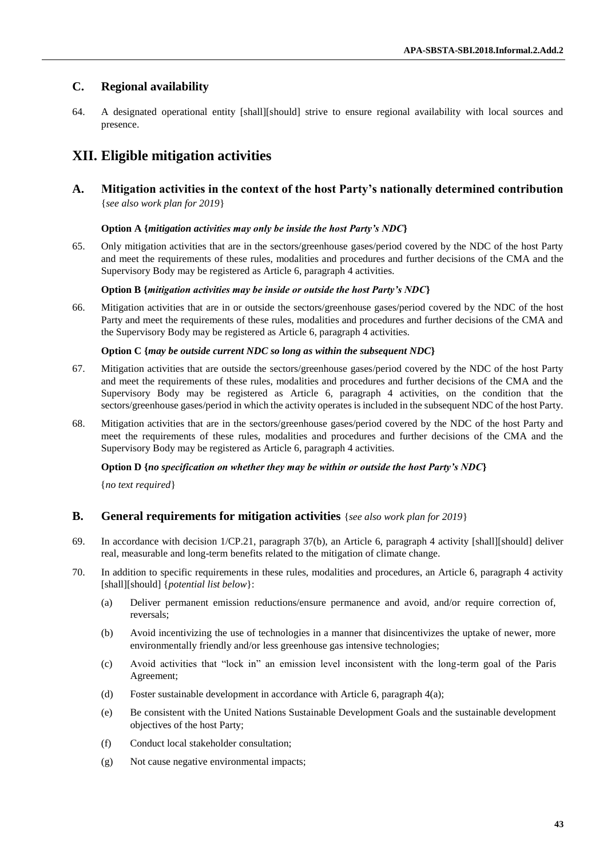## **C. Regional availability**

64. A designated operational entity [shall][should] strive to ensure regional availability with local sources and presence.

# **XII. Eligible mitigation activities**

**A. Mitigation activities in the context of the host Party's nationally determined contribution**  {*see also work plan for 2019*}

## **Option A {***mitigation activities may only be inside the host Party's NDC***}**

65. Only mitigation activities that are in the sectors/greenhouse gases/period covered by the NDC of the host Party and meet the requirements of these rules, modalities and procedures and further decisions of the CMA and the Supervisory Body may be registered as Article 6, paragraph 4 activities.

### **Option B {***mitigation activities may be inside or outside the host Party's NDC***}**

66. Mitigation activities that are in or outside the sectors/greenhouse gases/period covered by the NDC of the host Party and meet the requirements of these rules, modalities and procedures and further decisions of the CMA and the Supervisory Body may be registered as Article 6, paragraph 4 activities.

## **Option C {***may be outside current NDC so long as within the subsequent NDC***}**

- 67. Mitigation activities that are outside the sectors/greenhouse gases/period covered by the NDC of the host Party and meet the requirements of these rules, modalities and procedures and further decisions of the CMA and the Supervisory Body may be registered as Article 6, paragraph 4 activities, on the condition that the sectors/greenhouse gases/period in which the activity operates is included in the subsequent NDC of the host Party.
- 68. Mitigation activities that are in the sectors/greenhouse gases/period covered by the NDC of the host Party and meet the requirements of these rules, modalities and procedures and further decisions of the CMA and the Supervisory Body may be registered as Article 6, paragraph 4 activities.

### **Option D {***no specification on whether they may be within or outside the host Party's NDC***}**

{*no text required*}

## **B. General requirements for mitigation activities** {*see also work plan for 2019*}

- 69. In accordance with decision 1/CP.21, paragraph 37(b), an Article 6, paragraph 4 activity [shall][should] deliver real, measurable and long-term benefits related to the mitigation of climate change.
- 70. In addition to specific requirements in these rules, modalities and procedures, an Article 6, paragraph 4 activity [shall][should] {*potential list below*}:
	- (a) Deliver permanent emission reductions/ensure permanence and avoid, and/or require correction of, reversals;
	- (b) Avoid incentivizing the use of technologies in a manner that disincentivizes the uptake of newer, more environmentally friendly and/or less greenhouse gas intensive technologies;
	- (c) Avoid activities that "lock in" an emission level inconsistent with the long-term goal of the Paris Agreement;
	- (d) Foster sustainable development in accordance with Article 6, paragraph 4(a);
	- (e) Be consistent with the United Nations Sustainable Development Goals and the sustainable development objectives of the host Party;
	- (f) Conduct local stakeholder consultation;
	- (g) Not cause negative environmental impacts;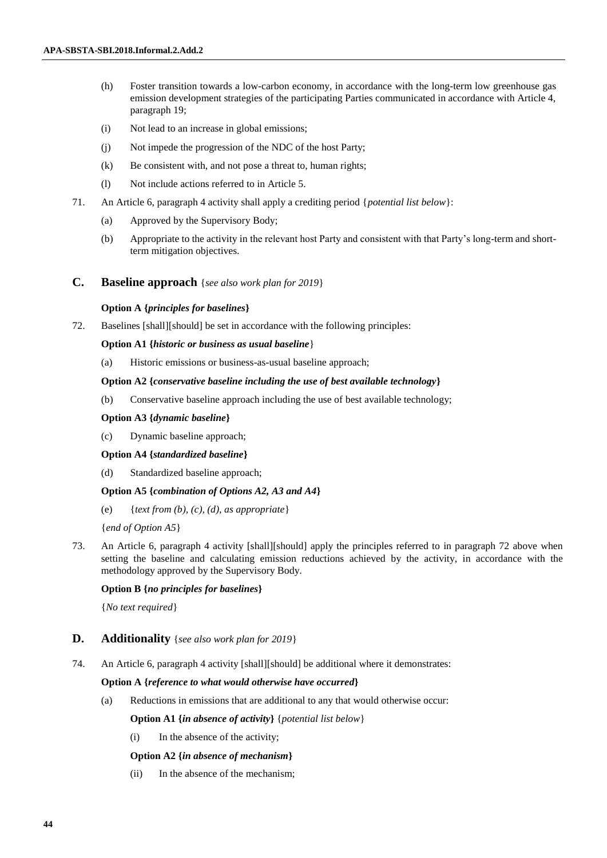- (h) Foster transition towards a low-carbon economy, in accordance with the long-term low greenhouse gas emission development strategies of the participating Parties communicated in accordance with Article 4, paragraph 19;
- (i) Not lead to an increase in global emissions;
- (j) Not impede the progression of the NDC of the host Party;
- (k) Be consistent with, and not pose a threat to, human rights;
- (l) Not include actions referred to in Article 5.
- 71. An Article 6, paragraph 4 activity shall apply a crediting period {*potential list below*}:
	- (a) Approved by the Supervisory Body;
	- (b) Appropriate to the activity in the relevant host Party and consistent with that Party's long-term and shortterm mitigation objectives.
- **C. Baseline approach** {*see also work plan for 2019*}

#### **Option A {***principles for baselines***}**

72. Baselines [shall][should] be set in accordance with the following principles:

#### **Option A1 {***historic or business as usual baseline*}

(a) Historic emissions or business-as-usual baseline approach;

#### **Option A2 {***conservative baseline including the use of best available technology***}**

(b) Conservative baseline approach including the use of best available technology;

#### **Option A3 {***dynamic baseline***}**

(c) Dynamic baseline approach;

#### **Option A4 {***standardized baseline***}**

(d) Standardized baseline approach;

#### **Option A5 {***combination of Options A2, A3 and A4***}**

(e) {*text from (b), (c), (d), as appropriate* }

{*end of Option A5*}

73. An Article 6, paragraph 4 activity [shall][should] apply the principles referred to in paragraph 72 above when setting the baseline and calculating emission reductions achieved by the activity, in accordance with the methodology approved by the Supervisory Body.

## **Option B {***no principles for baselines***}**

{*No text required*}

## **D. Additionality** {*see also work plan for 2019*}

74. An Article 6, paragraph 4 activity [shall][should] be additional where it demonstrates:

#### **Option A {***reference to what would otherwise have occurred***}**

(a) Reductions in emissions that are additional to any that would otherwise occur:

**Option A1 {***in absence of activity***}** {*potential list below*}

(i) In the absence of the activity;

### **Option A2 {***in absence of mechanism***}**

(ii) In the absence of the mechanism;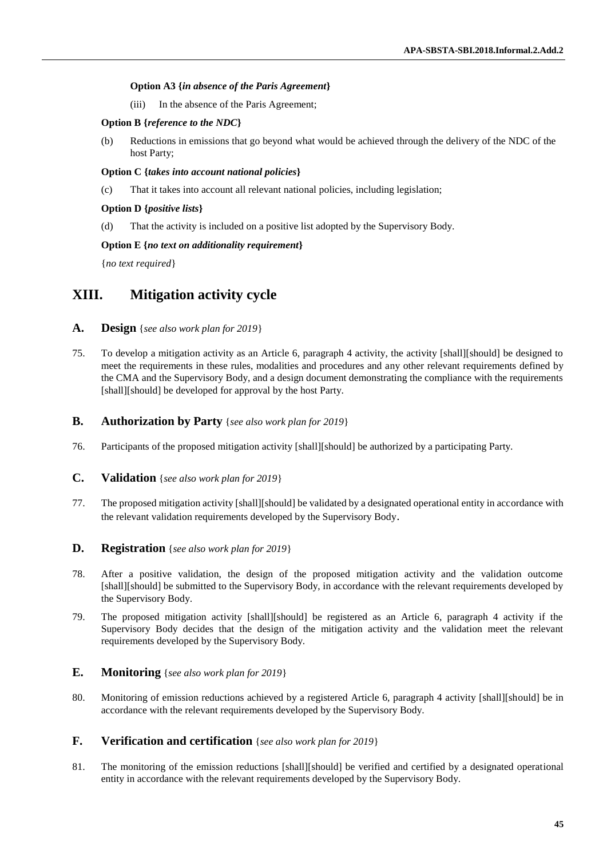## **Option A3 {***in absence of the Paris Agreement***}**

(iii) In the absence of the Paris Agreement;

## **Option B {***reference to the NDC***}**

(b) Reductions in emissions that go beyond what would be achieved through the delivery of the NDC of the host Party;

## **Option C {***takes into account national policies***}**

(c) That it takes into account all relevant national policies, including legislation;

## **Option D {***positive lists***}**

(d) That the activity is included on a positive list adopted by the Supervisory Body.

## **Option E {***no text on additionality requirement***}**

{*no text required*}

# **XIII. Mitigation activity cycle**

- **A. Design** {*see also work plan for 2019*}
- 75. To develop a mitigation activity as an Article 6, paragraph 4 activity, the activity [shall][should] be designed to meet the requirements in these rules, modalities and procedures and any other relevant requirements defined by the CMA and the Supervisory Body, and a design document demonstrating the compliance with the requirements [shall][should] be developed for approval by the host Party.

## **B. Authorization by Party** {*see also work plan for 2019*}

- 76. Participants of the proposed mitigation activity [shall][should] be authorized by a participating Party.
- **C. Validation** {*see also work plan for 2019*}
- 77. The proposed mitigation activity [shall][should] be validated by a designated operational entity in accordance with the relevant validation requirements developed by the Supervisory Body.

## **D. Registration** {*see also work plan for 2019*}

- 78. After a positive validation, the design of the proposed mitigation activity and the validation outcome [shall][should] be submitted to the Supervisory Body, in accordance with the relevant requirements developed by the Supervisory Body.
- 79. The proposed mitigation activity [shall][should] be registered as an Article 6, paragraph 4 activity if the Supervisory Body decides that the design of the mitigation activity and the validation meet the relevant requirements developed by the Supervisory Body.

## **E. Monitoring** {*see also work plan for 2019*}

80. Monitoring of emission reductions achieved by a registered Article 6, paragraph 4 activity [shall][should] be in accordance with the relevant requirements developed by the Supervisory Body.

## **F. Verification and certification** {*see also work plan for 2019*}

81. The monitoring of the emission reductions [shall][should] be verified and certified by a designated operational entity in accordance with the relevant requirements developed by the Supervisory Body.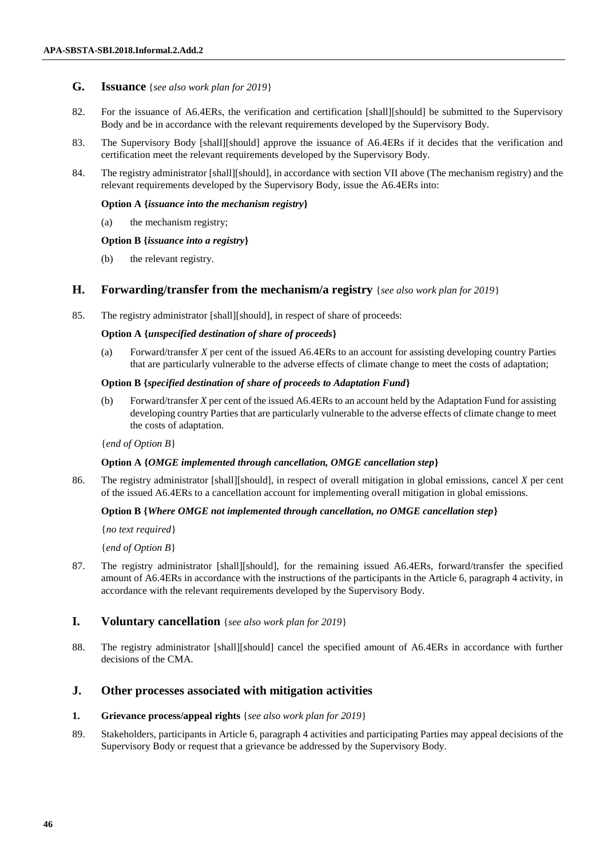## **G. Issuance** {*see also work plan for 2019*}

- 82. For the issuance of A6.4ERs, the verification and certification [shall][should] be submitted to the Supervisory Body and be in accordance with the relevant requirements developed by the Supervisory Body.
- 83. The Supervisory Body [shall][should] approve the issuance of A6.4ERs if it decides that the verification and certification meet the relevant requirements developed by the Supervisory Body.
- 84. The registry administrator [shall][should], in accordance with section VII above (The mechanism registry) and the relevant requirements developed by the Supervisory Body, issue the A6.4ERs into:

#### **Option A {***issuance into the mechanism registry***}**

(a) the mechanism registry;

#### **Option B {***issuance into a registry***}**

(b) the relevant registry.

## **H. Forwarding/transfer from the mechanism/a registry** {*see also work plan for 2019*}

85. The registry administrator [shall][should], in respect of share of proceeds:

### **Option A {***unspecified destination of share of proceeds***}**

(a) Forward/transfer *X* per cent of the issued A6.4ERs to an account for assisting developing country Parties that are particularly vulnerable to the adverse effects of climate change to meet the costs of adaptation;

#### **Option B {***specified destination of share of proceeds to Adaptation Fund***}**

(b) Forward/transfer *X* per cent of the issued A6.4ERs to an account held by the Adaptation Fund for assisting developing country Parties that are particularly vulnerable to the adverse effects of climate change to meet the costs of adaptation.

### {*end of Option B*}

### **Option A {***OMGE implemented through cancellation, OMGE cancellation step***}**

86. The registry administrator [shall][should], in respect of overall mitigation in global emissions, cancel *X* per cent of the issued A6.4ERs to a cancellation account for implementing overall mitigation in global emissions.

### **Option B {***Where OMGE not implemented through cancellation, no OMGE cancellation step***}**

{*no text required*}

{*end of Option B*}

87. The registry administrator [shall][should], for the remaining issued A6.4ERs, forward/transfer the specified amount of A6.4ERs in accordance with the instructions of the participants in the Article 6, paragraph 4 activity, in accordance with the relevant requirements developed by the Supervisory Body.

## **I. Voluntary cancellation** {*see also work plan for 2019*}

88. The registry administrator [shall][should] cancel the specified amount of A6.4ERs in accordance with further decisions of the CMA.

## **J. Other processes associated with mitigation activities**

#### **1. Grievance process/appeal rights** {*see also work plan for 2019*}

89. Stakeholders, participants in Article 6, paragraph 4 activities and participating Parties may appeal decisions of the Supervisory Body or request that a grievance be addressed by the Supervisory Body.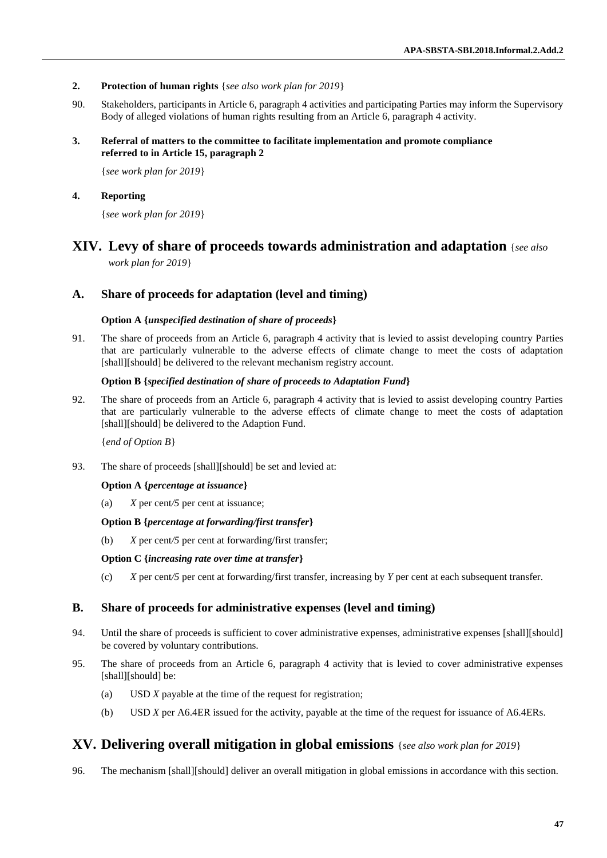- **2. Protection of human rights** {*see also work plan for 2019*}
- 90. Stakeholders, participants in Article 6, paragraph 4 activities and participating Parties may inform the Supervisory Body of alleged violations of human rights resulting from an Article 6, paragraph 4 activity.
- **3. Referral of matters to the committee to facilitate implementation and promote compliance referred to in Article 15, paragraph 2**

{*see work plan for 2019*}

**4. Reporting**

{*see work plan for 2019*}

# **XIV. Levy of share of proceeds towards administration and adaptation** {*see also*

*work plan for 2019*}

## **A. Share of proceeds for adaptation (level and timing)**

## **Option A {***unspecified destination of share of proceeds***}**

91. The share of proceeds from an Article 6, paragraph 4 activity that is levied to assist developing country Parties that are particularly vulnerable to the adverse effects of climate change to meet the costs of adaptation [shall][should] be delivered to the relevant mechanism registry account.

## **Option B {***specified destination of share of proceeds to Adaptation Fund***}**

92. The share of proceeds from an Article 6, paragraph 4 activity that is levied to assist developing country Parties that are particularly vulnerable to the adverse effects of climate change to meet the costs of adaptation [shall][should] be delivered to the Adaption Fund.

{*end of Option B*}

93. The share of proceeds [shall][should] be set and levied at:

## **Option A {***percentage at issuance***}**

(a) *X* per cent*/5* per cent at issuance;

### **Option B {***percentage at forwarding/first transfer***}**

(b) *X* per cent*/5* per cent at forwarding/first transfer;

### **Option C {***increasing rate over time at transfer***}**

(c) *X* per cent*/5* per cent at forwarding/first transfer, increasing by *Y* per cent at each subsequent transfer.

## **B. Share of proceeds for administrative expenses (level and timing)**

- 94. Until the share of proceeds is sufficient to cover administrative expenses, administrative expenses [shall][should] be covered by voluntary contributions.
- 95. The share of proceeds from an Article 6, paragraph 4 activity that is levied to cover administrative expenses [shall][should] be:
	- (a) USD *X* payable at the time of the request for registration;
	- (b) USD *X* per A6.4ER issued for the activity, payable at the time of the request for issuance of A6.4ERs.

## **XV. Delivering overall mitigation in global emissions** {*see also work plan for 2019*}

96. The mechanism [shall][should] deliver an overall mitigation in global emissions in accordance with this section.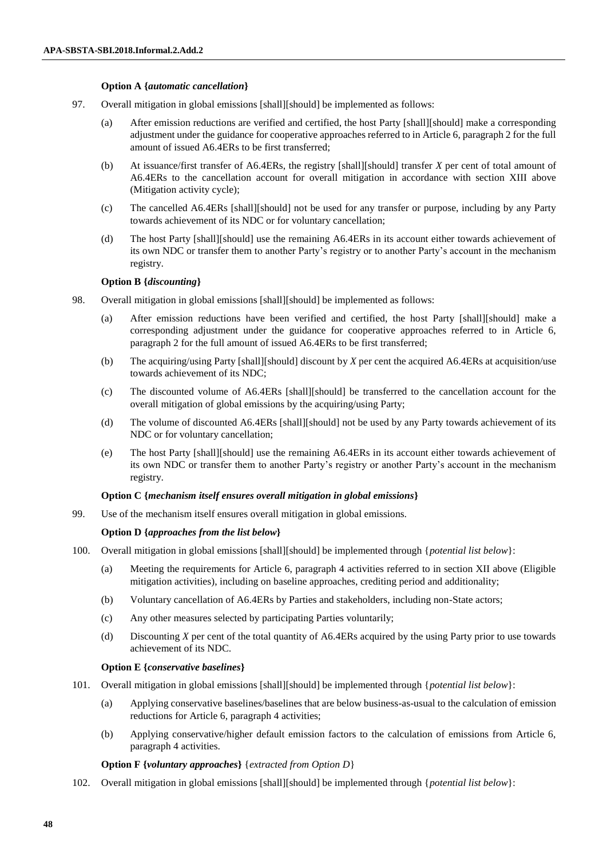#### **Option A {***automatic cancellation***}**

- 97. Overall mitigation in global emissions [shall][should] be implemented as follows:
	- (a) After emission reductions are verified and certified, the host Party [shall][should] make a corresponding adjustment under the guidance for cooperative approaches referred to in Article 6, paragraph 2 for the full amount of issued A6.4ERs to be first transferred;
	- (b) At issuance/first transfer of A6.4ERs, the registry [shall][should] transfer *X* per cent of total amount of A6.4ERs to the cancellation account for overall mitigation in accordance with section XIII above (Mitigation activity cycle);
	- (c) The cancelled A6.4ERs [shall][should] not be used for any transfer or purpose, including by any Party towards achievement of its NDC or for voluntary cancellation;
	- (d) The host Party [shall][should] use the remaining A6.4ERs in its account either towards achievement of its own NDC or transfer them to another Party's registry or to another Party's account in the mechanism registry.

### **Option B {***discounting***}**

- 98. Overall mitigation in global emissions [shall][should] be implemented as follows:
	- (a) After emission reductions have been verified and certified, the host Party [shall][should] make a corresponding adjustment under the guidance for cooperative approaches referred to in Article 6, paragraph 2 for the full amount of issued A6.4ERs to be first transferred;
	- (b) The acquiring/using Party [shall][should] discount by *X* per cent the acquired A6.4ERs at acquisition/use towards achievement of its NDC;
	- (c) The discounted volume of A6.4ERs [shall][should] be transferred to the cancellation account for the overall mitigation of global emissions by the acquiring/using Party;
	- (d) The volume of discounted A6.4ERs [shall][should] not be used by any Party towards achievement of its NDC or for voluntary cancellation;
	- (e) The host Party [shall][should] use the remaining A6.4ERs in its account either towards achievement of its own NDC or transfer them to another Party's registry or another Party's account in the mechanism registry.

#### **Option C {***mechanism itself ensures overall mitigation in global emissions***}**

99. Use of the mechanism itself ensures overall mitigation in global emissions.

#### **Option D {***approaches from the list below***}**

- 100. Overall mitigation in global emissions [shall][should] be implemented through {*potential list below*}:
	- (a) Meeting the requirements for Article 6, paragraph 4 activities referred to in section XII above (Eligible mitigation activities), including on baseline approaches, crediting period and additionality;
	- (b) Voluntary cancellation of A6.4ERs by Parties and stakeholders, including non-State actors;
	- (c) Any other measures selected by participating Parties voluntarily;
	- (d) Discounting *X* per cent of the total quantity of A6.4ERs acquired by the using Party prior to use towards achievement of its NDC.

#### **Option E {***conservative baselines***}**

- 101. Overall mitigation in global emissions [shall][should] be implemented through {*potential list below*}:
	- (a) Applying conservative baselines/baselines that are below business-as-usual to the calculation of emission reductions for Article 6, paragraph 4 activities;
	- (b) Applying conservative/higher default emission factors to the calculation of emissions from Article 6, paragraph 4 activities.

### **Option F {***voluntary approaches***}** {*extracted from Option D*}

102. Overall mitigation in global emissions [shall][should] be implemented through {*potential list below*}: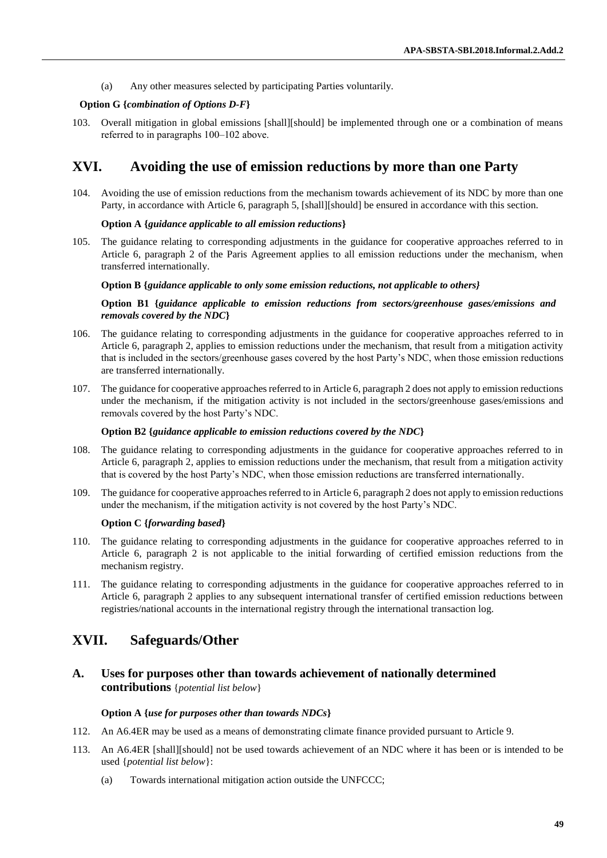(a) Any other measures selected by participating Parties voluntarily.

#### **Option G {***combination of Options D-F***}**

103. Overall mitigation in global emissions [shall][should] be implemented through one or a combination of means referred to in paragraphs 100–102 above.

## **XVI. Avoiding the use of emission reductions by more than one Party**

104. Avoiding the use of emission reductions from the mechanism towards achievement of its NDC by more than one Party, in accordance with Article 6, paragraph 5, [shall][should] be ensured in accordance with this section.

#### **Option A {***guidance applicable to all emission reductions***}**

105. The guidance relating to corresponding adjustments in the guidance for cooperative approaches referred to in Article 6, paragraph 2 of the Paris Agreement applies to all emission reductions under the mechanism, when transferred internationally.

#### **Option B {***guidance applicable to only some emission reductions, not applicable to others}*

#### **Option B1 {***guidance applicable to emission reductions from sectors/greenhouse gases/emissions and removals covered by the NDC***}**

- 106. The guidance relating to corresponding adjustments in the guidance for cooperative approaches referred to in Article 6, paragraph 2, applies to emission reductions under the mechanism, that result from a mitigation activity that is included in the sectors/greenhouse gases covered by the host Party's NDC, when those emission reductions are transferred internationally.
- 107. The guidance for cooperative approaches referred to in Article 6, paragraph 2 does not apply to emission reductions under the mechanism, if the mitigation activity is not included in the sectors/greenhouse gases/emissions and removals covered by the host Party's NDC.

#### **Option B2 {***guidance applicable to emission reductions covered by the NDC***}**

- 108. The guidance relating to corresponding adjustments in the guidance for cooperative approaches referred to in Article 6, paragraph 2, applies to emission reductions under the mechanism, that result from a mitigation activity that is covered by the host Party's NDC, when those emission reductions are transferred internationally*.*
- 109. The guidance for cooperative approaches referred to in Article 6, paragraph 2 does not apply to emission reductions under the mechanism, if the mitigation activity is not covered by the host Party's NDC.

#### **Option C {***forwarding based***}**

- 110. The guidance relating to corresponding adjustments in the guidance for cooperative approaches referred to in Article 6, paragraph 2 is not applicable to the initial forwarding of certified emission reductions from the mechanism registry.
- 111. The guidance relating to corresponding adjustments in the guidance for cooperative approaches referred to in Article 6, paragraph 2 applies to any subsequent international transfer of certified emission reductions between registries/national accounts in the international registry through the international transaction log.

# **XVII. Safeguards/Other**

**A. Uses for purposes other than towards achievement of nationally determined contributions** {*potential list below*}

#### **Option A {***use for purposes other than towards NDCs***}**

- 112. An A6.4ER may be used as a means of demonstrating climate finance provided pursuant to Article 9.
- 113. An A6.4ER [shall][should] not be used towards achievement of an NDC where it has been or is intended to be used {*potential list below*}:
	- (a) Towards international mitigation action outside the UNFCCC;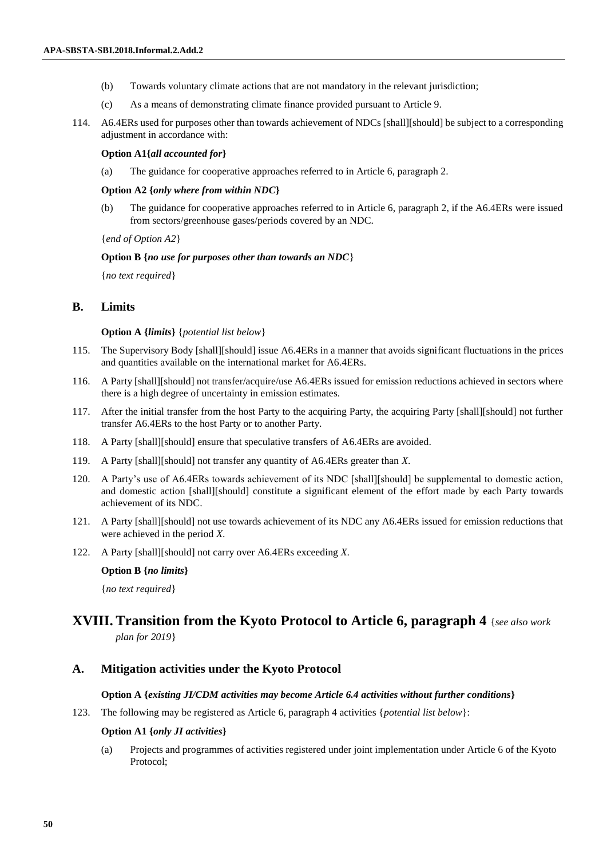- (b) Towards voluntary climate actions that are not mandatory in the relevant jurisdiction;
- (c) As a means of demonstrating climate finance provided pursuant to Article 9.
- 114. A6.4ERs used for purposes other than towards achievement of NDCs [shall][should] be subject to a corresponding adjustment in accordance with:

#### **Option A1{***all accounted for***}**

(a) The guidance for cooperative approaches referred to in Article 6, paragraph 2.

#### **Option A2 {***only where from within NDC***}**

(b) The guidance for cooperative approaches referred to in Article 6, paragraph 2, if the A6.4ERs were issued from sectors/greenhouse gases/periods covered by an NDC.

{*end of Option A2*}

#### **Option B {***no use for purposes other than towards an NDC*}

{*no text required*}

## **B. Limits**

#### **Option A {***limits***}** {*potential list below*}

- 115. The Supervisory Body [shall][should] issue A6.4ERs in a manner that avoids significant fluctuations in the prices and quantities available on the international market for A6.4ERs.
- 116. A Party [shall][should] not transfer/acquire/use A6.4ERs issued for emission reductions achieved in sectors where there is a high degree of uncertainty in emission estimates.
- 117. After the initial transfer from the host Party to the acquiring Party, the acquiring Party [shall][should] not further transfer A6.4ERs to the host Party or to another Party.
- 118. A Party [shall][should] ensure that speculative transfers of A6.4ERs are avoided.
- 119. A Party [shall][should] not transfer any quantity of A6.4ERs greater than *X*.
- 120. A Party's use of A6.4ERs towards achievement of its NDC [shall][should] be supplemental to domestic action, and domestic action [shall][should] constitute a significant element of the effort made by each Party towards achievement of its NDC.
- 121. A Party [shall][should] not use towards achievement of its NDC any A6.4ERs issued for emission reductions that were achieved in the period *X*.
- 122. A Party [shall][should] not carry over A6.4ERs exceeding *X*.

#### **Option B {***no limits***}**

{*no text required*}

# **XVIII. Transition from the Kyoto Protocol to Article 6, paragraph 4** {*see also work*

*plan for 2019*}

## **A. Mitigation activities under the Kyoto Protocol**

### **Option A {***existing JI/CDM activities may become Article 6.4 activities without further conditions***}**

123. The following may be registered as Article 6, paragraph 4 activities {*potential list below*}:

### **Option A1 {***only JI activities***}**

(a) Projects and programmes of activities registered under joint implementation under Article 6 of the Kyoto Protocol;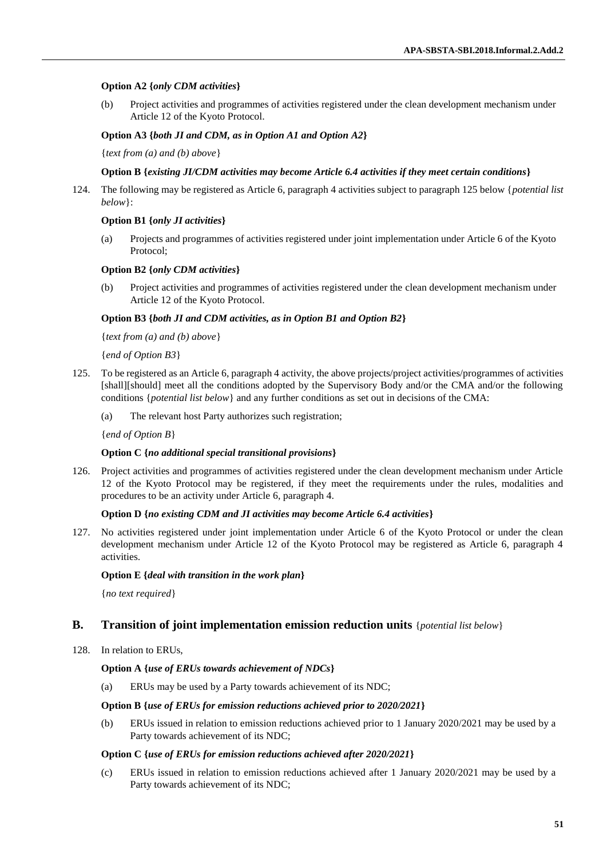## **Option A2 {***only CDM activities***}**

(b) Project activities and programmes of activities registered under the clean development mechanism under Article 12 of the Kyoto Protocol.

**Option A3 {***both JI and CDM, as in Option A1 and Option A2***}**

{*text from (a) and (b) above*}

## **Option B {***existing JI/CDM activities may become Article 6.4 activities if they meet certain conditions***}**

124. The following may be registered as Article 6, paragraph 4 activities subject to paragraph 125 below {*potential list below*}:

## **Option B1 {***only JI activities***}**

(a) Projects and programmes of activities registered under joint implementation under Article 6 of the Kyoto Protocol;

### **Option B2 {***only CDM activities***}**

(b) Project activities and programmes of activities registered under the clean development mechanism under Article 12 of the Kyoto Protocol.

## **Option B3 {***both JI and CDM activities, as in Option B1 and Option B2***}**

{*text from (a) and (b) above*}

{*end of Option B3*}

- 125. To be registered as an Article 6, paragraph 4 activity, the above projects/project activities/programmes of activities [shall][should] meet all the conditions adopted by the Supervisory Body and/or the CMA and/or the following conditions {*potential list below*} and any further conditions as set out in decisions of the CMA:
	- (a) The relevant host Party authorizes such registration;

{*end of Option B*}

### **Option C {***no additional special transitional provisions***}**

126. Project activities and programmes of activities registered under the clean development mechanism under Article 12 of the Kyoto Protocol may be registered, if they meet the requirements under the rules, modalities and procedures to be an activity under Article 6, paragraph 4.

### **Option D {***no existing CDM and JI activities may become Article 6.4 activities***}**

127. No activities registered under joint implementation under Article 6 of the Kyoto Protocol or under the clean development mechanism under Article 12 of the Kyoto Protocol may be registered as Article 6, paragraph 4 activities.

### **Option E {***deal with transition in the work plan***}**

{*no text required*}

## **B. Transition of joint implementation emission reduction units** {*potential list below*}

128. In relation to ERUs,

### **Option A {***use of ERUs towards achievement of NDCs***}**

(a) ERUs may be used by a Party towards achievement of its NDC;

### **Option B {***use of ERUs for emission reductions achieved prior to 2020/2021***}**

(b) ERUs issued in relation to emission reductions achieved prior to 1 January 2020/2021 may be used by a Party towards achievement of its NDC;

### **Option C {***use of ERUs for emission reductions achieved after 2020/2021***}**

(c) ERUs issued in relation to emission reductions achieved after 1 January 2020/2021 may be used by a Party towards achievement of its NDC;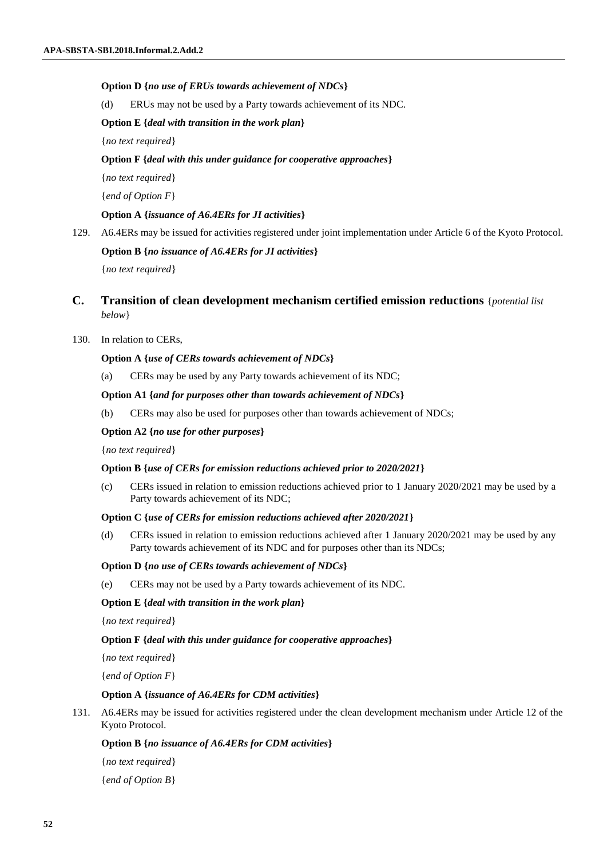### **Option D {***no use of ERUs towards achievement of NDCs***}**

(d) ERUs may not be used by a Party towards achievement of its NDC.

#### **Option E {***deal with transition in the work plan***}**

{*no text required*}

#### **Option F {***deal with this under guidance for cooperative approaches***}**

{*no text required*}

{*end of Option F*}

#### **Option A {***issuance of A6.4ERs for JI activities***}**

129. A6.4ERs may be issued for activities registered under joint implementation under Article 6 of the Kyoto Protocol.

### **Option B {***no issuance of A6.4ERs for JI activities***}**

{*no text required*}

## **C. Transition of clean development mechanism certified emission reductions** {*potential list below*}

#### 130. In relation to CERs,

#### **Option A {***use of CERs towards achievement of NDCs***}**

(a) CERs may be used by any Party towards achievement of its NDC;

## **Option A1 {***and for purposes other than towards achievement of NDCs***}**

(b) CERs may also be used for purposes other than towards achievement of NDCs;

#### **Option A2 {***no use for other purposes***}**

{*no text required*}

#### **Option B {***use of CERs for emission reductions achieved prior to 2020/2021***}**

(c) CERs issued in relation to emission reductions achieved prior to 1 January 2020/2021 may be used by a Party towards achievement of its NDC;

#### **Option C {***use of CERs for emission reductions achieved after 2020/2021***}**

(d) CERs issued in relation to emission reductions achieved after 1 January 2020/2021 may be used by any Party towards achievement of its NDC and for purposes other than its NDCs;

#### **Option D {***no use of CERs towards achievement of NDCs***}**

(e) CERs may not be used by a Party towards achievement of its NDC.

#### **Option E {***deal with transition in the work plan***}**

{*no text required*}

### **Option F {***deal with this under guidance for cooperative approaches***}**

{*no text required*}

{*end of Option F*}

#### **Option A {***issuance of A6.4ERs for CDM activities***}**

131. A6.4ERs may be issued for activities registered under the clean development mechanism under Article 12 of the Kyoto Protocol.

### **Option B {***no issuance of A6.4ERs for CDM activities***}**

{*no text required*}

{*end of Option B*}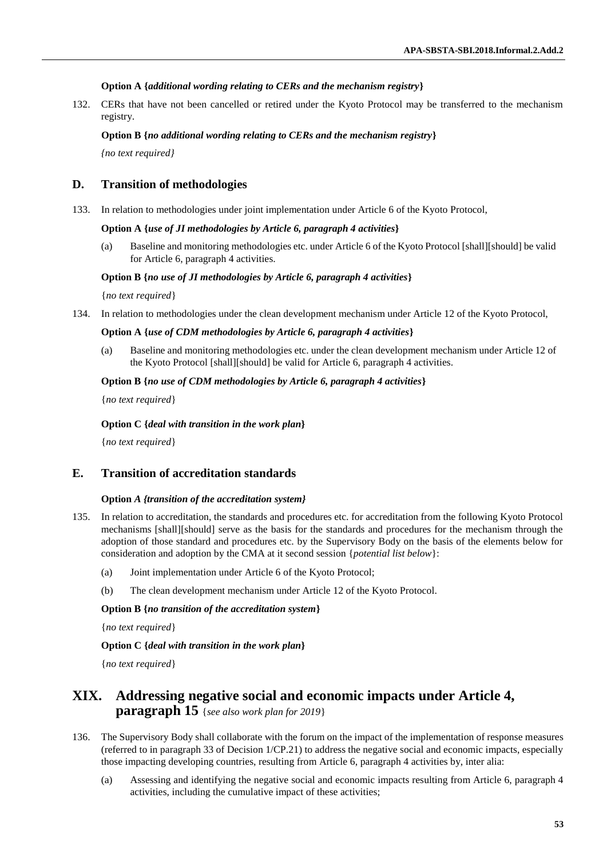## **Option A {***additional wording relating to CERs and the mechanism registry***}**

132. CERs that have not been cancelled or retired under the Kyoto Protocol may be transferred to the mechanism registry.

## **Option B {***no additional wording relating to CERs and the mechanism registry***}**

*{no text required}*

## **D. Transition of methodologies**

133. In relation to methodologies under joint implementation under Article 6 of the Kyoto Protocol,

### **Option A {***use of JI methodologies by Article 6, paragraph 4 activities***}**

(a) Baseline and monitoring methodologies etc. under Article 6 of the Kyoto Protocol [shall][should] be valid for Article 6, paragraph 4 activities.

## **Option B {***no use of JI methodologies by Article 6, paragraph 4 activities***}**

{*no text required*}

134. In relation to methodologies under the clean development mechanism under Article 12 of the Kyoto Protocol,

## **Option A {***use of CDM methodologies by Article 6, paragraph 4 activities***}**

(a) Baseline and monitoring methodologies etc. under the clean development mechanism under Article 12 of the Kyoto Protocol [shall][should] be valid for Article 6, paragraph 4 activities.

### **Option B {***no use of CDM methodologies by Article 6, paragraph 4 activities***}**

{*no text required*}

## **Option C {***deal with transition in the work plan***}**

{*no text required*}

## **E. Transition of accreditation standards**

### **Option** *A {transition of the accreditation system}*

- 135. In relation to accreditation, the standards and procedures etc. for accreditation from the following Kyoto Protocol mechanisms [shall][should] serve as the basis for the standards and procedures for the mechanism through the adoption of those standard and procedures etc. by the Supervisory Body on the basis of the elements below for consideration and adoption by the CMA at it second session {*potential list below*}:
	- (a) Joint implementation under Article 6 of the Kyoto Protocol;
	- (b) The clean development mechanism under Article 12 of the Kyoto Protocol.

**Option B {***no transition of the accreditation system***}**

{*no text required*}

### **Option C {***deal with transition in the work plan***}**

{*no text required*}

# **XIX. Addressing negative social and economic impacts under Article 4, paragraph 15** {*see also work plan for 2019*}

- 136. The Supervisory Body shall collaborate with the forum on the impact of the implementation of response measures (referred to in paragraph 33 of Decision 1/CP.21) to address the negative social and economic impacts, especially those impacting developing countries, resulting from Article 6, paragraph 4 activities by, inter alia:
	- (a) Assessing and identifying the negative social and economic impacts resulting from Article 6, paragraph 4 activities, including the cumulative impact of these activities;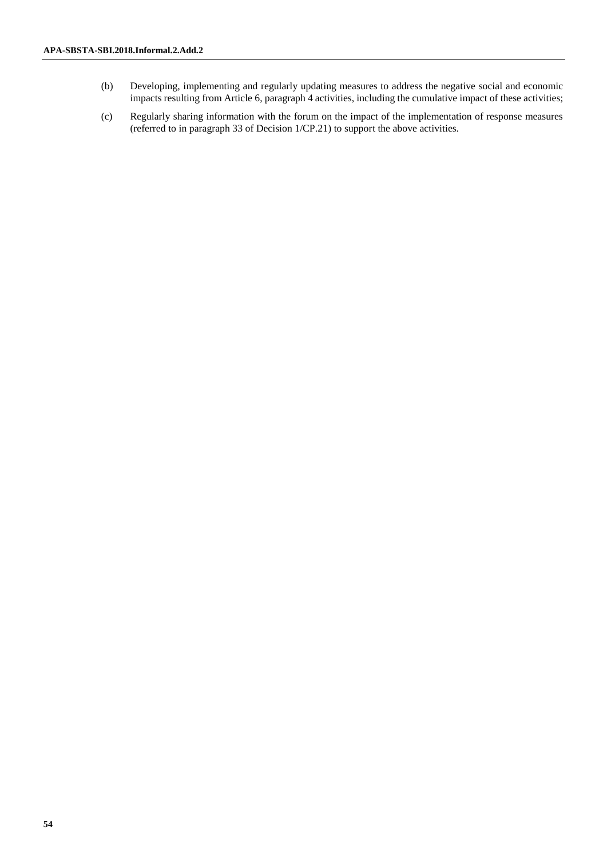- (b) Developing, implementing and regularly updating measures to address the negative social and economic impacts resulting from Article 6, paragraph 4 activities, including the cumulative impact of these activities;
- (c) Regularly sharing information with the forum on the impact of the implementation of response measures (referred to in paragraph 33 of Decision 1/CP.21) to support the above activities.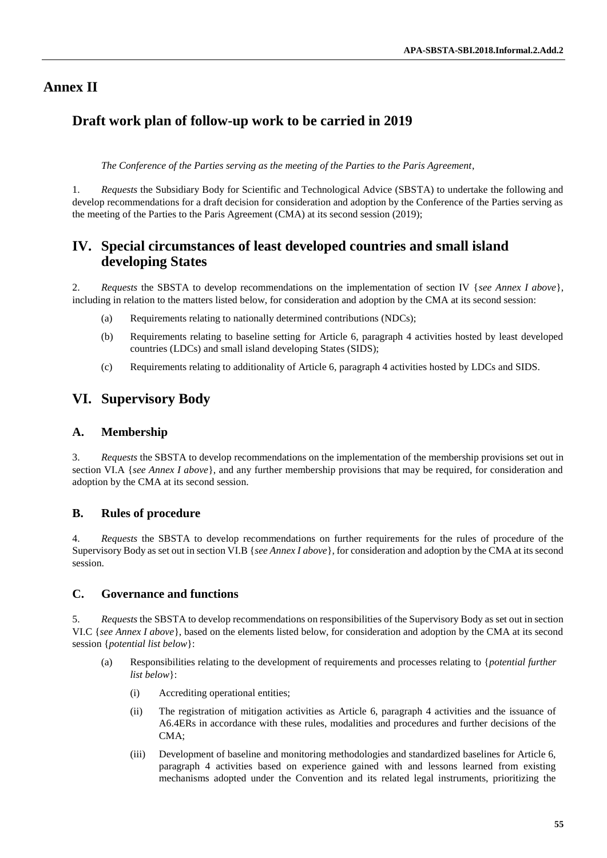# **Annex II**

# **Draft work plan of follow-up work to be carried in 2019**

*The Conference of the Parties serving as the meeting of the Parties to the Paris Agreement*,

1. *Requests* the Subsidiary Body for Scientific and Technological Advice (SBSTA) to undertake the following and develop recommendations for a draft decision for consideration and adoption by the Conference of the Parties serving as the meeting of the Parties to the Paris Agreement (CMA) at its second session (2019);

# **IV. Special circumstances of least developed countries and small island developing States**

2. *Requests* the SBSTA to develop recommendations on the implementation of section IV {*see Annex I above*}, including in relation to the matters listed below, for consideration and adoption by the CMA at its second session:

- (a) Requirements relating to nationally determined contributions (NDCs);
- (b) Requirements relating to baseline setting for Article 6, paragraph 4 activities hosted by least developed countries (LDCs) and small island developing States (SIDS);
- (c) Requirements relating to additionality of Article 6, paragraph 4 activities hosted by LDCs and SIDS.

# **VI. Supervisory Body**

## **A. Membership**

3. *Requests* the SBSTA to develop recommendations on the implementation of the membership provisions set out in section VI.A {*see Annex I above*}, and any further membership provisions that may be required, for consideration and adoption by the CMA at its second session.

## **B. Rules of procedure**

4. *Requests* the SBSTA to develop recommendations on further requirements for the rules of procedure of the Supervisory Body as set out in section VI.B {*see Annex I above*}, for consideration and adoption by the CMA at its second session.

## **C. Governance and functions**

5. *Requests* the SBSTA to develop recommendations on responsibilities of the Supervisory Body as set out in section VI.C {*see Annex I above*}, based on the elements listed below, for consideration and adoption by the CMA at its second session {*potential list below*}:

- (a) Responsibilities relating to the development of requirements and processes relating to {*potential further list below*}:
	- (i) Accrediting operational entities;
	- (ii) The registration of mitigation activities as Article 6, paragraph 4 activities and the issuance of A6.4ERs in accordance with these rules, modalities and procedures and further decisions of the CMA;
	- (iii) Development of baseline and monitoring methodologies and standardized baselines for Article 6, paragraph 4 activities based on experience gained with and lessons learned from existing mechanisms adopted under the Convention and its related legal instruments, prioritizing the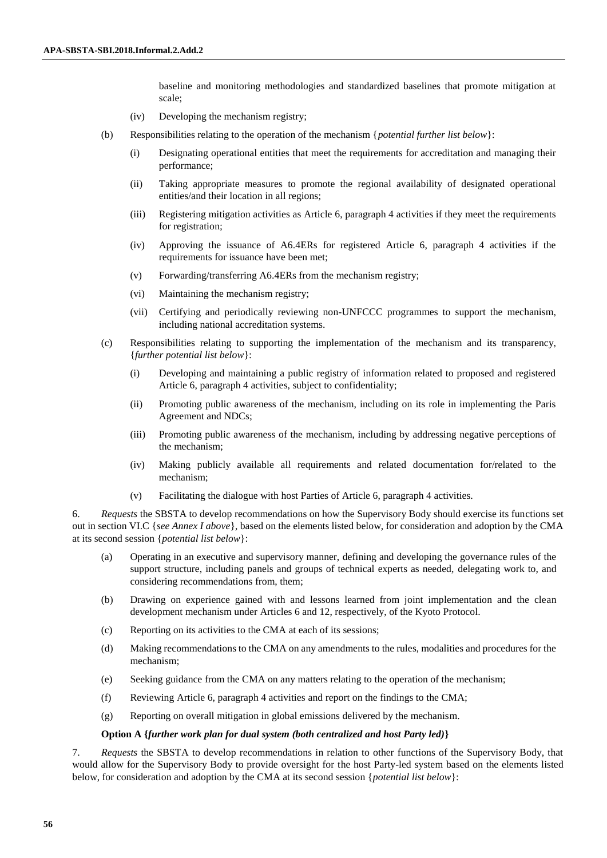baseline and monitoring methodologies and standardized baselines that promote mitigation at scale;

- (iv) Developing the mechanism registry;
- (b) Responsibilities relating to the operation of the mechanism {*potential further list below*}:
	- (i) Designating operational entities that meet the requirements for accreditation and managing their performance;
	- (ii) Taking appropriate measures to promote the regional availability of designated operational entities/and their location in all regions;
	- (iii) Registering mitigation activities as Article 6, paragraph 4 activities if they meet the requirements for registration;
	- (iv) Approving the issuance of A6.4ERs for registered Article 6, paragraph 4 activities if the requirements for issuance have been met;
	- (v) Forwarding/transferring A6.4ERs from the mechanism registry;
	- (vi) Maintaining the mechanism registry;
	- (vii) Certifying and periodically reviewing non-UNFCCC programmes to support the mechanism, including national accreditation systems.
- (c) Responsibilities relating to supporting the implementation of the mechanism and its transparency, {*further potential list below*}:
	- (i) Developing and maintaining a public registry of information related to proposed and registered Article 6, paragraph 4 activities, subject to confidentiality;
	- (ii) Promoting public awareness of the mechanism, including on its role in implementing the Paris Agreement and NDCs;
	- (iii) Promoting public awareness of the mechanism, including by addressing negative perceptions of the mechanism;
	- (iv) Making publicly available all requirements and related documentation for/related to the mechanism;
	- (v) Facilitating the dialogue with host Parties of Article 6, paragraph 4 activities.

6. *Requests* the SBSTA to develop recommendations on how the Supervisory Body should exercise its functions set out in section VI.C {*see Annex I above*}, based on the elements listed below, for consideration and adoption by the CMA at its second session {*potential list below*}:

- (a) Operating in an executive and supervisory manner, defining and developing the governance rules of the support structure, including panels and groups of technical experts as needed, delegating work to, and considering recommendations from, them;
- (b) Drawing on experience gained with and lessons learned from joint implementation and the clean development mechanism under Articles 6 and 12, respectively, of the Kyoto Protocol.
- (c) Reporting on its activities to the CMA at each of its sessions;
- (d) Making recommendations to the CMA on any amendments to the rules, modalities and procedures for the mechanism;
- (e) Seeking guidance from the CMA on any matters relating to the operation of the mechanism;
- (f) Reviewing Article 6, paragraph 4 activities and report on the findings to the CMA;
- (g) Reporting on overall mitigation in global emissions delivered by the mechanism.

#### **Option A {***further work plan for dual system (both centralized and host Party led)***}**

7. *Requests* the SBSTA to develop recommendations in relation to other functions of the Supervisory Body, that would allow for the Supervisory Body to provide oversight for the host Party-led system based on the elements listed below, for consideration and adoption by the CMA at its second session {*potential list below*}: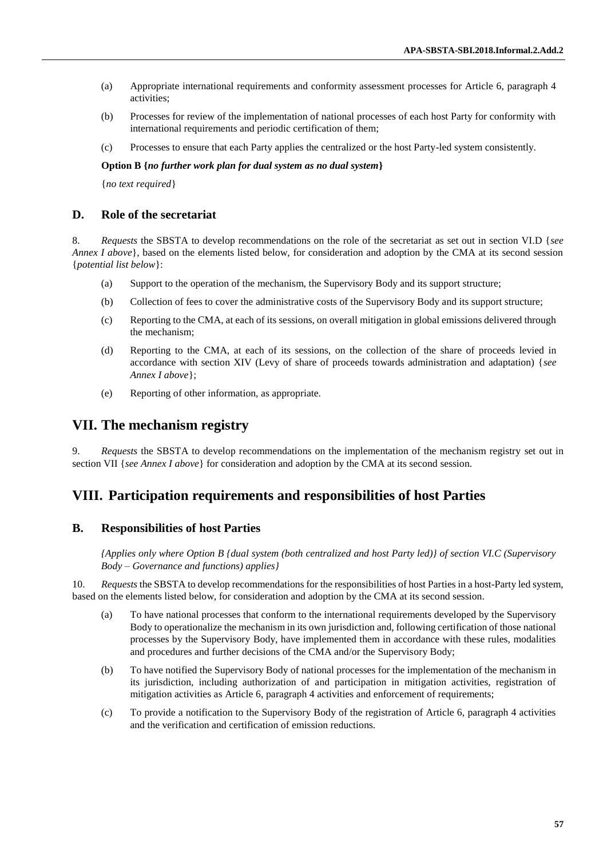- (a) Appropriate international requirements and conformity assessment processes for Article 6, paragraph 4 activities;
- (b) Processes for review of the implementation of national processes of each host Party for conformity with international requirements and periodic certification of them;
- (c) Processes to ensure that each Party applies the centralized or the host Party-led system consistently.

#### **Option B {***no further work plan for dual system as no dual system***}**

{*no text required*}

### **D. Role of the secretariat**

8. *Requests* the SBSTA to develop recommendations on the role of the secretariat as set out in section VI.D {*see Annex I above*}, based on the elements listed below, for consideration and adoption by the CMA at its second session {*potential list below*}:

- (a) Support to the operation of the mechanism, the Supervisory Body and its support structure;
- (b) Collection of fees to cover the administrative costs of the Supervisory Body and its support structure;
- (c) Reporting to the CMA, at each of its sessions, on overall mitigation in global emissions delivered through the mechanism;
- (d) Reporting to the CMA, at each of its sessions, on the collection of the share of proceeds levied in accordance with section XIV (Levy of share of proceeds towards administration and adaptation) {*see Annex I above*};
- (e) Reporting of other information, as appropriate.

## **VII. The mechanism registry**

9. *Requests* the SBSTA to develop recommendations on the implementation of the mechanism registry set out in section VII {*see Annex I above*} for consideration and adoption by the CMA at its second session.

## **VIII. Participation requirements and responsibilities of host Parties**

## **B. Responsibilities of host Parties**

*{Applies only where Option B {dual system (both centralized and host Party led)} of section VI.C (Supervisory Body – Governance and functions) applies}* 

10. *Requests* the SBSTA to develop recommendations for the responsibilities of host Parties in a host-Party led system, based on the elements listed below, for consideration and adoption by the CMA at its second session.

- (a) To have national processes that conform to the international requirements developed by the Supervisory Body to operationalize the mechanism in its own jurisdiction and, following certification of those national processes by the Supervisory Body, have implemented them in accordance with these rules, modalities and procedures and further decisions of the CMA and/or the Supervisory Body;
- (b) To have notified the Supervisory Body of national processes for the implementation of the mechanism in its jurisdiction, including authorization of and participation in mitigation activities, registration of mitigation activities as Article 6, paragraph 4 activities and enforcement of requirements;
- (c) To provide a notification to the Supervisory Body of the registration of Article 6, paragraph 4 activities and the verification and certification of emission reductions.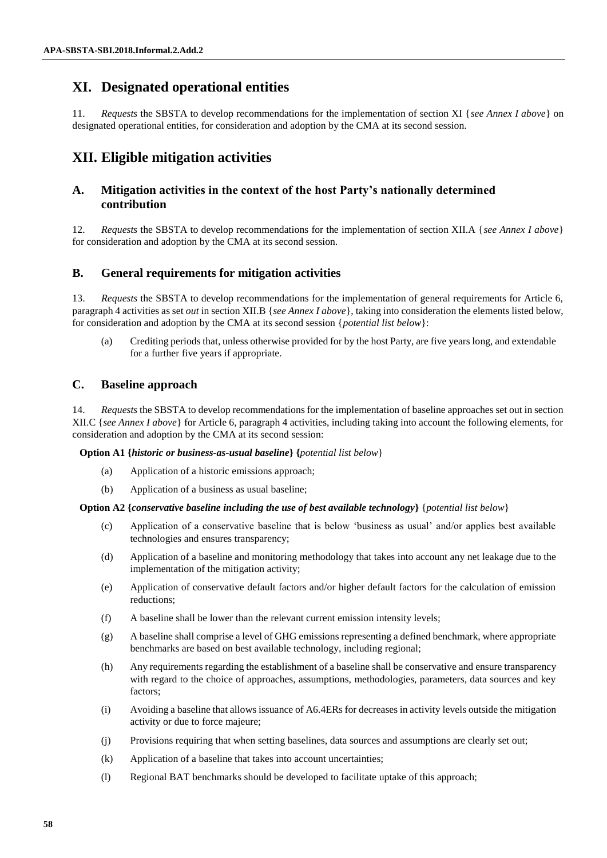# **XI. Designated operational entities**

11. *Requests* the SBSTA to develop recommendations for the implementation of section XI {*see Annex I above*} on designated operational entities, for consideration and adoption by the CMA at its second session.

# **XII. Eligible mitigation activities**

## **A. Mitigation activities in the context of the host Party's nationally determined contribution**

12. *Requests* the SBSTA to develop recommendations for the implementation of section XII.A {*see Annex I above*} for consideration and adoption by the CMA at its second session.

## **B. General requirements for mitigation activities**

13. *Requests* the SBSTA to develop recommendations for the implementation of general requirements for Article 6, paragraph 4 activities as set *out* in section XII.B {*see Annex I above*}, taking into consideration the elements listed below, for consideration and adoption by the CMA at its second session {*potential list below*}:

(a) Crediting periods that, unless otherwise provided for by the host Party, are five years long, and extendable for a further five years if appropriate.

## **C. Baseline approach**

14. *Requests* the SBSTA to develop recommendations for the implementation of baseline approaches set out in section XII.C {*see Annex I above*} for Article 6, paragraph 4 activities, including taking into account the following elements, for consideration and adoption by the CMA at its second session:

**Option A1 {***historic or business-as-usual baseline***} {***potential list below*}

- (a) Application of a historic emissions approach;
- (b) Application of a business as usual baseline;

### **Option A2 {***conservative baseline including the use of best available technology***}** {*potential list below*}

- (c) Application of a conservative baseline that is below 'business as usual' and/or applies best available technologies and ensures transparency;
- (d) Application of a baseline and monitoring methodology that takes into account any net leakage due to the implementation of the mitigation activity;
- (e) Application of conservative default factors and/or higher default factors for the calculation of emission reductions;
- (f) A baseline shall be lower than the relevant current emission intensity levels;
- (g) A baseline shall comprise a level of GHG emissions representing a defined benchmark, where appropriate benchmarks are based on best available technology, including regional;
- (h) Any requirements regarding the establishment of a baseline shall be conservative and ensure transparency with regard to the choice of approaches, assumptions, methodologies, parameters, data sources and key factors;
- (i) Avoiding a baseline that allows issuance of A6.4ERs for decreases in activity levels outside the mitigation activity or due to force majeure;
- (j) Provisions requiring that when setting baselines, data sources and assumptions are clearly set out;
- (k) Application of a baseline that takes into account uncertainties;
- (l) Regional BAT benchmarks should be developed to facilitate uptake of this approach;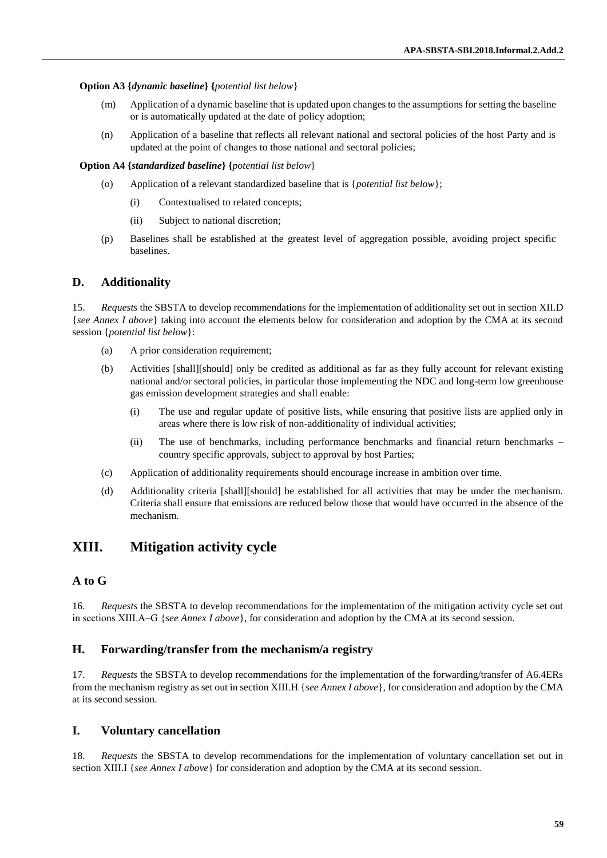## **Option A3 {***dynamic baseline***} {***potential list below*}

- (m) Application of a dynamic baseline that is updated upon changes to the assumptions for setting the baseline or is automatically updated at the date of policy adoption;
- (n) Application of a baseline that reflects all relevant national and sectoral policies of the host Party and is updated at the point of changes to those national and sectoral policies;

## **Option A4 {***standardized baseline***} {***potential list below*}

- (o) Application of a relevant standardized baseline that is {*potential list below*};
	- (i) Contextualised to related concepts;
	- (ii) Subject to national discretion;
- (p) Baselines shall be established at the greatest level of aggregation possible, avoiding project specific baselines.

## **D. Additionality**

15. *Requests* the SBSTA to develop recommendations for the implementation of additionality set out in section XII.D {*see Annex I above*} taking into account the elements below for consideration and adoption by the CMA at its second session {*potential list below*}:

- (a) A prior consideration requirement;
- (b) Activities [shall][should] only be credited as additional as far as they fully account for relevant existing national and/or sectoral policies, in particular those implementing the NDC and long-term low greenhouse gas emission development strategies and shall enable:
	- (i) The use and regular update of positive lists, while ensuring that positive lists are applied only in areas where there is low risk of non-additionality of individual activities;
	- (ii) The use of benchmarks, including performance benchmarks and financial return benchmarks country specific approvals, subject to approval by host Parties;
- (c) Application of additionality requirements should encourage increase in ambition over time.
- (d) Additionality criteria [shall][should] be established for all activities that may be under the mechanism. Criteria shall ensure that emissions are reduced below those that would have occurred in the absence of the mechanism.

# **XIII. Mitigation activity cycle**

## **A to G**

16. *Requests* the SBSTA to develop recommendations for the implementation of the mitigation activity cycle set out in sections XIII.A–G {see Annex I above}, for consideration and adoption by the CMA at its second session.

## **H. Forwarding/transfer from the mechanism/a registry**

17. *Requests* the SBSTA to develop recommendations for the implementation of the forwarding/transfer of A6.4ERs from the mechanism registry as set out in section XIII.H {*see Annex I above*}, for consideration and adoption by the CMA at its second session.

## **I. Voluntary cancellation**

18. *Requests* the SBSTA to develop recommendations for the implementation of voluntary cancellation set out in section XIII.I {*see Annex I above*} for consideration and adoption by the CMA at its second session.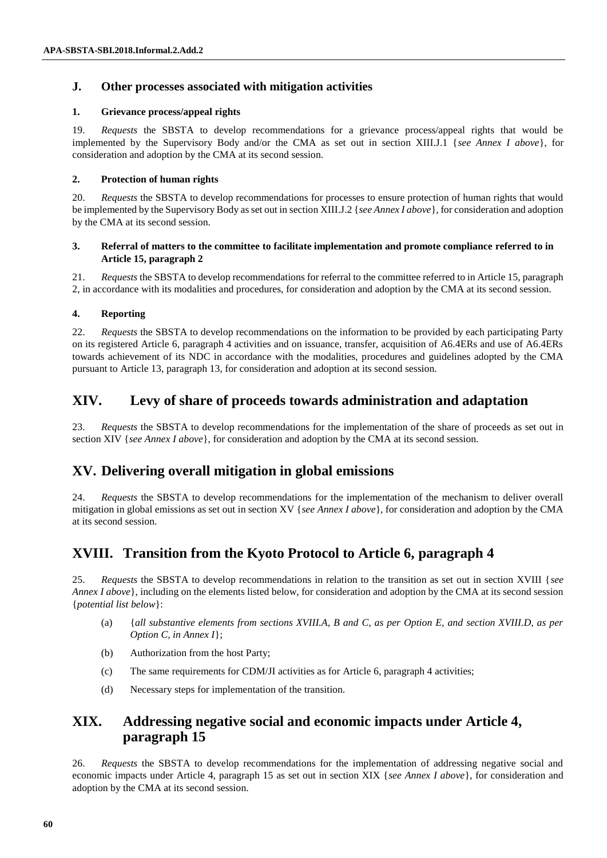## **J. Other processes associated with mitigation activities**

## **1. Grievance process/appeal rights**

19. *Requests* the SBSTA to develop recommendations for a grievance process/appeal rights that would be implemented by the Supervisory Body and/or the CMA as set out in section XIII.J.1 {*see Annex I above*}, for consideration and adoption by the CMA at its second session.

## **2. Protection of human rights**

20. *Requests* the SBSTA to develop recommendations for processes to ensure protection of human rights that would be implemented by the Supervisory Body as set out in section XIII.J.2 {*see Annex I above*}, for consideration and adoption by the CMA at its second session.

## **3. Referral of matters to the committee to facilitate implementation and promote compliance referred to in Article 15, paragraph 2**

21. *Requests* the SBSTA to develop recommendations for referral to the committee referred to in Article 15, paragraph 2, in accordance with its modalities and procedures, for consideration and adoption by the CMA at its second session.

## **4. Reporting**

22. *Requests* the SBSTA to develop recommendations on the information to be provided by each participating Party on its registered Article 6, paragraph 4 activities and on issuance, transfer, acquisition of A6.4ERs and use of A6.4ERs towards achievement of its NDC in accordance with the modalities, procedures and guidelines adopted by the CMA pursuant to Article 13, paragraph 13, for consideration and adoption at its second session.

# **XIV. Levy of share of proceeds towards administration and adaptation**

23. *Requests* the SBSTA to develop recommendations for the implementation of the share of proceeds as set out in section XIV {*see Annex I above*}, for consideration and adoption by the CMA at its second session*.*

# **XV. Delivering overall mitigation in global emissions**

24. *Requests* the SBSTA to develop recommendations for the implementation of the mechanism to deliver overall mitigation in global emissions as set out in section XV {*see Annex I above*}, for consideration and adoption by the CMA at its second session.

# **XVIII. Transition from the Kyoto Protocol to Article 6, paragraph 4**

25. *Requests* the SBSTA to develop recommendations in relation to the transition as set out in section XVIII {*see Annex I above*}, including on the elements listed below, for consideration and adoption by the CMA at its second session {*potential list below*}:

- (a) {*all substantive elements from sections XVIII.A, B and C, as per Option E, and section XVIII.D, as per Option C, in Annex I*};
- (b) Authorization from the host Party;
- (c) The same requirements for CDM/JI activities as for Article 6, paragraph 4 activities;
- (d) Necessary steps for implementation of the transition.

# **XIX. Addressing negative social and economic impacts under Article 4, paragraph 15**

26. *Requests* the SBSTA to develop recommendations for the implementation of addressing negative social and economic impacts under Article 4, paragraph 15 as set out in section XIX {*see Annex I above*}, for consideration and adoption by the CMA at its second session.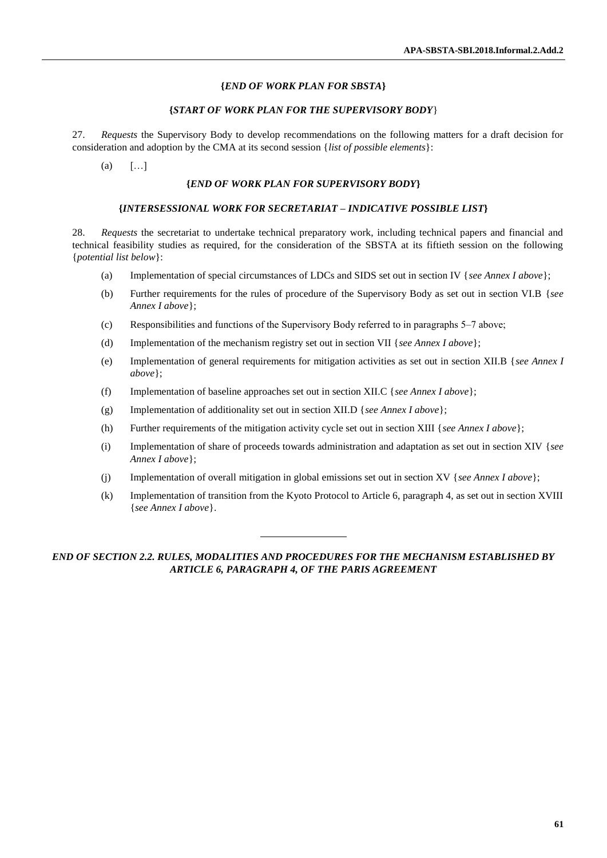#### **{***END OF WORK PLAN FOR SBSTA***}**

#### **{***START OF WORK PLAN FOR THE SUPERVISORY BODY*}

27. *Requests* the Supervisory Body to develop recommendations on the following matters for a draft decision for consideration and adoption by the CMA at its second session {*list of possible elements*}:

 $(a)$   $[...]$ 

#### **{***END OF WORK PLAN FOR SUPERVISORY BODY***}**

#### **{***INTERSESSIONAL WORK FOR SECRETARIAT – INDICATIVE POSSIBLE LIST***}**

28. *Requests* the secretariat to undertake technical preparatory work, including technical papers and financial and technical feasibility studies as required, for the consideration of the SBSTA at its fiftieth session on the following {*potential list below*}:

- (a) Implementation of special circumstances of LDCs and SIDS set out in section IV {*see Annex I above*};
- (b) Further requirements for the rules of procedure of the Supervisory Body as set out in section VI.B {*see Annex I above*};
- (c) Responsibilities and functions of the Supervisory Body referred to in paragraphs 5–7 above;
- (d) Implementation of the mechanism registry set out in section VII {*see Annex I above*};
- (e) Implementation of general requirements for mitigation activities as set out in section XII.B {*see Annex I above*};
- (f) Implementation of baseline approaches set out in section XII.C {*see Annex I above*};
- (g) Implementation of additionality set out in section XII.D {*see Annex I above*};
- (h) Further requirements of the mitigation activity cycle set out in section XIII {*see Annex I above*};
- (i) Implementation of share of proceeds towards administration and adaptation as set out in section XIV {*see Annex I above*};
- (j) Implementation of overall mitigation in global emissions set out in section XV {*see Annex I above*};
- (k) Implementation of transition from the Kyoto Protocol to Article 6, paragraph 4, as set out in section XVIII {*see Annex I above*}.

*END OF SECTION 2.2. RULES, MODALITIES AND PROCEDURES FOR THE MECHANISM ESTABLISHED BY ARTICLE 6, PARAGRAPH 4, OF THE PARIS AGREEMENT*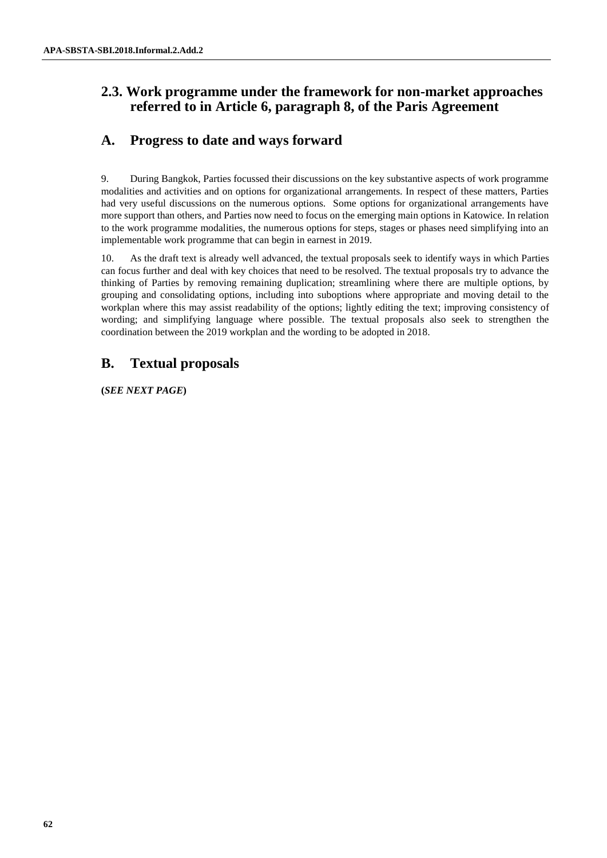# **2.3. Work programme under the framework for non-market approaches referred to in Article 6, paragraph 8, of the Paris Agreement**

# **A. Progress to date and ways forward**

9. During Bangkok, Parties focussed their discussions on the key substantive aspects of work programme modalities and activities and on options for organizational arrangements. In respect of these matters, Parties had very useful discussions on the numerous options. Some options for organizational arrangements have more support than others, and Parties now need to focus on the emerging main options in Katowice. In relation to the work programme modalities, the numerous options for steps, stages or phases need simplifying into an implementable work programme that can begin in earnest in 2019.

10. As the draft text is already well advanced, the textual proposals seek to identify ways in which Parties can focus further and deal with key choices that need to be resolved. The textual proposals try to advance the thinking of Parties by removing remaining duplication; streamlining where there are multiple options, by grouping and consolidating options, including into suboptions where appropriate and moving detail to the workplan where this may assist readability of the options; lightly editing the text; improving consistency of wording; and simplifying language where possible. The textual proposals also seek to strengthen the coordination between the 2019 workplan and the wording to be adopted in 2018.

# **B. Textual proposals**

**(***SEE NEXT PAGE***)**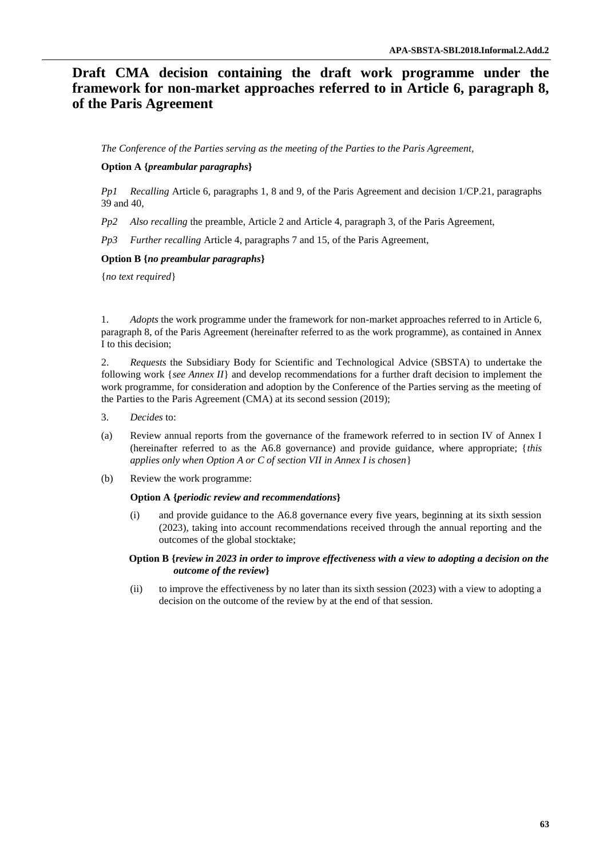# **Draft CMA decision containing the draft work programme under the framework for non-market approaches referred to in Article 6, paragraph 8, of the Paris Agreement**

*The Conference of the Parties serving as the meeting of the Parties to the Paris Agreement,*

## **Option A {***preambular paragraphs***}**

*Pp1 Recalling* Article 6, paragraphs 1, 8 and 9, of the Paris Agreement and decision 1/CP.21, paragraphs 39 and 40,

*Pp2 Also recalling* the preamble, Article 2 and Article 4, paragraph 3, of the Paris Agreement,

*Pp3 Further recalling* Article 4, paragraphs 7 and 15, of the Paris Agreement,

### **Option B {***no preambular paragraphs***}**

{*no text required*}

1. *Adopts* the work programme under the framework for non-market approaches referred to in Article 6, paragraph 8, of the Paris Agreement (hereinafter referred to as the work programme), as contained in Annex I to this decision;

2. *Requests* the Subsidiary Body for Scientific and Technological Advice (SBSTA) to undertake the following work {*see Annex II*} and develop recommendations for a further draft decision to implement the work programme, for consideration and adoption by the Conference of the Parties serving as the meeting of the Parties to the Paris Agreement (CMA) at its second session (2019);

- 3. *Decides* to:
- (a) Review annual reports from the governance of the framework referred to in section IV of Annex I (hereinafter referred to as the A6.8 governance) and provide guidance, where appropriate; {*this applies only when Option A or C of section VII in Annex I is chosen*}
- (b) Review the work programme:

#### **Option A {***periodic review and recommendations***}**

(i) and provide guidance to the A6.8 governance every five years, beginning at its sixth session (2023), taking into account recommendations received through the annual reporting and the outcomes of the global stocktake;

#### **Option B {***review in 2023 in order to improve effectiveness with a view to adopting a decision on the outcome of the review***}**

(ii) to improve the effectiveness by no later than its sixth session (2023) with a view to adopting a decision on the outcome of the review by at the end of that session.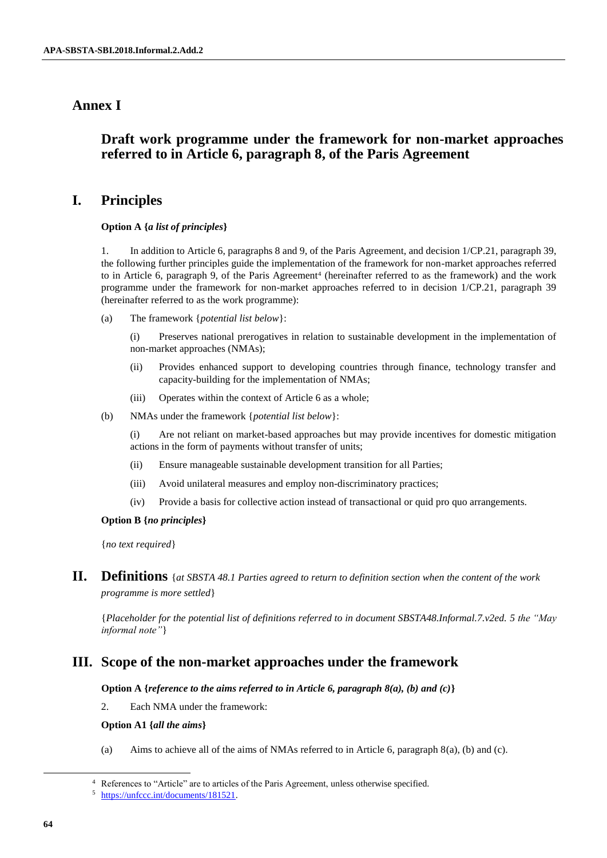# **Annex I**

# **Draft work programme under the framework for non-market approaches referred to in Article 6, paragraph 8, of the Paris Agreement**

# **I. Principles**

## **Option A {***a list of principles***}**

1. In addition to Article 6, paragraphs 8 and 9, of the Paris Agreement, and decision 1/CP.21, paragraph 39, the following further principles guide the implementation of the framework for non-market approaches referred to in Article 6, paragraph 9, of the Paris Agreement<sup>4</sup> (hereinafter referred to as the framework) and the work programme under the framework for non-market approaches referred to in decision 1/CP.21, paragraph 39 (hereinafter referred to as the work programme):

(a) The framework {*potential list below*}:

(i) Preserves national prerogatives in relation to sustainable development in the implementation of non-market approaches (NMAs);

- (ii) Provides enhanced support to developing countries through finance, technology transfer and capacity-building for the implementation of NMAs;
- (iii) Operates within the context of Article 6 as a whole;
- (b) NMAs under the framework {*potential list below*}:

(i) Are not reliant on market-based approaches but may provide incentives for domestic mitigation actions in the form of payments without transfer of units;

- (ii) Ensure manageable sustainable development transition for all Parties;
- (iii) Avoid unilateral measures and employ non-discriminatory practices;
- (iv) Provide a basis for collective action instead of transactional or quid pro quo arrangements.

### **Option B {***no principles***}**

{*no text required*}

**II. Definitions** {*at SBSTA 48.1 Parties agreed to return to definition section when the content of the work programme is more settled*}

{*Placeholder for the potential list of definitions referred to in document SBSTA48.Informal.7.v2ed. 5 the "May informal note"*}

## **III. Scope of the non-market approaches under the framework**

### **Option A {***reference to the aims referred to in Article 6, paragraph 8(a), (b) and (c)***}**

2. Each NMA under the framework:

### **Option A1 {***all the aims***}**

(a) Aims to achieve all of the aims of NMAs referred to in Article 6, paragraph 8(a), (b) and (c).

l

<sup>4</sup> References to "Article" are to articles of the Paris Agreement, unless otherwise specified.

<sup>5</sup> [https://unfccc.int/documents/181521.](https://unfccc.int/documents/181521)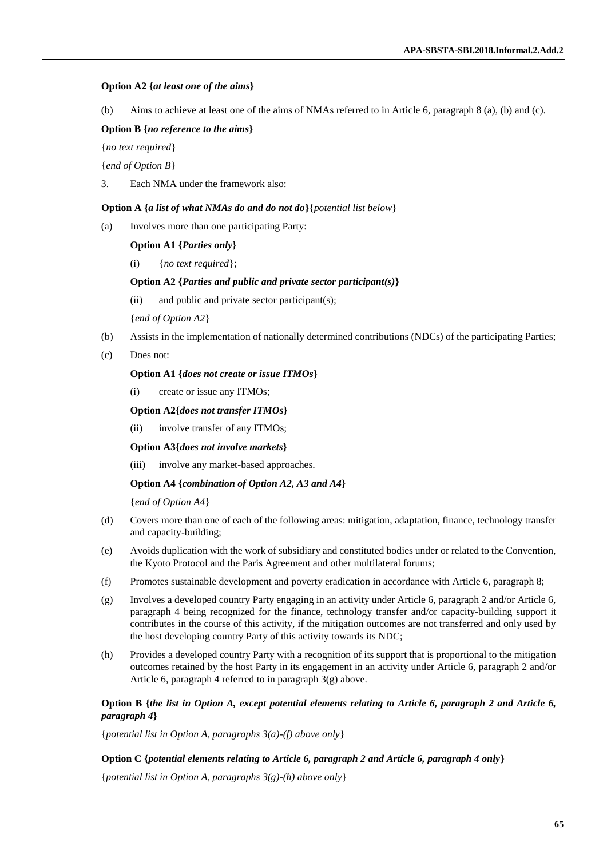#### **Option A2 {***at least one of the aims***}**

(b) Aims to achieve at least one of the aims of NMAs referred to in Article 6, paragraph 8 (a), (b) and (c).

#### **Option B {***no reference to the aims***}**

{*no text required*}

{*end of Option B*}

3. Each NMA under the framework also:

#### **Option A {***a list of what NMAs do and do not do***}**{*potential list below*}

(a) Involves more than one participating Party:

#### **Option A1 {***Parties only***}**

(i) {*no text required*};

#### **Option A2 {***Parties and public and private sector participant(s)***}**

(ii) and public and private sector participant(s);

{*end of Option A2*}

- (b) Assists in the implementation of nationally determined contributions (NDCs) of the participating Parties;
- (c) Does not:

#### **Option A1 {***does not create or issue ITMOs***}**

(i) create or issue any ITMOs;

#### **Option A2{***does not transfer ITMOs***}**

(ii) involve transfer of any ITMOs;

#### **Option A3{***does not involve markets***}**

(iii) involve any market-based approaches.

#### **Option A4 {***combination of Option A2, A3 and A4***}**

{*end of Option A4*}

- (d) Covers more than one of each of the following areas: mitigation, adaptation, finance, technology transfer and capacity-building;
- (e) Avoids duplication with the work of subsidiary and constituted bodies under or related to the Convention, the Kyoto Protocol and the Paris Agreement and other multilateral forums;
- (f) Promotes sustainable development and poverty eradication in accordance with Article 6, paragraph 8;
- (g) Involves a developed country Party engaging in an activity under Article 6, paragraph 2 and/or Article 6, paragraph 4 being recognized for the finance, technology transfer and/or capacity-building support it contributes in the course of this activity, if the mitigation outcomes are not transferred and only used by the host developing country Party of this activity towards its NDC;
- (h) Provides a developed country Party with a recognition of its support that is proportional to the mitigation outcomes retained by the host Party in its engagement in an activity under Article 6, paragraph 2 and/or Article 6, paragraph 4 referred to in paragraph 3(g) above.

### **Option B {***the list in Option A, except potential elements relating to Article 6, paragraph 2 and Article 6, paragraph 4***}**

{*potential list in Option A, paragraphs 3(a)-(f) above only*}

#### **Option C {***potential elements relating to Article 6, paragraph 2 and Article 6, paragraph 4 only***}**

{*potential list in Option A, paragraphs 3(g)-(h) above only*}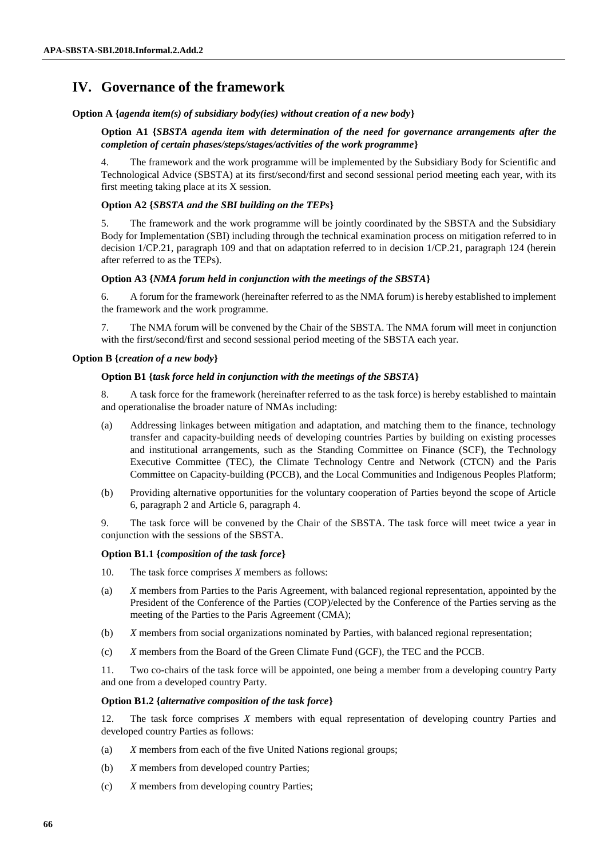# **IV. Governance of the framework**

**Option A {***agenda item(s) of subsidiary body(ies) without creation of a new body***}**

**Option A1 {***SBSTA agenda item with determination of the need for governance arrangements after the completion of certain phases/steps/stages/activities of the work programme***}** 

4. The framework and the work programme will be implemented by the Subsidiary Body for Scientific and Technological Advice (SBSTA) at its first/second/first and second sessional period meeting each year, with its first meeting taking place at its X session.

## **Option A2 {***SBSTA and the SBI building on the TEPs***}**

5. The framework and the work programme will be jointly coordinated by the SBSTA and the Subsidiary Body for Implementation (SBI) including through the technical examination process on mitigation referred to in decision 1/CP.21, paragraph 109 and that on adaptation referred to in decision 1/CP.21, paragraph 124 (herein after referred to as the TEPs).

### **Option A3 {***NMA forum held in conjunction with the meetings of the SBSTA***}**

6. A forum for the framework (hereinafter referred to as the NMA forum) is hereby established to implement the framework and the work programme.

7. The NMA forum will be convened by the Chair of the SBSTA. The NMA forum will meet in conjunction with the first/second/first and second sessional period meeting of the SBSTA each year.

### **Option B {***creation of a new body***}**

### **Option B1 {***task force held in conjunction with the meetings of the SBSTA***}**

8. A task force for the framework (hereinafter referred to as the task force) is hereby established to maintain and operationalise the broader nature of NMAs including:

- (a) Addressing linkages between mitigation and adaptation, and matching them to the finance, technology transfer and capacity-building needs of developing countries Parties by building on existing processes and institutional arrangements, such as the Standing Committee on Finance (SCF), the Technology Executive Committee (TEC), the Climate Technology Centre and Network (CTCN) and the Paris Committee on Capacity-building (PCCB), and the Local Communities and Indigenous Peoples Platform;
- (b) Providing alternative opportunities for the voluntary cooperation of Parties beyond the scope of Article 6, paragraph 2 and Article 6, paragraph 4.

9. The task force will be convened by the Chair of the SBSTA. The task force will meet twice a year in conjunction with the sessions of the SBSTA.

### **Option B1.1 {***composition of the task force***}**

- 10. The task force comprises *X* members as follows:
- (a) *X* members from Parties to the Paris Agreement, with balanced regional representation, appointed by the President of the Conference of the Parties (COP)/elected by the Conference of the Parties serving as the meeting of the Parties to the Paris Agreement (CMA);
- (b) *X* members from social organizations nominated by Parties, with balanced regional representation;
- (c) *X* members from the Board of the Green Climate Fund (GCF), the TEC and the PCCB.

11. Two co-chairs of the task force will be appointed, one being a member from a developing country Party and one from a developed country Party.

### **Option B1.2 {***alternative composition of the task force***}**

12. The task force comprises *X* members with equal representation of developing country Parties and developed country Parties as follows:

- (a) *X* members from each of the five United Nations regional groups;
- (b) *X* members from developed country Parties;
- (c) *X* members from developing country Parties;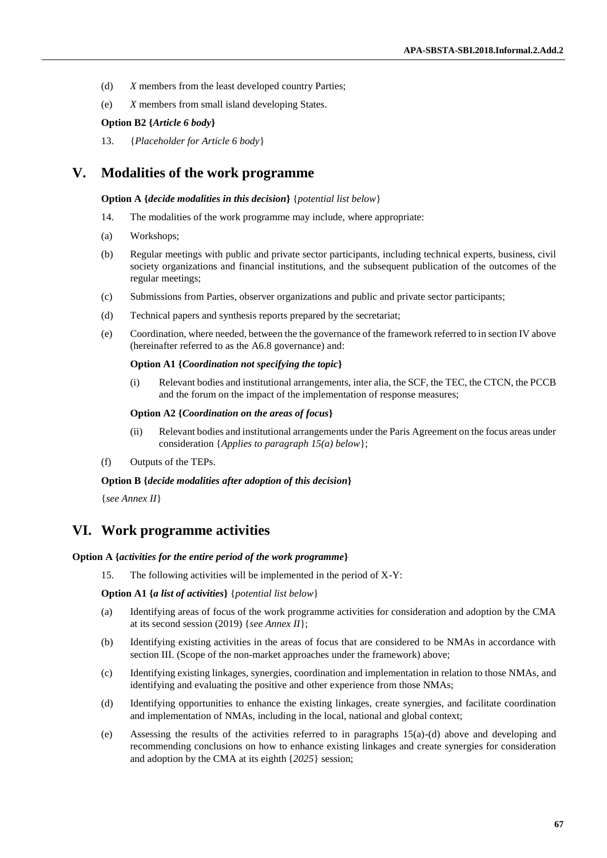- (d) *X* members from the least developed country Parties;
- (e) *X* members from small island developing States.

#### **Option B2 {***Article 6 body***}**

13. {*Placeholder for Article 6 body*}

## **V. Modalities of the work programme**

#### **Option A {***decide modalities in this decision***}** {*potential list below*}

- 14. The modalities of the work programme may include, where appropriate:
- (a) Workshops;
- (b) Regular meetings with public and private sector participants, including technical experts, business, civil society organizations and financial institutions, and the subsequent publication of the outcomes of the regular meetings;
- (c) Submissions from Parties, observer organizations and public and private sector participants;
- (d) Technical papers and synthesis reports prepared by the secretariat;
- (e) Coordination, where needed, between the the governance of the framework referred to in section IV above (hereinafter referred to as the A6.8 governance) and:

#### **Option A1 {***Coordination not specifying the topic***}**

(i) Relevant bodies and institutional arrangements, inter alia, the SCF, the TEC, the CTCN, the PCCB and the forum on the impact of the implementation of response measures;

#### **Option A2 {***Coordination on the areas of focus***}**

- (ii) Relevant bodies and institutional arrangements under the Paris Agreement on the focus areas under consideration {*Applies to paragraph 15(a) below*};
- (f) Outputs of the TEPs.

#### **Option B {***decide modalities after adoption of this decision***}**

{*see Annex II*}

## **VI. Work programme activities**

#### **Option A {***activities for the entire period of the work programme***}**

15. The following activities will be implemented in the period of X-Y:

**Option A1 {***a list of activities***}** {*potential list below*}

- (a) Identifying areas of focus of the work programme activities for consideration and adoption by the CMA at its second session (2019) {*see Annex II*};
- (b) Identifying existing activities in the areas of focus that are considered to be NMAs in accordance with section III. (Scope of the non-market approaches under the framework) above;
- (c) Identifying existing linkages, synergies, coordination and implementation in relation to those NMAs, and identifying and evaluating the positive and other experience from those NMAs;
- (d) Identifying opportunities to enhance the existing linkages, create synergies, and facilitate coordination and implementation of NMAs, including in the local, national and global context;
- (e) Assessing the results of the activities referred to in paragraphs 15(a)-(d) above and developing and recommending conclusions on how to enhance existing linkages and create synergies for consideration and adoption by the CMA at its eighth {*2025*} session;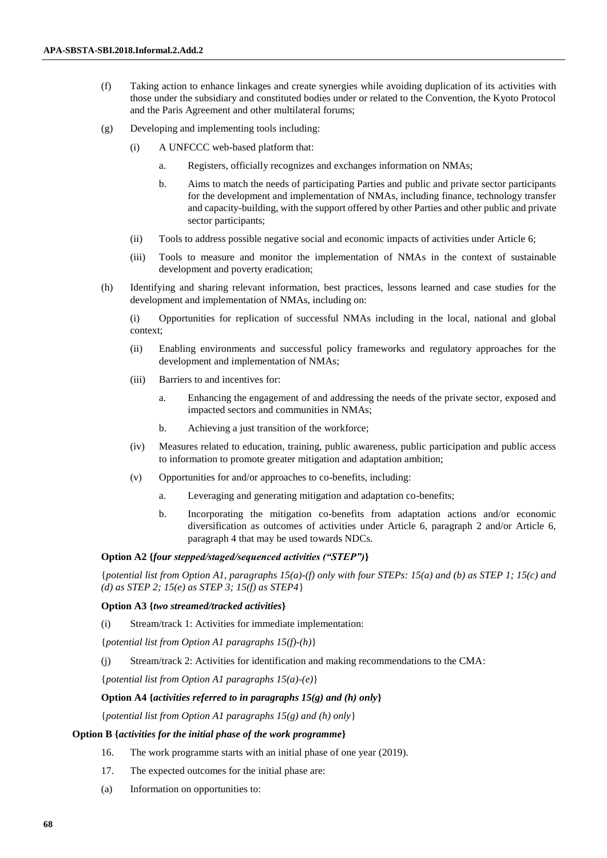- (f) Taking action to enhance linkages and create synergies while avoiding duplication of its activities with those under the subsidiary and constituted bodies under or related to the Convention, the Kyoto Protocol and the Paris Agreement and other multilateral forums;
- (g) Developing and implementing tools including:
	- (i) A UNFCCC web-based platform that:
		- a. Registers, officially recognizes and exchanges information on NMAs;
		- b. Aims to match the needs of participating Parties and public and private sector participants for the development and implementation of NMAs, including finance, technology transfer and capacity-building, with the support offered by other Parties and other public and private sector participants;
	- (ii) Tools to address possible negative social and economic impacts of activities under Article 6;
	- (iii) Tools to measure and monitor the implementation of NMAs in the context of sustainable development and poverty eradication;
- (h) Identifying and sharing relevant information, best practices, lessons learned and case studies for the development and implementation of NMAs, including on:

(i) Opportunities for replication of successful NMAs including in the local, national and global context;

- (ii) Enabling environments and successful policy frameworks and regulatory approaches for the development and implementation of NMAs;
- (iii) Barriers to and incentives for:
	- a. Enhancing the engagement of and addressing the needs of the private sector, exposed and impacted sectors and communities in NMAs;
	- b. Achieving a just transition of the workforce;
- (iv) Measures related to education, training, public awareness, public participation and public access to information to promote greater mitigation and adaptation ambition;
- (v) Opportunities for and/or approaches to co-benefits, including:
	- a. Leveraging and generating mitigation and adaptation co-benefits;
	- b. Incorporating the mitigation co-benefits from adaptation actions and/or economic diversification as outcomes of activities under Article 6, paragraph 2 and/or Article 6, paragraph 4 that may be used towards NDCs.

#### **Option A2 {***four stepped/staged/sequenced activities ("STEP")***}**

{*potential list from Option A1, paragraphs 15(a)-(f) only with four STEPs: 15(a) and (b) as STEP 1; 15(c) and (d) as STEP 2; 15(e) as STEP 3; 15(f) as STEP4*}

#### **Option A3 {***two streamed/tracked activities***}**

(i) Stream/track 1: Activities for immediate implementation:

{*potential list from Option A1 paragraphs 15(f)-(h)*}

(j) Stream/track 2: Activities for identification and making recommendations to the CMA:

{*potential list from Option A1 paragraphs 15(a)-(e)*}

## **Option A4 {***activities referred to in paragraphs 15(g) and (h) only***}**

{*potential list from Option A1 paragraphs 15(g) and (h) only*}

#### **Option B {***activities for the initial phase of the work programme***}**

- 16. The work programme starts with an initial phase of one year (2019).
- 17. The expected outcomes for the initial phase are:
- (a) Information on opportunities to: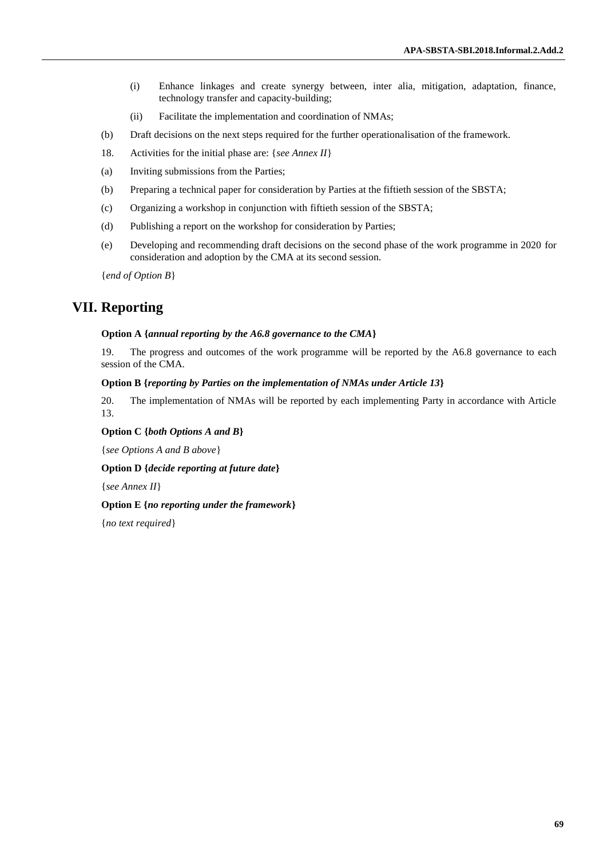- (i) Enhance linkages and create synergy between, inter alia, mitigation, adaptation, finance, technology transfer and capacity-building;
- (ii) Facilitate the implementation and coordination of NMAs;
- (b) Draft decisions on the next steps required for the further operationalisation of the framework.
- 18. Activities for the initial phase are: {*see Annex II*}
- (a) Inviting submissions from the Parties;
- (b) Preparing a technical paper for consideration by Parties at the fiftieth session of the SBSTA;
- (c) Organizing a workshop in conjunction with fiftieth session of the SBSTA;
- (d) Publishing a report on the workshop for consideration by Parties;
- (e) Developing and recommending draft decisions on the second phase of the work programme in 2020 for consideration and adoption by the CMA at its second session.

{*end of Option B*}

# **VII. Reporting**

#### **Option A {***annual reporting by the A6.8 governance to the CMA***}**

19. The progress and outcomes of the work programme will be reported by the A6.8 governance to each session of the CMA.

#### **Option B {***reporting by Parties on the implementation of NMAs under Article 13***}**

20. The implementation of NMAs will be reported by each implementing Party in accordance with Article 13.

#### **Option C {***both Options A and B***}**

{*see Options A and B above*}

**Option D {***decide reporting at future date***}**

{*see Annex II*}

#### **Option E {***no reporting under the framework***}**

{*no text required*}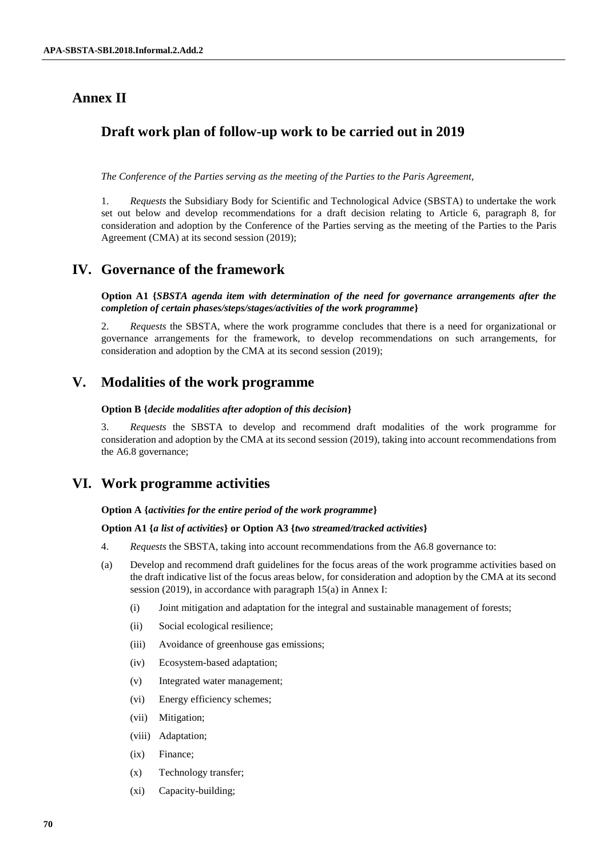# **Annex II**

# **Draft work plan of follow-up work to be carried out in 2019**

*The Conference of the Parties serving as the meeting of the Parties to the Paris Agreement,*

1. *Requests* the Subsidiary Body for Scientific and Technological Advice (SBSTA) to undertake the work set out below and develop recommendations for a draft decision relating to Article 6, paragraph 8, for consideration and adoption by the Conference of the Parties serving as the meeting of the Parties to the Paris Agreement (CMA) at its second session (2019);

## **IV. Governance of the framework**

**Option A1 {***SBSTA agenda item with determination of the need for governance arrangements after the completion of certain phases/steps/stages/activities of the work programme***}** 

2. *Requests* the SBSTA, where the work programme concludes that there is a need for organizational or governance arrangements for the framework, to develop recommendations on such arrangements, for consideration and adoption by the CMA at its second session (2019);

# **V. Modalities of the work programme**

#### **Option B {***decide modalities after adoption of this decision***}**

3. *Requests* the SBSTA to develop and recommend draft modalities of the work programme for consideration and adoption by the CMA at its second session (2019), taking into account recommendations from the A6.8 governance;

# **VI. Work programme activities**

**Option A {***activities for the entire period of the work programme***}**

### **Option A1 {***a list of activities***} or Option A3 {***two streamed/tracked activities***}**

- 4. *Requests* the SBSTA, taking into account recommendations from the A6.8 governance to:
- (a) Develop and recommend draft guidelines for the focus areas of the work programme activities based on the draft indicative list of the focus areas below, for consideration and adoption by the CMA at its second session (2019), in accordance with paragraph 15(a) in Annex I:
	- (i) Joint mitigation and adaptation for the integral and sustainable management of forests;
	- (ii) Social ecological resilience;
	- (iii) Avoidance of greenhouse gas emissions;
	- (iv) Ecosystem-based adaptation;
	- (v) Integrated water management;
	- (vi) Energy efficiency schemes;
	- (vii) Mitigation;
	- (viii) Adaptation;
	- (ix) Finance;
	- (x) Technology transfer;
	- (xi) Capacity-building;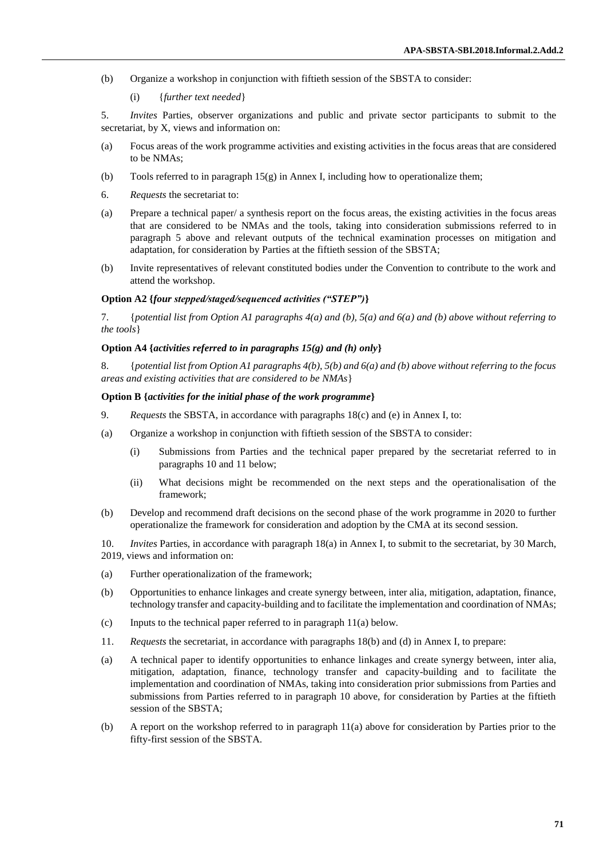- (b) Organize a workshop in conjunction with fiftieth session of the SBSTA to consider:
	- (i) {*further text needed*}

5. *Invites* Parties, observer organizations and public and private sector participants to submit to the secretariat, by X, views and information on:

- (a) Focus areas of the work programme activities and existing activities in the focus areas that are considered to be NMAs;
- (b) Tools referred to in paragraph  $15(g)$  in Annex I, including how to operationalize them;
- 6. *Requests* the secretariat to:
- (a) Prepare a technical paper/ a synthesis report on the focus areas, the existing activities in the focus areas that are considered to be NMAs and the tools, taking into consideration submissions referred to in paragraph 5 above and relevant outputs of the technical examination processes on mitigation and adaptation, for consideration by Parties at the fiftieth session of the SBSTA;
- (b) Invite representatives of relevant constituted bodies under the Convention to contribute to the work and attend the workshop.

#### **Option A2 {***four stepped/staged/sequenced activities ("STEP")***}**

7. {*potential list from Option A1 paragraphs 4(a) and (b), 5(a) and 6(a) and (b) above without referring to the tools*}

#### **Option A4 {***activities referred to in paragraphs 15(g) and (h) only***}**

8. {*potential list from Option A1 paragraphs 4(b), 5(b) and 6(a) and (b) above without referring to the focus areas and existing activities that are considered to be NMAs*}

#### **Option B {***activities for the initial phase of the work programme***}**

- 9. *Requests* the SBSTA, in accordance with paragraphs 18(c) and (e) in Annex I, to:
- (a) Organize a workshop in conjunction with fiftieth session of the SBSTA to consider:
	- (i) Submissions from Parties and the technical paper prepared by the secretariat referred to in paragraphs 10 and 11 below;
	- (ii) What decisions might be recommended on the next steps and the operationalisation of the framework;
- (b) Develop and recommend draft decisions on the second phase of the work programme in 2020 to further operationalize the framework for consideration and adoption by the CMA at its second session.

10. *Invites* Parties, in accordance with paragraph 18(a) in Annex I, to submit to the secretariat, by 30 March, 2019, views and information on:

- (a) Further operationalization of the framework;
- (b) Opportunities to enhance linkages and create synergy between, inter alia, mitigation, adaptation, finance, technology transfer and capacity-building and to facilitate the implementation and coordination of NMAs;
- (c) Inputs to the technical paper referred to in paragraph 11(a) below.
- 11. *Requests* the secretariat, in accordance with paragraphs 18(b) and (d) in Annex I, to prepare:
- (a) A technical paper to identify opportunities to enhance linkages and create synergy between, inter alia, mitigation, adaptation, finance, technology transfer and capacity-building and to facilitate the implementation and coordination of NMAs, taking into consideration prior submissions from Parties and submissions from Parties referred to in paragraph 10 above, for consideration by Parties at the fiftieth session of the SBSTA;
- (b) A report on the workshop referred to in paragraph 11(a) above for consideration by Parties prior to the fifty-first session of the SBSTA.